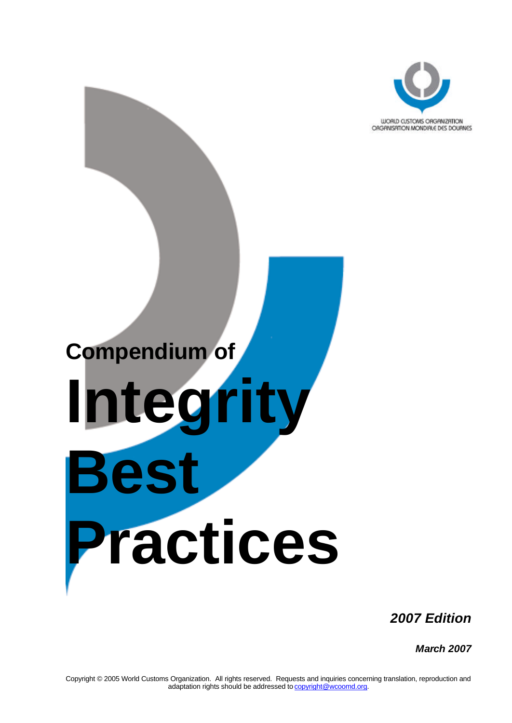

# **Compendium of Integrity Best Practices**

*2007 Edition*

*March 2007*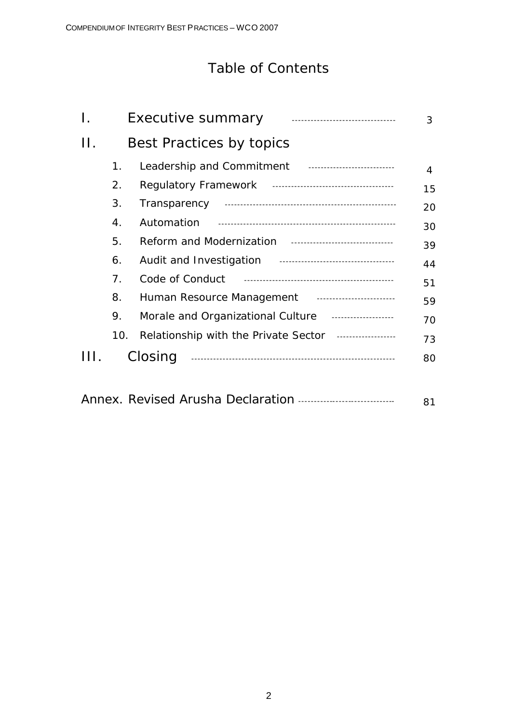## Table of Contents

| Ι. |                          | <b>Executive summary</b>                            | 3  |
|----|--------------------------|-----------------------------------------------------|----|
| Н. | Best Practices by topics |                                                     |    |
|    | 1.                       | Leadership and Commitment Fig. 2014.1918.1919.1919. | 4  |
|    | 2.                       |                                                     | 15 |
|    | 3.                       |                                                     | 20 |
|    | 4.                       | Automation                                          | 30 |
|    | 5.                       |                                                     | 39 |
|    | 6.                       |                                                     | 44 |
|    | 7.                       |                                                     | 51 |
|    | 8.                       |                                                     | 59 |
|    | 9.                       | Morale and Organizational Culture                   | 70 |
|    | 10.                      | Relationship with the Private Sector                | 73 |
|    |                          | Closing                                             | 80 |

|--|--|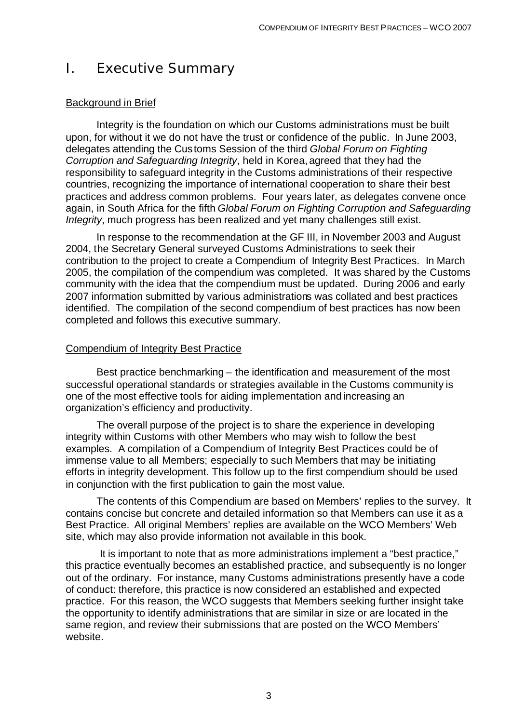## I. Executive Summary

#### Background in Brief

Integrity is the foundation on which our Customs administrations must be built upon, for without it we do not have the trust or confidence of the public. In June 2003, delegates attending the Customs Session of the third *Global Forum on Fighting Corruption and Safeguarding Integrity*, held in Korea, agreed that they had the responsibility to safeguard integrity in the Customs administrations of their respective countries, recognizing the importance of international cooperation to share their best practices and address common problems. Four years later, as delegates convene once again, in South Africa for the fifth *Global Forum on Fighting Corruption and Safeguarding Integrity*, much progress has been realized and yet many challenges still exist.

In response to the recommendation at the GF III, in November 2003 and August 2004, the Secretary General surveyed Customs Administrations to seek their contribution to the project to create a Compendium of Integrity Best Practices. In March 2005, the compilation of the compendium was completed. It was shared by the Customs community with the idea that the compendium must be updated. During 2006 and early 2007 information submitted by various administrations was collated and best practices identified. The compilation of the second compendium of best practices has now been completed and follows this executive summary.

#### Compendium of Integrity Best Practice

Best practice benchmarking – the identification and measurement of the most successful operational standards or strategies available in the Customs community is one of the most effective tools for aiding implementation and increasing an organization's efficiency and productivity.

The overall purpose of the project is to share the experience in developing integrity within Customs with other Members who may wish to follow the best examples. A compilation of a Compendium of Integrity Best Practices could be of immense value to all Members; especially to such Members that may be initiating efforts in integrity development. This follow up to the first compendium should be used in conjunction with the first publication to gain the most value.

The contents of this Compendium are based on Members' replies to the survey. It contains concise but concrete and detailed information so that Members can use it as a Best Practice. All original Members' replies are available on the WCO Members' Web site, which may also provide information not available in this book.

It is important to note that as more administrations implement a "best practice," this practice eventually becomes an established practice, and subsequently is no longer out of the ordinary. For instance, many Customs administrations presently have a code of conduct: therefore, this practice is now considered an established and expected practice. For this reason, the WCO suggests that Members seeking further insight take the opportunity to identify administrations that are similar in size or are located in the same region, and review their submissions that are posted on the WCO Members' website.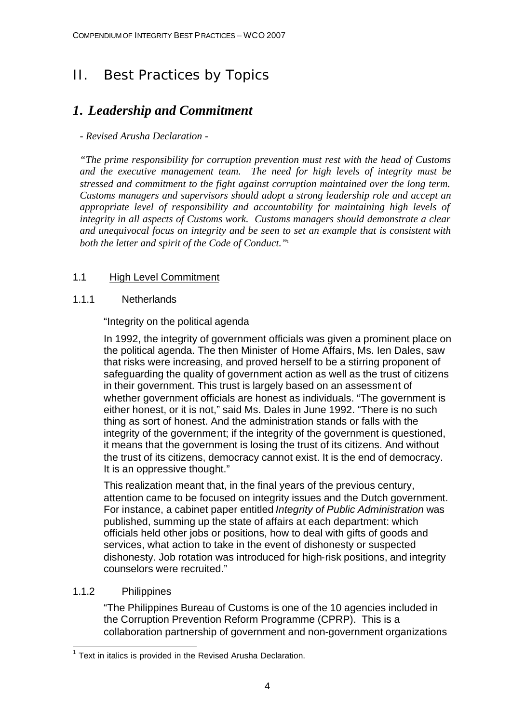# II. Best Practices by Topics

## *1. Leadership and Commitment*

#### *- Revised Arusha Declaration -*

*"The prime responsibility for corruption prevention must rest with the head of Customs and the executive management team. The need for high levels of integrity must be stressed and commitment to the fight against corruption maintained over the long term. Customs managers and supervisors should adopt a strong leadership role and accept an appropriate level of responsibility and accountability for maintaining high levels of integrity in all aspects of Customs work. Customs managers should demonstrate a clear and unequivocal focus on integrity and be seen to set an example that is consistent with*  both the letter and spirit of the Code of Conduct."<sup>1</sup>

#### 1.1 High Level Commitment

#### 1.1.1 Netherlands

"Integrity on the political agenda

In 1992, the integrity of government officials was given a prominent place on the political agenda. The then Minister of Home Affairs, Ms. Ien Dales, saw that risks were increasing, and proved herself to be a stirring proponent of safeguarding the quality of government action as well as the trust of citizens in their government. This trust is largely based on an assessment of whether government officials are honest as individuals. "The government is either honest, or it is not," said Ms. Dales in June 1992. "There is no such thing as sort of honest. And the administration stands or falls with the integrity of the government; if the integrity of the government is questioned, it means that the government is losing the trust of its citizens. And without the trust of its citizens, democracy cannot exist. It is the end of democracy. It is an oppressive thought."

This realization meant that, in the final years of the previous century, attention came to be focused on integrity issues and the Dutch government. For instance, a cabinet paper entitled *Integrity of Public Administration* was published, summing up the state of affairs at each department: which officials held other jobs or positions, how to deal with gifts of goods and services, what action to take in the event of dishonesty or suspected dishonesty. Job rotation was introduced for high-risk positions, and integrity counselors were recruited."

#### 1.1.2 Philippines

"The Philippines Bureau of Customs is one of the 10 agencies included in the Corruption Prevention Reform Programme (CPRP). This is a collaboration partnership of government and non-government organizations

 1 Text in italics is provided in the Revised Arusha Declaration.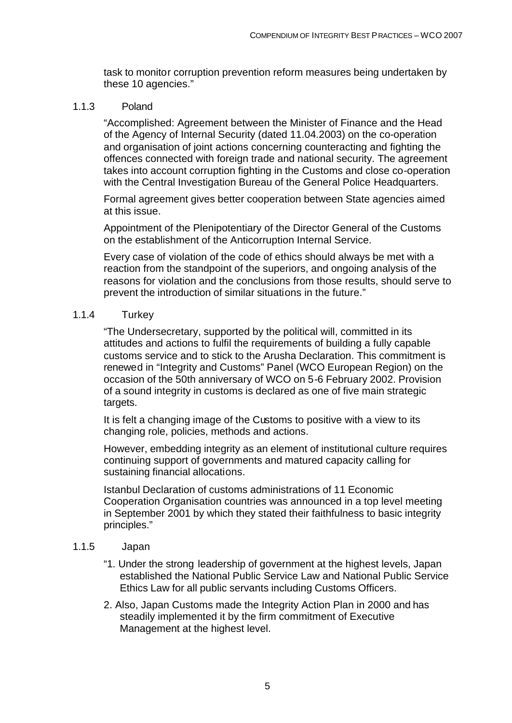task to monitor corruption prevention reform measures being undertaken by these 10 agencies."

#### 1.1.3 Poland

"Accomplished: Agreement between the Minister of Finance and the Head of the Agency of Internal Security (dated 11.04.2003) on the co-operation and organisation of joint actions concerning counteracting and fighting the offences connected with foreign trade and national security. The agreement takes into account corruption fighting in the Customs and close co-operation with the Central Investigation Bureau of the General Police Headquarters.

Formal agreement gives better cooperation between State agencies aimed at this issue.

Appointment of the Plenipotentiary of the Director General of the Customs on the establishment of the Anticorruption Internal Service.

Every case of violation of the code of ethics should always be met with a reaction from the standpoint of the superiors, and ongoing analysis of the reasons for violation and the conclusions from those results, should serve to prevent the introduction of similar situations in the future."

#### 1.1.4 Turkey

"The Undersecretary, supported by the political will, committed in its attitudes and actions to fulfil the requirements of building a fully capable customs service and to stick to the Arusha Declaration. This commitment is renewed in "Integrity and Customs" Panel (WCO European Region) on the occasion of the 50th anniversary of WCO on 5-6 February 2002. Provision of a sound integrity in customs is declared as one of five main strategic targets.

It is felt a changing image of the Customs to positive with a view to its changing role, policies, methods and actions.

However, embedding integrity as an element of institutional culture requires continuing support of governments and matured capacity calling for sustaining financial allocations.

Istanbul Declaration of customs administrations of 11 Economic Cooperation Organisation countries was announced in a top level meeting in September 2001 by which they stated their faithfulness to basic integrity principles."

#### 1.1.5 Japan

- "1. Under the strong leadership of government at the highest levels, Japan established the National Public Service Law and National Public Service Ethics Law for all public servants including Customs Officers.
- 2. Also, Japan Customs made the Integrity Action Plan in 2000 and has steadily implemented it by the firm commitment of Executive Management at the highest level.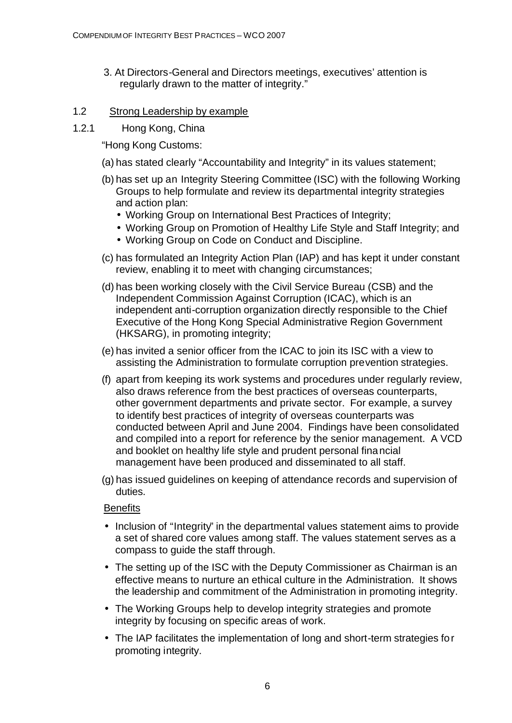- 3. At Directors-General and Directors meetings, executives' attention is regularly drawn to the matter of integrity."
- 1.2 Strong Leadership by example
- 1.2.1 Hong Kong, China

"Hong Kong Customs:

- (a) has stated clearly "Accountability and Integrity" in its values statement;
- (b) has set up an Integrity Steering Committee (ISC) with the following Working Groups to help formulate and review its departmental integrity strategies and action plan:
	- Working Group on International Best Practices of Integrity;
	- Working Group on Promotion of Healthy Life Style and Staff Integrity; and
	- Working Group on Code on Conduct and Discipline.
- (c) has formulated an Integrity Action Plan (IAP) and has kept it under constant review, enabling it to meet with changing circumstances;
- (d) has been working closely with the Civil Service Bureau (CSB) and the Independent Commission Against Corruption (ICAC), which is an independent anti-corruption organization directly responsible to the Chief Executive of the Hong Kong Special Administrative Region Government (HKSARG), in promoting integrity;
- (e) has invited a senior officer from the ICAC to join its ISC with a view to assisting the Administration to formulate corruption prevention strategies.
- (f) apart from keeping its work systems and procedures under regularly review, also draws reference from the best practices of overseas counterparts, other government departments and private sector. For example, a survey to identify best practices of integrity of overseas counterparts was conducted between April and June 2004. Findings have been consolidated and compiled into a report for reference by the senior management. A VCD and booklet on healthy life style and prudent personal financial management have been produced and disseminated to all staff.
- (g) has issued guidelines on keeping of attendance records and supervision of duties.

#### **Benefits**

- Inclusion of "Integrity" in the departmental values statement aims to provide a set of shared core values among staff. The values statement serves as a compass to guide the staff through.
- The setting up of the ISC with the Deputy Commissioner as Chairman is an effective means to nurture an ethical culture in the Administration. It shows the leadership and commitment of the Administration in promoting integrity.
- The Working Groups help to develop integrity strategies and promote integrity by focusing on specific areas of work.
- The IAP facilitates the implementation of long and short-term strategies for promoting integrity.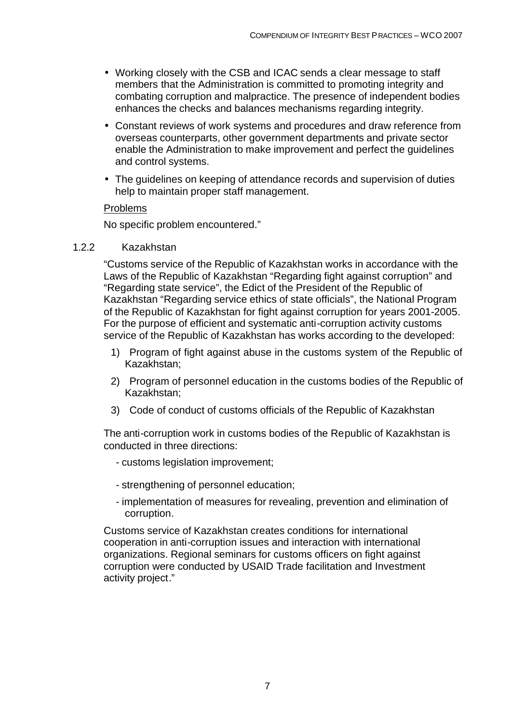- Working closely with the CSB and ICAC sends a clear message to staff members that the Administration is committed to promoting integrity and combating corruption and malpractice. The presence of independent bodies enhances the checks and balances mechanisms regarding integrity.
- Constant reviews of work systems and procedures and draw reference from overseas counterparts, other government departments and private sector enable the Administration to make improvement and perfect the guidelines and control systems.
- The guidelines on keeping of attendance records and supervision of duties help to maintain proper staff management.

#### Problems

No specific problem encountered."

#### 1.2.2 Kazakhstan

"Customs service of the Republic of Kazakhstan works in accordance with the Laws of the Republic of Kazakhstan "Regarding fight against corruption" and "Regarding state service", the Edict of the President of the Republic of Kazakhstan "Regarding service ethics of state officials", the National Program of the Republic of Kazakhstan for fight against corruption for years 2001-2005. For the purpose of efficient and systematic anti-corruption activity customs service of the Republic of Kazakhstan has works according to the developed:

- 1) Program of fight against abuse in the customs system of the Republic of Kazakhstan;
- 2) Program of personnel education in the customs bodies of the Republic of Kazakhstan;
- 3) Code of conduct of customs officials of the Republic of Kazakhstan

The anti-corruption work in customs bodies of the Republic of Kazakhstan is conducted in three directions:

- customs legislation improvement;
- strengthening of personnel education;
- implementation of measures for revealing, prevention and elimination of corruption.

Customs service of Kazakhstan creates conditions for international cooperation in anti-corruption issues and interaction with international organizations. Regional seminars for customs officers on fight against corruption were conducted by USAID Trade facilitation and Investment activity project."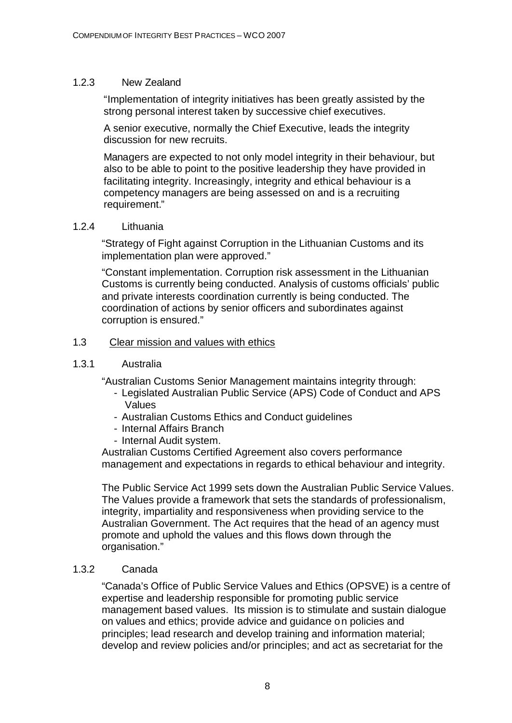#### 1.2.3 New Zealand

"Implementation of integrity initiatives has been greatly assisted by the strong personal interest taken by successive chief executives.

A senior executive, normally the Chief Executive, leads the integrity discussion for new recruits.

Managers are expected to not only model integrity in their behaviour, but also to be able to point to the positive leadership they have provided in facilitating integrity. Increasingly, integrity and ethical behaviour is a competency managers are being assessed on and is a recruiting requirement."

#### 1.2.4 Lithuania

"Strategy of Fight against Corruption in the Lithuanian Customs and its implementation plan were approved."

"Constant implementation. Corruption risk assessment in the Lithuanian Customs is currently being conducted. Analysis of customs officials' public and private interests coordination currently is being conducted. The coordination of actions by senior officers and subordinates against corruption is ensured."

#### 1.3 Clear mission and values with ethics

#### 1.3.1 Australia

"Australian Customs Senior Management maintains integrity through:

- Legislated Australian Public Service (APS) Code of Conduct and APS Values
- Australian Customs Ethics and Conduct guidelines
- Internal Affairs Branch
- Internal Audit system.

Australian Customs Certified Agreement also covers performance management and expectations in regards to ethical behaviour and integrity.

The Public Service Act 1999 sets down the Australian Public Service Values. The Values provide a framework that sets the standards of professionalism, integrity, impartiality and responsiveness when providing service to the Australian Government. The Act requires that the head of an agency must promote and uphold the values and this flows down through the organisation."

#### 1.3.2 Canada

"Canada's Office of Public Service Values and Ethics (OPSVE) is a centre of expertise and leadership responsible for promoting public service management based values. Its mission is to stimulate and sustain dialogue on values and ethics; provide advice and guidance on policies and principles; lead research and develop training and information material; develop and review policies and/or principles; and act as secretariat for the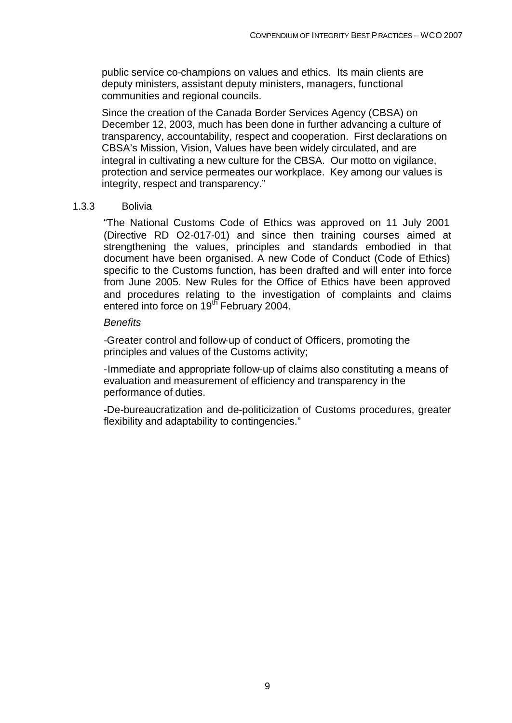public service co-champions on values and ethics. Its main clients are deputy ministers, assistant deputy ministers, managers, functional communities and regional councils.

Since the creation of the Canada Border Services Agency (CBSA) on December 12, 2003, much has been done in further advancing a culture of transparency, accountability, respect and cooperation. First declarations on CBSA's Mission, Vision, Values have been widely circulated, and are integral in cultivating a new culture for the CBSA. Our motto on vigilance, protection and service permeates our workplace. Key among our values is integrity, respect and transparency."

#### 1.3.3 Bolivia

"The National Customs Code of Ethics was approved on 11 July 2001 (Directive RD O2-017-01) and since then training courses aimed at strengthening the values, principles and standards embodied in that document have been organised. A new Code of Conduct (Code of Ethics) specific to the Customs function, has been drafted and will enter into force from June 2005. New Rules for the Office of Ethics have been approved and procedures relating to the investigation of complaints and claims entered into force on 19<sup>th</sup> February 2004.

#### *Benefits*

-Greater control and follow-up of conduct of Officers, promoting the principles and values of the Customs activity;

-Immediate and appropriate follow-up of claims also constituting a means of evaluation and measurement of efficiency and transparency in the performance of duties.

-De-bureaucratization and de-politicization of Customs procedures, greater flexibility and adaptability to contingencies."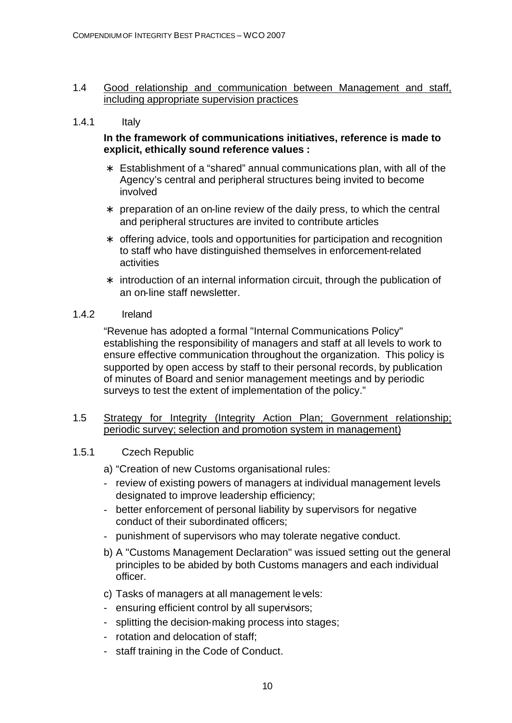#### 1.4 Good relationship and communication between Management and staff, including appropriate supervision practices

#### 1.4.1 Italy

#### **In the framework of communications initiatives, reference is made to explicit, ethically sound reference values :**

- ∗ Establishment of a "shared" annual communications plan, with all of the Agency's central and peripheral structures being invited to become involved
- ∗ preparation of an on-line review of the daily press, to which the central and peripheral structures are invited to contribute articles
- ∗ offering advice, tools and opportunities for participation and recognition to staff who have distinguished themselves in enforcement-related activities
- ∗ introduction of an internal information circuit, through the publication of an on-line staff newsletter.

#### 1.4.2 Ireland

"Revenue has adopted a formal "Internal Communications Policy" establishing the responsibility of managers and staff at all levels to work to ensure effective communication throughout the organization. This policy is supported by open access by staff to their personal records, by publication of minutes of Board and senior management meetings and by periodic surveys to test the extent of implementation of the policy."

#### 1.5 Strategy for Integrity (Integrity Action Plan; Government relationship; periodic survey; selection and promotion system in management)

#### 1.5.1 Czech Republic

- a) "Creation of new Customs organisational rules:
- review of existing powers of managers at individual management levels designated to improve leadership efficiency;
- better enforcement of personal liability by supervisors for negative conduct of their subordinated officers;
- punishment of supervisors who may tolerate negative conduct.
- b) A "Customs Management Declaration" was issued setting out the general principles to be abided by both Customs managers and each individual officer.
- c) Tasks of managers at all management levels:
- ensuring efficient control by all supervisors;
- splitting the decision-making process into stages;
- rotation and delocation of staff;
- staff training in the Code of Conduct.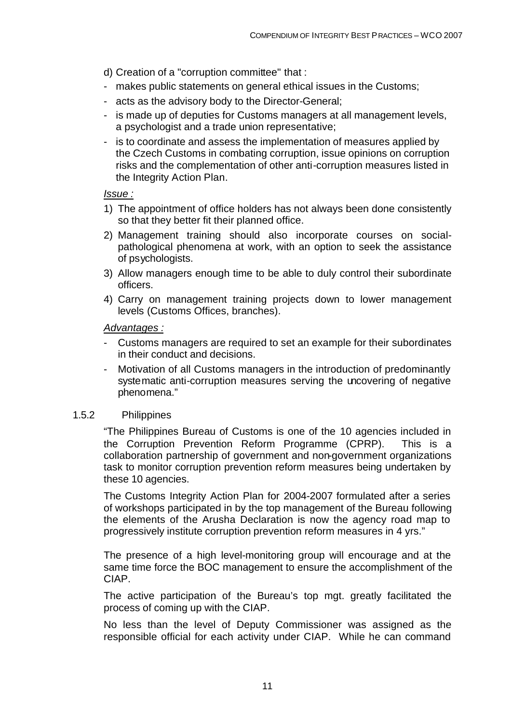- d) Creation of a "corruption committee" that :
- makes public statements on general ethical issues in the Customs;
- acts as the advisory body to the Director-General;
- is made up of deputies for Customs managers at all management levels, a psychologist and a trade union representative;
- is to coordinate and assess the implementation of measures applied by the Czech Customs in combating corruption, issue opinions on corruption risks and the complementation of other anti-corruption measures listed in the Integrity Action Plan.

#### *Issue :*

- 1) The appointment of office holders has not always been done consistently so that they better fit their planned office.
- 2) Management training should also incorporate courses on socialpathological phenomena at work, with an option to seek the assistance of psychologists.
- 3) Allow managers enough time to be able to duly control their subordinate officers.
- 4) Carry on management training projects down to lower management levels (Customs Offices, branches).

#### *Advantages :*

- Customs managers are required to set an example for their subordinates in their conduct and decisions.
- Motivation of all Customs managers in the introduction of predominantly systematic anti-corruption measures serving the uncovering of negative phenomena."

#### 1.5.2 Philippines

"The Philippines Bureau of Customs is one of the 10 agencies included in the Corruption Prevention Reform Programme (CPRP). This is a collaboration partnership of government and non-government organizations task to monitor corruption prevention reform measures being undertaken by these 10 agencies.

The Customs Integrity Action Plan for 2004-2007 formulated after a series of workshops participated in by the top management of the Bureau following the elements of the Arusha Declaration is now the agency road map to progressively institute corruption prevention reform measures in 4 yrs."

The presence of a high level-monitoring group will encourage and at the same time force the BOC management to ensure the accomplishment of the CIAP.

The active participation of the Bureau's top mgt. greatly facilitated the process of coming up with the CIAP.

No less than the level of Deputy Commissioner was assigned as the responsible official for each activity under CIAP. While he can command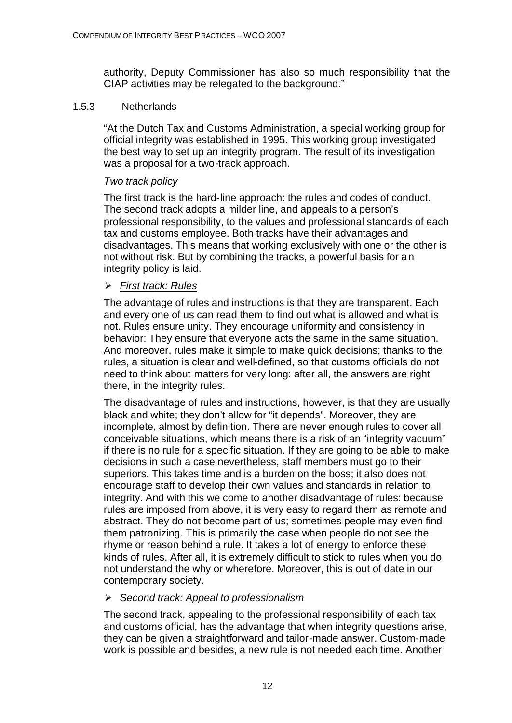authority, Deputy Commissioner has also so much responsibility that the CIAP activities may be relegated to the background."

#### 1.5.3 Netherlands

"At the Dutch Tax and Customs Administration, a special working group for official integrity was established in 1995. This working group investigated the best way to set up an integrity program. The result of its investigation was a proposal for a two-track approach.

#### *Two track policy*

The first track is the hard-line approach: the rules and codes of conduct. The second track adopts a milder line, and appeals to a person's professional responsibility, to the values and professional standards of each tax and customs employee. Both tracks have their advantages and disadvantages. This means that working exclusively with one or the other is not without risk. But by combining the tracks, a powerful basis for an integrity policy is laid.

#### ÿ *First track: Rules*

The advantage of rules and instructions is that they are transparent. Each and every one of us can read them to find out what is allowed and what is not. Rules ensure unity. They encourage uniformity and consistency in behavior: They ensure that everyone acts the same in the same situation. And moreover, rules make it simple to make quick decisions; thanks to the rules, a situation is clear and well-defined, so that customs officials do not need to think about matters for very long: after all, the answers are right there, in the integrity rules.

The disadvantage of rules and instructions, however, is that they are usually black and white; they don't allow for "it depends". Moreover, they are incomplete, almost by definition. There are never enough rules to cover all conceivable situations, which means there is a risk of an "integrity vacuum" if there is no rule for a specific situation. If they are going to be able to make decisions in such a case nevertheless, staff members must go to their superiors. This takes time and is a burden on the boss; it also does not encourage staff to develop their own values and standards in relation to integrity. And with this we come to another disadvantage of rules: because rules are imposed from above, it is very easy to regard them as remote and abstract. They do not become part of us; sometimes people may even find them patronizing. This is primarily the case when people do not see the rhyme or reason behind a rule. It takes a lot of energy to enforce these kinds of rules. After all, it is extremely difficult to stick to rules when you do not understand the why or wherefore. Moreover, this is out of date in our contemporary society.

#### ÿ *Second track: Appeal to professionalism*

The second track, appealing to the professional responsibility of each tax and customs official, has the advantage that when integrity questions arise, they can be given a straightforward and tailor-made answer. Custom-made work is possible and besides, a new rule is not needed each time. Another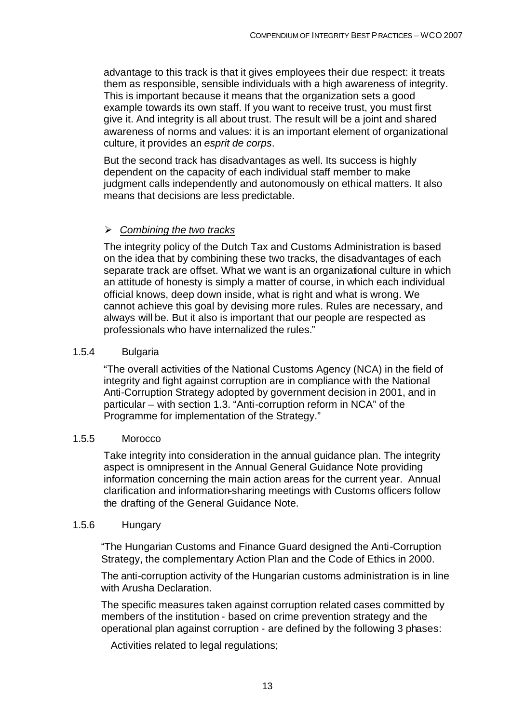advantage to this track is that it gives employees their due respect: it treats them as responsible, sensible individuals with a high awareness of integrity. This is important because it means that the organization sets a good example towards its own staff. If you want to receive trust, you must first give it. And integrity is all about trust. The result will be a joint and shared awareness of norms and values: it is an important element of organizational culture, it provides an *esprit de corps*.

But the second track has disadvantages as well. Its success is highly dependent on the capacity of each individual staff member to make judgment calls independently and autonomously on ethical matters. It also means that decisions are less predictable.

#### ÿ *Combining the two tracks*

The integrity policy of the Dutch Tax and Customs Administration is based on the idea that by combining these two tracks, the disadvantages of each separate track are offset. What we want is an organizational culture in which an attitude of honesty is simply a matter of course, in which each individual official knows, deep down inside, what is right and what is wrong. We cannot achieve this goal by devising more rules. Rules are necessary, and always will be. But it also is important that our people are respected as professionals who have internalized the rules."

#### 1.5.4 Bulgaria

"The overall activities of the National Customs Agency (NCA) in the field of integrity and fight against corruption are in compliance with the National Anti-Corruption Strategy adopted by government decision in 2001, and in particular – with section 1.3. "Anti-corruption reform in NCA" of the Programme for implementation of the Strategy."

#### 1.5.5 Morocco

Take integrity into consideration in the annual guidance plan. The integrity aspect is omnipresent in the Annual General Guidance Note providing information concerning the main action areas for the current year. Annual clarification and information-sharing meetings with Customs officers follow the drafting of the General Guidance Note.

#### 1.5.6 Hungary

"The Hungarian Customs and Finance Guard designed the Anti-Corruption Strategy, the complementary Action Plan and the Code of Ethics in 2000.

The anti-corruption activity of the Hungarian customs administration is in line with Arusha Declaration.

The specific measures taken against corruption related cases committed by members of the institution - based on crime prevention strategy and the operational plan against corruption - are defined by the following 3 phases:

Activities related to legal regulations;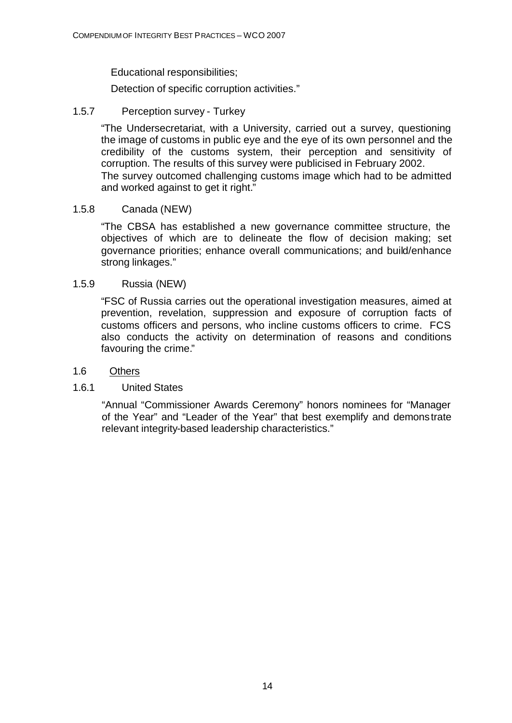Educational responsibilities;

Detection of specific corruption activities."

#### 1.5.7 Perception survey - Turkey

"The Undersecretariat, with a University, carried out a survey, questioning the image of customs in public eye and the eye of its own personnel and the credibility of the customs system, their perception and sensitivity of corruption. The results of this survey were publicised in February 2002. The survey outcomed challenging customs image which had to be admitted and worked against to get it right."

#### 1.5.8 Canada (NEW)

"The CBSA has established a new governance committee structure, the objectives of which are to delineate the flow of decision making; set governance priorities; enhance overall communications; and build/enhance strong linkages."

#### 1.5.9 Russia (NEW)

"FSC of Russia carries out the operational investigation measures, aimed at prevention, revelation, suppression and exposure of corruption facts of customs officers and persons, who incline customs officers to crime. FCS also conducts the activity on determination of reasons and conditions favouring the crime."

#### 1.6 Others

#### 1.6.1 United States

"Annual "Commissioner Awards Ceremony" honors nominees for "Manager of the Year" and "Leader of the Year" that best exemplify and demonstrate relevant integrity-based leadership characteristics."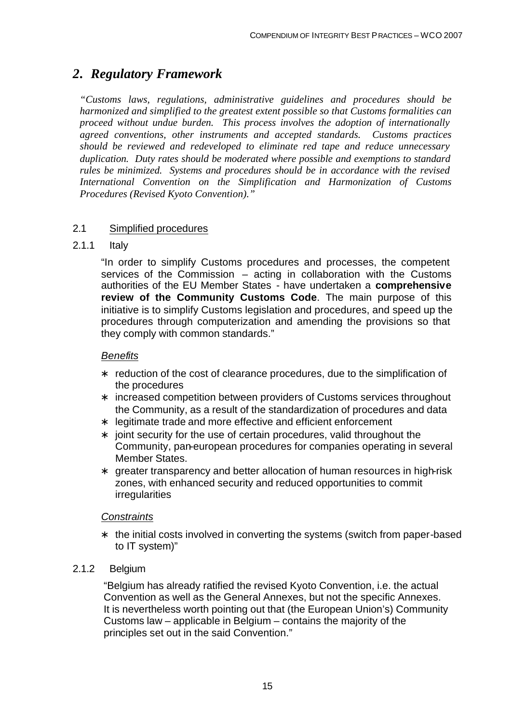## *2. Regulatory Framework*

*"Customs laws, regulations, administrative guidelines and procedures should be harmonized and simplified to the greatest extent possible so that Customs formalities can proceed without undue burden. This process involves the adoption of internationally agreed conventions, other instruments and accepted standards. Customs practices should be reviewed and redeveloped to eliminate red tape and reduce unnecessary duplication. Duty rates should be moderated where possible and exemptions to standard rules be minimized. Systems and procedures should be in accordance with the revised International Convention on the Simplification and Harmonization of Customs Procedures (Revised Kyoto Convention)."*

#### 2.1 Simplified procedures

#### 2.1.1 Italy

"In order to simplify Customs procedures and processes, the competent services of the Commission – acting in collaboration with the Customs authorities of the EU Member States - have undertaken a **comprehensive review of the Community Customs Code**. The main purpose of this initiative is to simplify Customs legislation and procedures, and speed up the procedures through computerization and amending the provisions so that they comply with common standards."

#### *Benefits*

- reduction of the cost of clearance procedures, due to the simplification of the procedures
- ∗ increased competition between providers of Customs services throughout the Community, as a result of the standardization of procedures and data
- ∗ legitimate trade and more effective and efficient enforcement
- ∗ joint security for the use of certain procedures, valid throughout the Community, pan-european procedures for companies operating in several Member States.
- ∗ greater transparency and better allocation of human resources in high-risk zones, with enhanced security and reduced opportunities to commit irregularities

#### *Constraints*

∗ the initial costs involved in converting the systems (switch from paper-based to IT system)"

#### 2.1.2 Belgium

"Belgium has already ratified the revised Kyoto Convention, i.e. the actual Convention as well as the General Annexes, but not the specific Annexes. It is nevertheless worth pointing out that (the European Union's) Community Customs law – applicable in Belgium – contains the majority of the principles set out in the said Convention."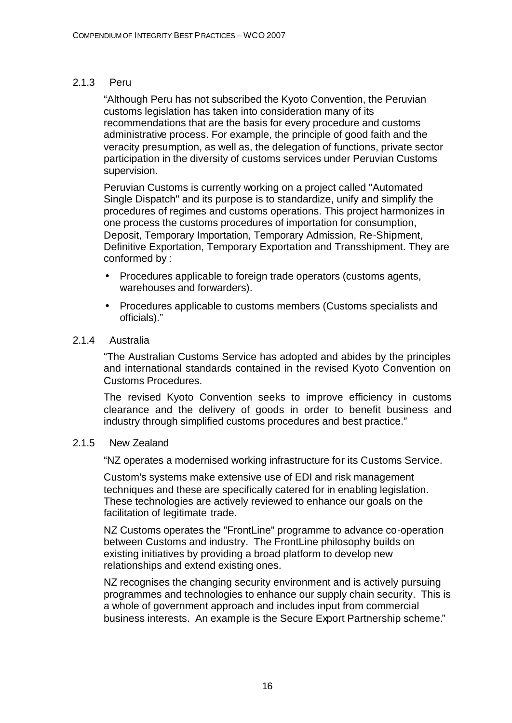#### 2.1.3 Peru

"Although Peru has not subscribed the Kyoto Convention, the Peruvian customs legislation has taken into consideration many of its recommendations that are the basis for every procedure and customs administrative process. For example, the principle of good faith and the veracity presumption, as well as, the delegation of functions, private sector participation in the diversity of customs services under Peruvian Customs supervision.

Peruvian Customs is currently working on a project called "Automated Single Dispatch" and its purpose is to standardize, unify and simplify the procedures of regimes and customs operations. This project harmonizes in one process the customs procedures of importation for consumption, Deposit, Temporary Importation, Temporary Admission, Re-Shipment, Definitive Exportation, Temporary Exportation and Transshipment. They are conformed by :

- Procedures applicable to foreign trade operators (customs agents, warehouses and forwarders).
- Procedures applicable to customs members (Customs specialists and officials)."

#### 2.1.4 Australia

"The Australian Customs Service has adopted and abides by the principles and international standards contained in the revised Kyoto Convention on Customs Procedures.

The revised Kyoto Convention seeks to improve efficiency in customs clearance and the delivery of goods in order to benefit business and industry through simplified customs procedures and best practice."

#### 2.1.5 New Zealand

"NZ operates a modernised working infrastructure for its Customs Service.

Custom's systems make extensive use of EDI and risk management techniques and these are specifically catered for in enabling legislation. These technologies are actively reviewed to enhance our goals on the facilitation of legitimate trade.

NZ Customs operates the "FrontLine" programme to advance co-operation between Customs and industry. The FrontLine philosophy builds on existing initiatives by providing a broad platform to develop new relationships and extend existing ones.

NZ recognises the changing security environment and is actively pursuing programmes and technologies to enhance our supply chain security. This is a whole of government approach and includes input from commercial business interests. An example is the Secure Export Partnership scheme."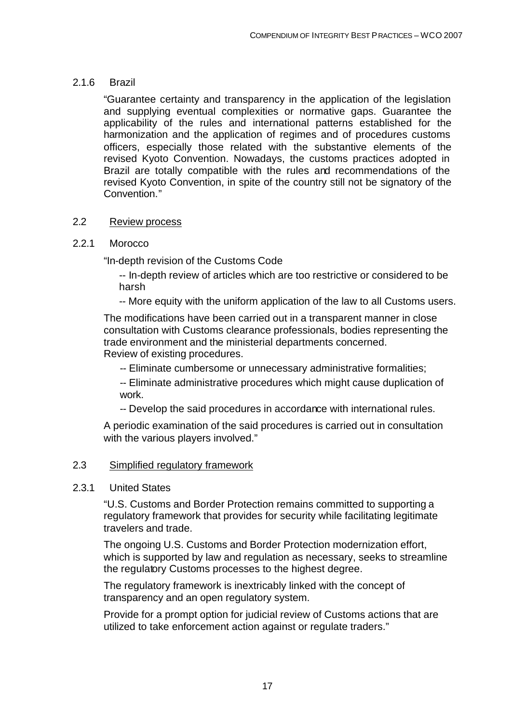#### 2.1.6 Brazil

"Guarantee certainty and transparency in the application of the legislation and supplying eventual complexities or normative gaps. Guarantee the applicability of the rules and international patterns established for the harmonization and the application of regimes and of procedures customs officers, especially those related with the substantive elements of the revised Kyoto Convention. Nowadays, the customs practices adopted in Brazil are totally compatible with the rules and recommendations of the revised Kyoto Convention, in spite of the country still not be signatory of the Convention."

#### 2.2 Review process

#### 2.2.1 Morocco

"In-depth revision of the Customs Code

-- In-depth review of articles which are too restrictive or considered to be harsh

-- More equity with the uniform application of the law to all Customs users.

The modifications have been carried out in a transparent manner in close consultation with Customs clearance professionals, bodies representing the trade environment and the ministerial departments concerned. Review of existing procedures.

- -- Eliminate cumbersome or unnecessary administrative formalities;
- -- Eliminate administrative procedures which might cause duplication of work.
- -- Develop the said procedures in accordance with international rules.

A periodic examination of the said procedures is carried out in consultation with the various players involved."

#### 2.3 Simplified regulatory framework

#### 2.3.1 United States

"U.S. Customs and Border Protection remains committed to supporting a regulatory framework that provides for security while facilitating legitimate travelers and trade.

The ongoing U.S. Customs and Border Protection modernization effort, which is supported by law and regulation as necessary, seeks to streamline the regulatory Customs processes to the highest degree.

The regulatory framework is inextricably linked with the concept of transparency and an open regulatory system.

Provide for a prompt option for judicial review of Customs actions that are utilized to take enforcement action against or regulate traders."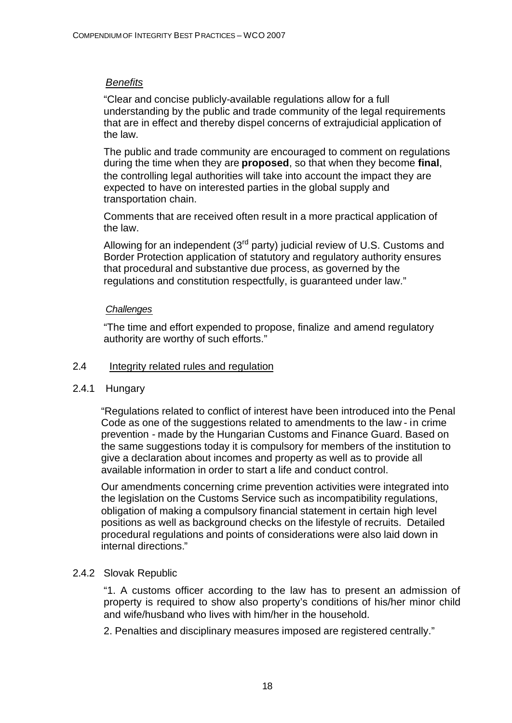#### *Benefits*

"Clear and concise publicly-available regulations allow for a full understanding by the public and trade community of the legal requirements that are in effect and thereby dispel concerns of extrajudicial application of the law.

The public and trade community are encouraged to comment on regulations during the time when they are **proposed**, so that when they become **final**, the controlling legal authorities will take into account the impact they are expected to have on interested parties in the global supply and transportation chain.

Comments that are received often result in a more practical application of the law.

Allowing for an independent  $(3<sup>rd</sup>$  party) judicial review of U.S. Customs and Border Protection application of statutory and regulatory authority ensures that procedural and substantive due process, as governed by the regulations and constitution respectfully, is guaranteed under law."

#### *Challenges*

"The time and effort expended to propose, finalize and amend regulatory authority are worthy of such efforts."

#### 2.4 Integrity related rules and regulation

#### 2.4.1 Hungary

"Regulations related to conflict of interest have been introduced into the Penal Code as one of the suggestions related to amendments to the law - in crime prevention - made by the Hungarian Customs and Finance Guard. Based on the same suggestions today it is compulsory for members of the institution to give a declaration about incomes and property as well as to provide all available information in order to start a life and conduct control.

Our amendments concerning crime prevention activities were integrated into the legislation on the Customs Service such as incompatibility regulations, obligation of making a compulsory financial statement in certain high level positions as well as background checks on the lifestyle of recruits. Detailed procedural regulations and points of considerations were also laid down in internal directions."

#### 2.4.2 Slovak Republic

"1. A customs officer according to the law has to present an admission of property is required to show also property's conditions of his/her minor child and wife/husband who lives with him/her in the household.

2. Penalties and disciplinary measures imposed are registered centrally."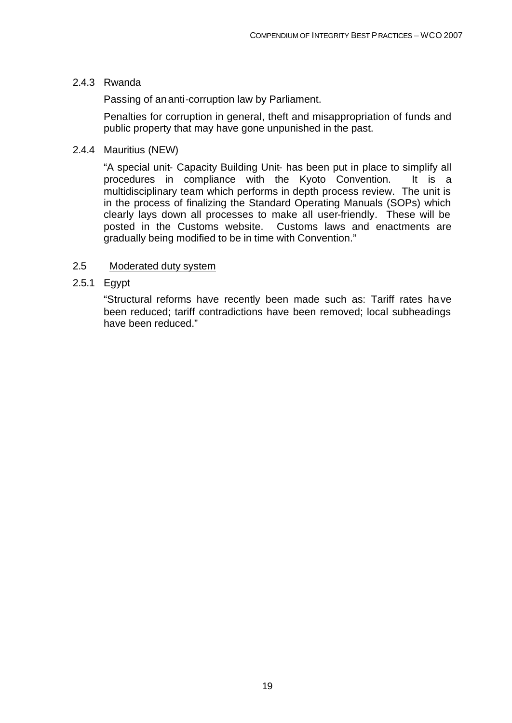#### 2.4.3 Rwanda

Passing of an anti-corruption law by Parliament.

Penalties for corruption in general, theft and misappropriation of funds and public property that may have gone unpunished in the past.

#### 2.4.4 Mauritius (NEW)

"A special unit- Capacity Building Unit- has been put in place to simplify all procedures in compliance with the Kyoto Convention. It is a multidisciplinary team which performs in depth process review. The unit is in the process of finalizing the Standard Operating Manuals (SOPs) which clearly lays down all processes to make all user-friendly. These will be posted in the Customs website. Customs laws and enactments are gradually being modified to be in time with Convention."

#### 2.5 Moderated duty system

2.5.1 Egypt

"Structural reforms have recently been made such as: Tariff rates have been reduced; tariff contradictions have been removed; local subheadings have been reduced."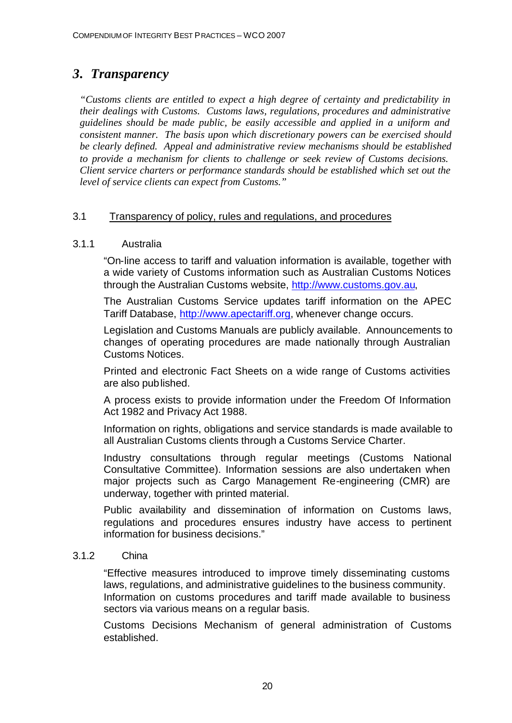## *3. Transparency*

*"Customs clients are entitled to expect a high degree of certainty and predictability in their dealings with Customs. Customs laws, regulations, procedures and administrative guidelines should be made public, be easily accessible and applied in a uniform and consistent manner. The basis upon which discretionary powers can be exercised should be clearly defined. Appeal and administrative review mechanisms should be established to provide a mechanism for clients to challenge or seek review of Customs decisions. Client service charters or performance standards should be established which set out the level of service clients can expect from Customs."*

#### 3.1 Transparency of policy, rules and regulations, and procedures

#### 3.1.1 Australia

"On-line access to tariff and valuation information is available, together with a wide variety of Customs information such as Australian Customs Notices through the Australian Customs website, http://www.customs.gov.au,

The Australian Customs Service updates tariff information on the APEC Tariff Database, http://www.apectariff.org, whenever change occurs.

Legislation and Customs Manuals are publicly available. Announcements to changes of operating procedures are made nationally through Australian Customs Notices.

Printed and electronic Fact Sheets on a wide range of Customs activities are also published.

A process exists to provide information under the Freedom Of Information Act 1982 and Privacy Act 1988.

Information on rights, obligations and service standards is made available to all Australian Customs clients through a Customs Service Charter.

Industry consultations through regular meetings (Customs National Consultative Committee). Information sessions are also undertaken when major projects such as Cargo Management Re-engineering (CMR) are underway, together with printed material.

Public availability and dissemination of information on Customs laws, regulations and procedures ensures industry have access to pertinent information for business decisions."

#### 3.1.2 China

"Effective measures introduced to improve timely disseminating customs laws, regulations, and administrative guidelines to the business community. Information on customs procedures and tariff made available to business sectors via various means on a regular basis.

Customs Decisions Mechanism of general administration of Customs established.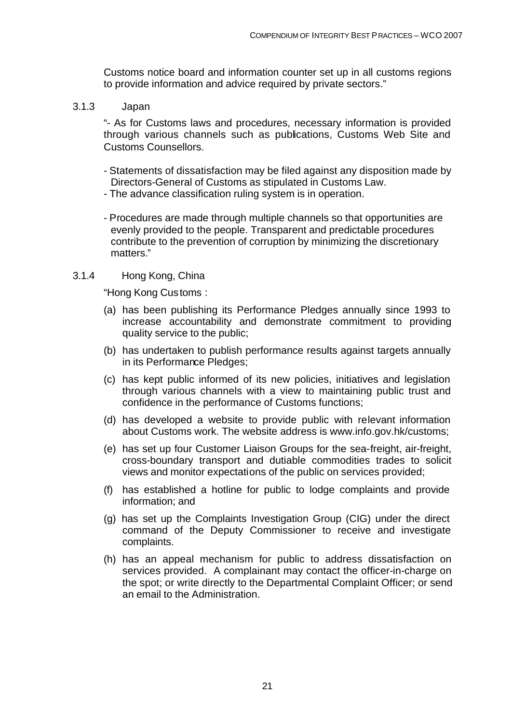Customs notice board and information counter set up in all customs regions to provide information and advice required by private sectors."

3.1.3 Japan

"- As for Customs laws and procedures, necessary information is provided through various channels such as publications, Customs Web Site and Customs Counsellors.

- Statements of dissatisfaction may be filed against any disposition made by Directors-General of Customs as stipulated in Customs Law.
- The advance classification ruling system is in operation.
- Procedures are made through multiple channels so that opportunities are evenly provided to the people. Transparent and predictable procedures contribute to the prevention of corruption by minimizing the discretionary matters."
- 3.1.4 Hong Kong, China

"Hong Kong Customs :

- (a) has been publishing its Performance Pledges annually since 1993 to increase accountability and demonstrate commitment to providing quality service to the public;
- (b) has undertaken to publish performance results against targets annually in its Performance Pledges;
- (c) has kept public informed of its new policies, initiatives and legislation through various channels with a view to maintaining public trust and confidence in the performance of Customs functions;
- (d) has developed a website to provide public with relevant information about Customs work. The website address is www.info.gov.hk/customs;
- (e) has set up four Customer Liaison Groups for the sea-freight, air-freight, cross-boundary transport and dutiable commodities trades to solicit views and monitor expectations of the public on services provided;
- (f) has established a hotline for public to lodge complaints and provide information; and
- (g) has set up the Complaints Investigation Group (CIG) under the direct command of the Deputy Commissioner to receive and investigate complaints.
- (h) has an appeal mechanism for public to address dissatisfaction on services provided. A complainant may contact the officer-in-charge on the spot; or write directly to the Departmental Complaint Officer; or send an email to the Administration.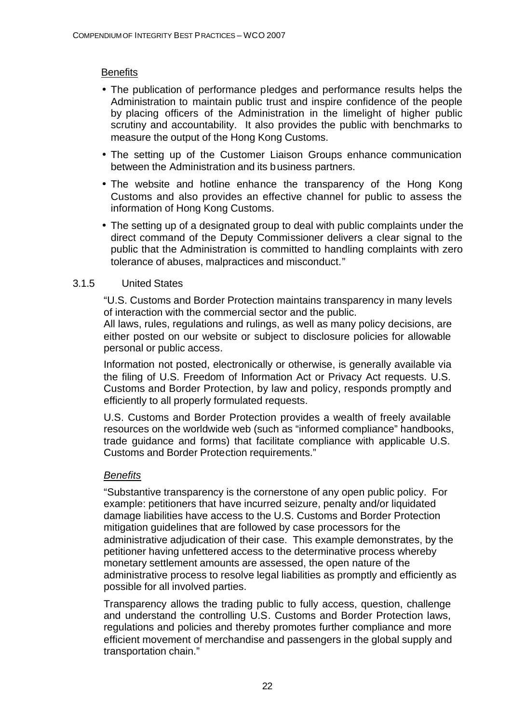#### **Benefits**

- The publication of performance pledges and performance results helps the Administration to maintain public trust and inspire confidence of the people by placing officers of the Administration in the limelight of higher public scrutiny and accountability. It also provides the public with benchmarks to measure the output of the Hong Kong Customs.
- The setting up of the Customer Liaison Groups enhance communication between the Administration and its business partners.
- The website and hotline enhance the transparency of the Hong Kong Customs and also provides an effective channel for public to assess the information of Hong Kong Customs.
- The setting up of a designated group to deal with public complaints under the direct command of the Deputy Commissioner delivers a clear signal to the public that the Administration is committed to handling complaints with zero tolerance of abuses, malpractices and misconduct."

#### 3.1.5 United States

"U.S. Customs and Border Protection maintains transparency in many levels of interaction with the commercial sector and the public.

All laws, rules, regulations and rulings, as well as many policy decisions, are either posted on our website or subject to disclosure policies for allowable personal or public access.

Information not posted, electronically or otherwise, is generally available via the filing of U.S. Freedom of Information Act or Privacy Act requests. U.S. Customs and Border Protection, by law and policy, responds promptly and efficiently to all properly formulated requests.

U.S. Customs and Border Protection provides a wealth of freely available resources on the worldwide web (such as "informed compliance" handbooks, trade guidance and forms) that facilitate compliance with applicable U.S. Customs and Border Protection requirements."

#### *Benefits*

"Substantive transparency is the cornerstone of any open public policy. For example: petitioners that have incurred seizure, penalty and/or liquidated damage liabilities have access to the U.S. Customs and Border Protection mitigation guidelines that are followed by case processors for the administrative adjudication of their case. This example demonstrates, by the petitioner having unfettered access to the determinative process whereby monetary settlement amounts are assessed, the open nature of the administrative process to resolve legal liabilities as promptly and efficiently as possible for all involved parties.

Transparency allows the trading public to fully access, question, challenge and understand the controlling U.S. Customs and Border Protection laws, regulations and policies and thereby promotes further compliance and more efficient movement of merchandise and passengers in the global supply and transportation chain."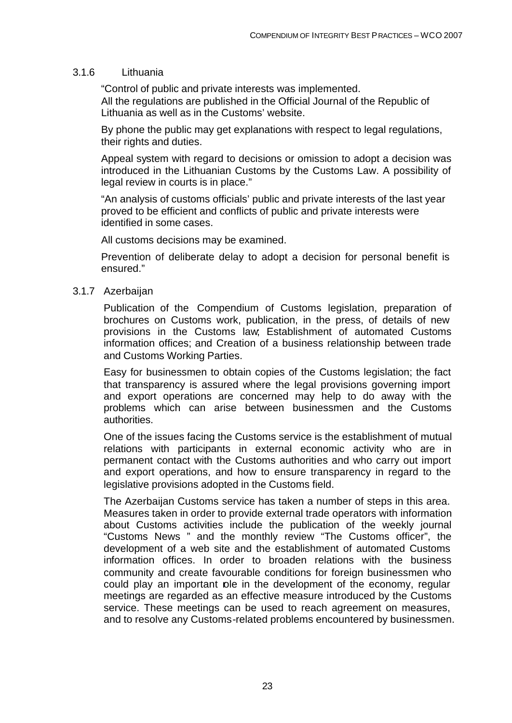#### 3.1.6 Lithuania

"Control of public and private interests was implemented. All the regulations are published in the Official Journal of the Republic of Lithuania as well as in the Customs' website.

By phone the public may get explanations with respect to legal regulations, their rights and duties.

Appeal system with regard to decisions or omission to adopt a decision was introduced in the Lithuanian Customs by the Customs Law. A possibility of legal review in courts is in place."

"An analysis of customs officials' public and private interests of the last year proved to be efficient and conflicts of public and private interests were identified in some cases.

All customs decisions may be examined.

Prevention of deliberate delay to adopt a decision for personal benefit is ensured."

#### 3.1.7 Azerbaijan

Publication of the Compendium of Customs legislation, preparation of brochures on Customs work, publication, in the press, of details of new provisions in the Customs law; Establishment of automated Customs information offices; and Creation of a business relationship between trade and Customs Working Parties.

Easy for businessmen to obtain copies of the Customs legislation; the fact that transparency is assured where the legal provisions governing import and export operations are concerned may help to do away with the problems which can arise between businessmen and the Customs authorities.

One of the issues facing the Customs service is the establishment of mutual relations with participants in external economic activity who are in permanent contact with the Customs authorities and who carry out import and export operations, and how to ensure transparency in regard to the legislative provisions adopted in the Customs field.

The Azerbaijan Customs service has taken a number of steps in this area. Measures taken in order to provide external trade operators with information about Customs activities include the publication of the weekly journal "Customs News " and the monthly review "The Customs officer", the development of a web site and the establishment of automated Customs information offices. In order to broaden relations with the business community and create favourable conditions for foreign businessmen who could play an important ple in the development of the economy, regular meetings are regarded as an effective measure introduced by the Customs service. These meetings can be used to reach agreement on measures, and to resolve any Customs-related problems encountered by businessmen.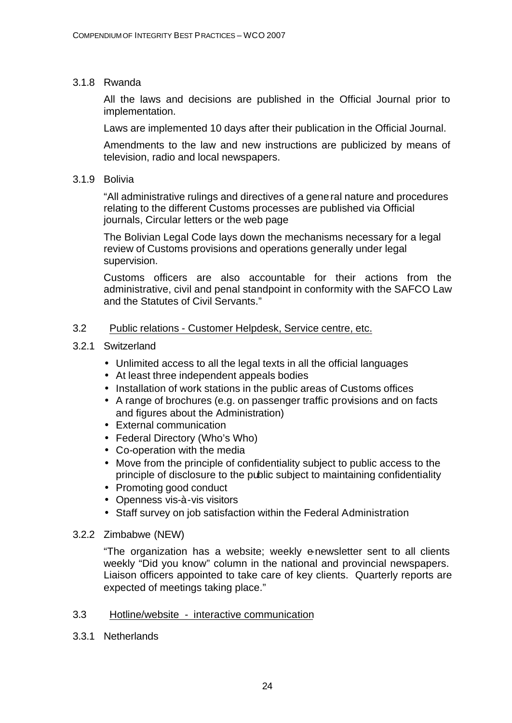#### 3.1.8 Rwanda

All the laws and decisions are published in the Official Journal prior to implementation.

Laws are implemented 10 days after their publication in the Official Journal.

Amendments to the law and new instructions are publicized by means of television, radio and local newspapers.

#### 3.1.9 Bolivia

"All administrative rulings and directives of a general nature and procedures relating to the different Customs processes are published via Official journals, Circular letters or the web page

The Bolivian Legal Code lays down the mechanisms necessary for a legal review of Customs provisions and operations generally under legal supervision.

Customs officers are also accountable for their actions from the administrative, civil and penal standpoint in conformity with the SAFCO Law and the Statutes of Civil Servants."

#### 3.2 Public relations - Customer Helpdesk, Service centre, etc.

#### 3.2.1 Switzerland

- Unlimited access to all the legal texts in all the official languages
- At least three independent appeals bodies
- Installation of work stations in the public areas of Customs offices
- A range of brochures (e.g. on passenger traffic provisions and on facts and figures about the Administration)
- External communication
- Federal Directory (Who's Who)
- Co-operation with the media
- Move from the principle of confidentiality subject to public access to the principle of disclosure to the public subject to maintaining confidentiality
- Promoting good conduct
- Openness vis-à-vis visitors
- Staff survey on job satisfaction within the Federal Administration

#### 3.2.2 Zimbabwe (NEW)

"The organization has a website; weekly e-newsletter sent to all clients weekly "Did you know" column in the national and provincial newspapers. Liaison officers appointed to take care of key clients. Quarterly reports are expected of meetings taking place."

#### 3.3 Hotline/website - interactive communication

3.3.1 Netherlands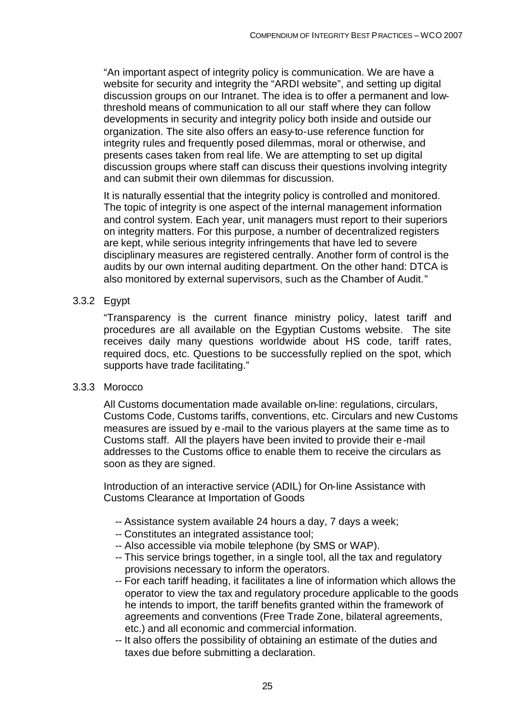"An important aspect of integrity policy is communication. We are have a website for security and integrity the "ARDI website", and setting up digital discussion groups on our Intranet. The idea is to offer a permanent and lowthreshold means of communication to all our staff where they can follow developments in security and integrity policy both inside and outside our organization. The site also offers an easy-to-use reference function for integrity rules and frequently posed dilemmas, moral or otherwise, and presents cases taken from real life. We are attempting to set up digital discussion groups where staff can discuss their questions involving integrity and can submit their own dilemmas for discussion.

It is naturally essential that the integrity policy is controlled and monitored. The topic of integrity is one aspect of the internal management information and control system. Each year, unit managers must report to their superiors on integrity matters. For this purpose, a number of decentralized registers are kept, while serious integrity infringements that have led to severe disciplinary measures are registered centrally. Another form of control is the audits by our own internal auditing department. On the other hand: DTCA is also monitored by external supervisors, such as the Chamber of Audit."

#### 3.3.2 Egypt

"Transparency is the current finance ministry policy, latest tariff and procedures are all available on the Egyptian Customs website. The site receives daily many questions worldwide about HS code, tariff rates, required docs, etc. Questions to be successfully replied on the spot, which supports have trade facilitating."

#### 3.3.3 Morocco

All Customs documentation made available on-line: regulations, circulars, Customs Code, Customs tariffs, conventions, etc. Circulars and new Customs measures are issued by e-mail to the various players at the same time as to Customs staff. All the players have been invited to provide their e-mail addresses to the Customs office to enable them to receive the circulars as soon as they are signed.

Introduction of an interactive service (ADIL) for On-line Assistance with Customs Clearance at Importation of Goods

- -- Assistance system available 24 hours a day, 7 days a week;
- -- Constitutes an integrated assistance tool;
- -- Also accessible via mobile telephone (by SMS or WAP).
- -- This service brings together, in a single tool, all the tax and regulatory provisions necessary to inform the operators.
- -- For each tariff heading, it facilitates a line of information which allows the operator to view the tax and regulatory procedure applicable to the goods he intends to import, the tariff benefits granted within the framework of agreements and conventions (Free Trade Zone, bilateral agreements, etc.) and all economic and commercial information.
- -- It also offers the possibility of obtaining an estimate of the duties and taxes due before submitting a declaration.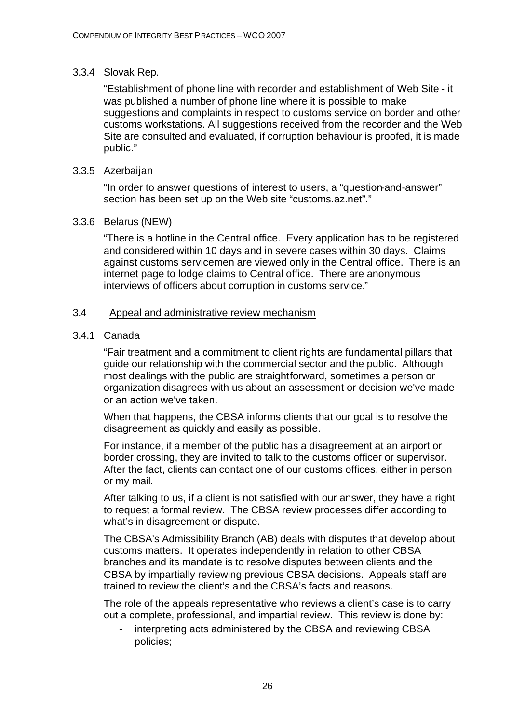#### 3.3.4 Slovak Rep.

"Establishment of phone line with recorder and establishment of Web Site - it was published a number of phone line where it is possible to make suggestions and complaints in respect to customs service on border and other customs workstations. All suggestions received from the recorder and the Web Site are consulted and evaluated, if corruption behaviour is proofed, it is made public."

#### 3.3.5 Azerbaijan

"In order to answer questions of interest to users, a "question-and-answer" section has been set up on the Web site "customs.az.net"."

#### 3.3.6 Belarus (NEW)

"There is a hotline in the Central office. Every application has to be registered and considered within 10 days and in severe cases within 30 days. Claims against customs servicemen are viewed only in the Central office. There is an internet page to lodge claims to Central office. There are anonymous interviews of officers about corruption in customs service."

#### 3.4 Appeal and administrative review mechanism

#### 3.4.1 Canada

"Fair treatment and a commitment to client rights are fundamental pillars that guide our relationship with the commercial sector and the public. Although most dealings with the public are straightforward, sometimes a person or organization disagrees with us about an assessment or decision we've made or an action we've taken.

When that happens, the CBSA informs clients that our goal is to resolve the disagreement as quickly and easily as possible.

For instance, if a member of the public has a disagreement at an airport or border crossing, they are invited to talk to the customs officer or supervisor. After the fact, clients can contact one of our customs offices, either in person or my mail.

After talking to us, if a client is not satisfied with our answer, they have a right to request a formal review. The CBSA review processes differ according to what's in disagreement or dispute.

The CBSA's Admissibility Branch (AB) deals with disputes that develop about customs matters. It operates independently in relation to other CBSA branches and its mandate is to resolve disputes between clients and the CBSA by impartially reviewing previous CBSA decisions. Appeals staff are trained to review the client's and the CBSA's facts and reasons.

The role of the appeals representative who reviews a client's case is to carry out a complete, professional, and impartial review. This review is done by:

interpreting acts administered by the CBSA and reviewing CBSA policies;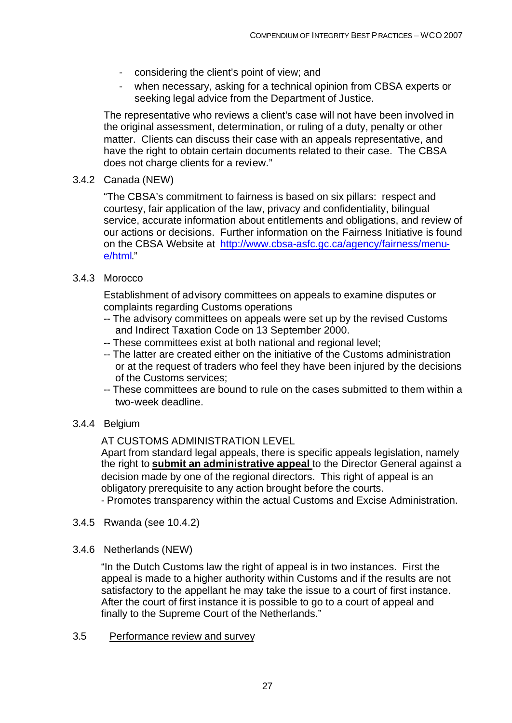- considering the client's point of view; and
- when necessary, asking for a technical opinion from CBSA experts or seeking legal advice from the Department of Justice.

The representative who reviews a client's case will not have been involved in the original assessment, determination, or ruling of a duty, penalty or other matter. Clients can discuss their case with an appeals representative, and have the right to obtain certain documents related to their case. The CBSA does not charge clients for a review."

#### 3.4.2 Canada (NEW)

"The CBSA's commitment to fairness is based on six pillars: respect and courtesy, fair application of the law, privacy and confidentiality, bilingual service, accurate information about entitlements and obligations, and review of our actions or decisions. Further information on the Fairness Initiative is found on the CBSA Website at http://www.cbsa-asfc.gc.ca/agency/fairness/menue/html."

#### 3.4.3 Morocco

Establishment of advisory committees on appeals to examine disputes or complaints regarding Customs operations

- -- The advisory committees on appeals were set up by the revised Customs and Indirect Taxation Code on 13 September 2000.
- -- These committees exist at both national and regional level;
- -- The latter are created either on the initiative of the Customs administration or at the request of traders who feel they have been injured by the decisions of the Customs services;
- -- These committees are bound to rule on the cases submitted to them within a two-week deadline.

#### 3.4.4 Belgium

AT CUSTOMS ADMINISTRATION LEVEL

Apart from standard legal appeals, there is specific appeals legislation, namely the right to **submit an administrative appeal** to the Director General against a decision made by one of the regional directors. This right of appeal is an obligatory prerequisite to any action brought before the courts.

- Promotes transparency within the actual Customs and Excise Administration.

- 3.4.5 Rwanda (see 10.4.2)
- 3.4.6 Netherlands (NEW)

"In the Dutch Customs law the right of appeal is in two instances. First the appeal is made to a higher authority within Customs and if the results are not satisfactory to the appellant he may take the issue to a court of first instance. After the court of first instance it is possible to go to a court of appeal and finally to the Supreme Court of the Netherlands."

#### 3.5 Performance review and survey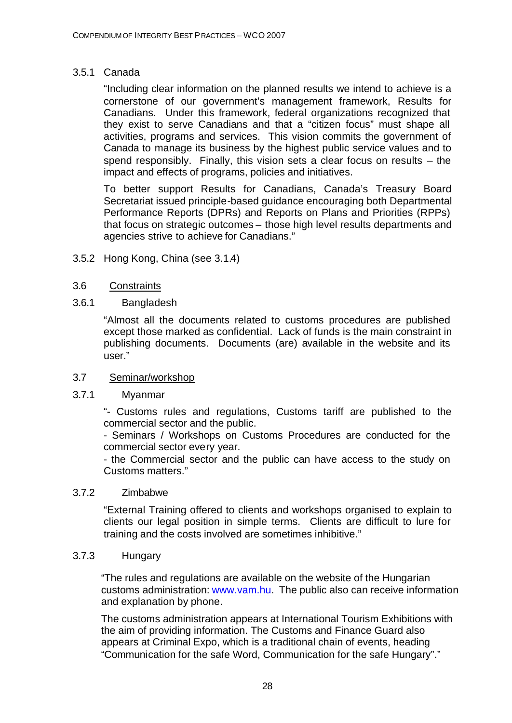#### 3.5.1 Canada

"Including clear information on the planned results we intend to achieve is a cornerstone of our government's management framework, Results for Canadians. Under this framework, federal organizations recognized that they exist to serve Canadians and that a "citizen focus" must shape all activities, programs and services. This vision commits the government of Canada to manage its business by the highest public service values and to spend responsibly. Finally, this vision sets a clear focus on results – the impact and effects of programs, policies and initiatives.

To better support Results for Canadians, Canada's Treasury Board Secretariat issued principle-based guidance encouraging both Departmental Performance Reports (DPRs) and Reports on Plans and Priorities (RPPs) that focus on strategic outcomes – those high level results departments and agencies strive to achieve for Canadians."

3.5.2 Hong Kong, China (see 3.1.4)

#### 3.6 Constraints

#### 3.6.1 Bangladesh

"Almost all the documents related to customs procedures are published except those marked as confidential. Lack of funds is the main constraint in publishing documents. Documents (are) available in the website and its user."

#### 3.7 Seminar/workshop

#### 3.7.1 Myanmar

"- Customs rules and regulations, Customs tariff are published to the commercial sector and the public.

- Seminars / Workshops on Customs Procedures are conducted for the commercial sector every year.

- the Commercial sector and the public can have access to the study on Customs matters."

#### 3.7.2 Zimbabwe

"External Training offered to clients and workshops organised to explain to clients our legal position in simple terms. Clients are difficult to lure for training and the costs involved are sometimes inhibitive."

#### 3.7.3 Hungary

"The rules and regulations are available on the website of the Hungarian customs administration: www.vam.hu. The public also can receive information and explanation by phone.

The customs administration appears at International Tourism Exhibitions with the aim of providing information. The Customs and Finance Guard also appears at Criminal Expo, which is a traditional chain of events, heading "Communication for the safe Word, Communication for the safe Hungary"."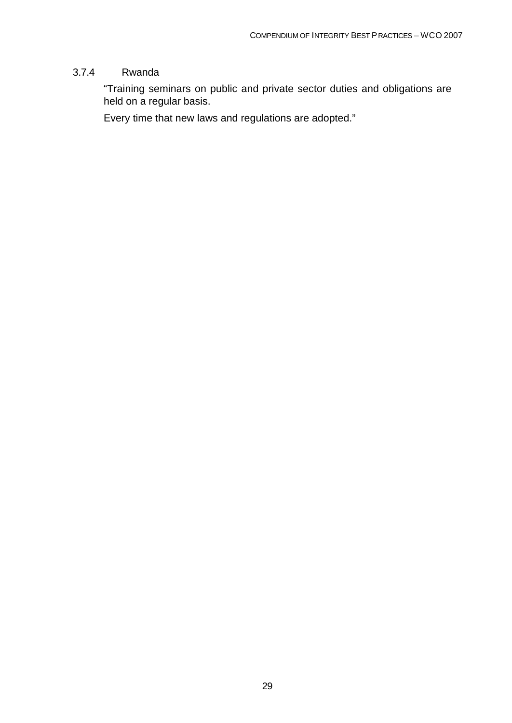#### 3.7.4 Rwanda

"Training seminars on public and private sector duties and obligations are held on a regular basis.

Every time that new laws and regulations are adopted."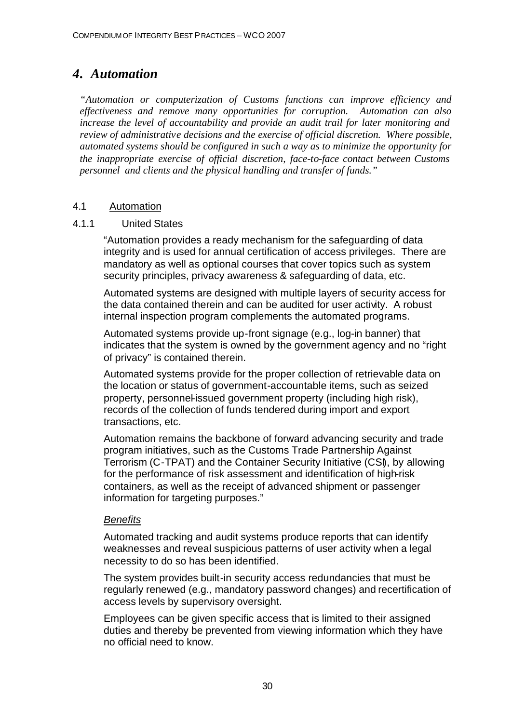## *4. Automation*

*"Automation or computerization of Customs functions can improve efficiency and effectiveness and remove many opportunities for corruption. Automation can also increase the level of accountability and provide an audit trail for later monitoring and review of administrative decisions and the exercise of official discretion. Where possible, automated systems should be configured in such a way as to minimize the opportunity for the inappropriate exercise of official discretion, face-to-face contact between Customs personnel and clients and the physical handling and transfer of funds."*

#### 4.1 Automation

#### 4.1.1 United States

"Automation provides a ready mechanism for the safeguarding of data integrity and is used for annual certification of access privileges. There are mandatory as well as optional courses that cover topics such as system security principles, privacy awareness & safeguarding of data, etc.

Automated systems are designed with multiple layers of security access for the data contained therein and can be audited for user activity. A robust internal inspection program complements the automated programs.

Automated systems provide up-front signage (e.g., log-in banner) that indicates that the system is owned by the government agency and no "right of privacy" is contained therein.

Automated systems provide for the proper collection of retrievable data on the location or status of government-accountable items, such as seized property, personnel-issued government property (including high risk), records of the collection of funds tendered during import and export transactions, etc.

Automation remains the backbone of forward advancing security and trade program initiatives, such as the Customs Trade Partnership Against Terrorism (C-TPAT) and the Container Security Initiative (CSI), by allowing for the performance of risk assessment and identification of high-risk containers, as well as the receipt of advanced shipment or passenger information for targeting purposes."

#### *Benefits*

Automated tracking and audit systems produce reports that can identify weaknesses and reveal suspicious patterns of user activity when a legal necessity to do so has been identified.

The system provides built-in security access redundancies that must be regularly renewed (e.g., mandatory password changes) and recertification of access levels by supervisory oversight.

Employees can be given specific access that is limited to their assigned duties and thereby be prevented from viewing information which they have no official need to know.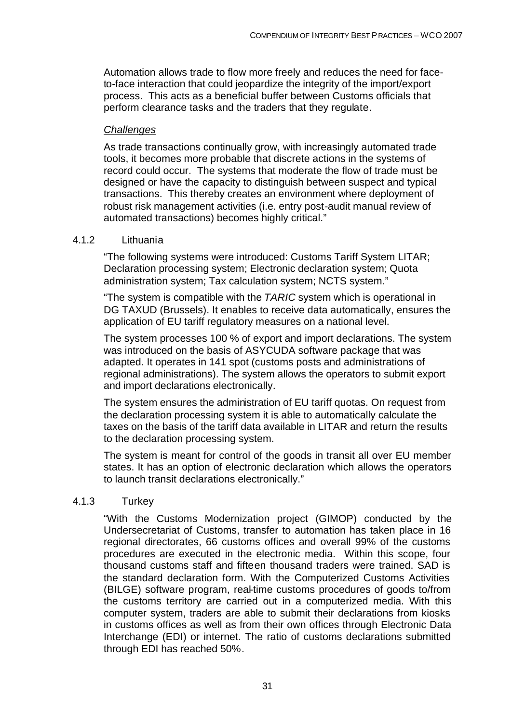Automation allows trade to flow more freely and reduces the need for faceto-face interaction that could jeopardize the integrity of the import/export process. This acts as a beneficial buffer between Customs officials that perform clearance tasks and the traders that they regulate.

#### *Challenges*

As trade transactions continually grow, with increasingly automated trade tools, it becomes more probable that discrete actions in the systems of record could occur. The systems that moderate the flow of trade must be designed or have the capacity to distinguish between suspect and typical transactions. This thereby creates an environment where deployment of robust risk management activities (i.e. entry post-audit manual review of automated transactions) becomes highly critical."

#### 4.1.2 Lithuania

"The following systems were introduced: Customs Tariff System LITAR; Declaration processing system; Electronic declaration system; Quota administration system; Tax calculation system; NCTS system."

"The system is compatible with the *TARIC* system which is operational in DG TAXUD (Brussels). It enables to receive data automatically, ensures the application of EU tariff regulatory measures on a national level.

The system processes 100 % of export and import declarations. The system was introduced on the basis of ASYCUDA software package that was adapted. It operates in 141 spot (customs posts and administrations of regional administrations). The system allows the operators to submit export and import declarations electronically.

The system ensures the administration of EU tariff quotas. On request from the declaration processing system it is able to automatically calculate the taxes on the basis of the tariff data available in LITAR and return the results to the declaration processing system.

The system is meant for control of the goods in transit all over EU member states. It has an option of electronic declaration which allows the operators to launch transit declarations electronically."

#### 4.1.3 Turkey

"With the Customs Modernization project (GIMOP) conducted by the Undersecretariat of Customs, transfer to automation has taken place in 16 regional directorates, 66 customs offices and overall 99% of the customs procedures are executed in the electronic media. Within this scope, four thousand customs staff and fifteen thousand traders were trained. SAD is the standard declaration form. With the Computerized Customs Activities (BILGE) software program, real-time customs procedures of goods to/from the customs territory are carried out in a computerized media. With this computer system, traders are able to submit their declarations from kiosks in customs offices as well as from their own offices through Electronic Data Interchange (EDI) or internet. The ratio of customs declarations submitted through EDI has reached 50%.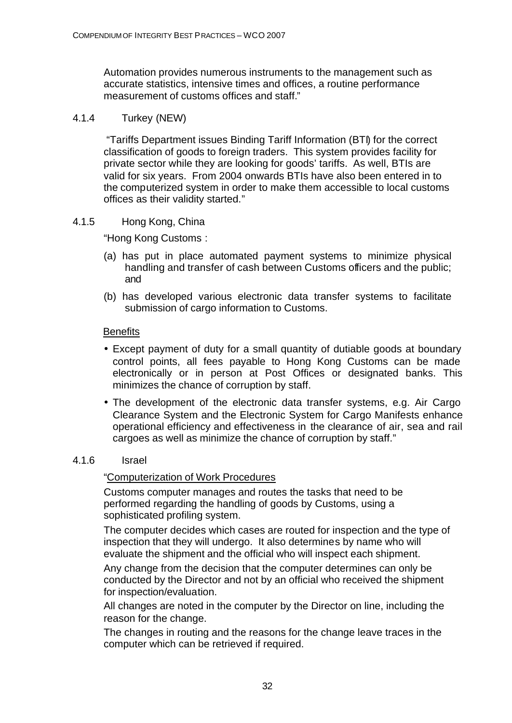Automation provides numerous instruments to the management such as accurate statistics, intensive times and offices, a routine performance measurement of customs offices and staff."

#### 4.1.4 Turkey (NEW)

 "Tariffs Department issues Binding Tariff Information (BTI) for the correct classification of goods to foreign traders. This system provides facility for private sector while they are looking for goods' tariffs. As well, BTIs are valid for six years. From 2004 onwards BTIs have also been entered in to the computerized system in order to make them accessible to local customs offices as their validity started."

#### 4.1.5 Hong Kong, China

"Hong Kong Customs :

- (a) has put in place automated payment systems to minimize physical handling and transfer of cash between Customs officers and the public; and
- (b) has developed various electronic data transfer systems to facilitate submission of cargo information to Customs.

#### **Benefits**

- Except payment of duty for a small quantity of dutiable goods at boundary control points, all fees payable to Hong Kong Customs can be made electronically or in person at Post Offices or designated banks. This minimizes the chance of corruption by staff.
- The development of the electronic data transfer systems, e.g. Air Cargo Clearance System and the Electronic System for Cargo Manifests enhance operational efficiency and effectiveness in the clearance of air, sea and rail cargoes as well as minimize the chance of corruption by staff."

#### 4.1.6 Israel

#### "Computerization of Work Procedures

Customs computer manages and routes the tasks that need to be performed regarding the handling of goods by Customs, using a sophisticated profiling system.

The computer decides which cases are routed for inspection and the type of inspection that they will undergo. It also determines by name who will evaluate the shipment and the official who will inspect each shipment.

Any change from the decision that the computer determines can only be conducted by the Director and not by an official who received the shipment for inspection/evaluation.

All changes are noted in the computer by the Director on line, including the reason for the change.

The changes in routing and the reasons for the change leave traces in the computer which can be retrieved if required.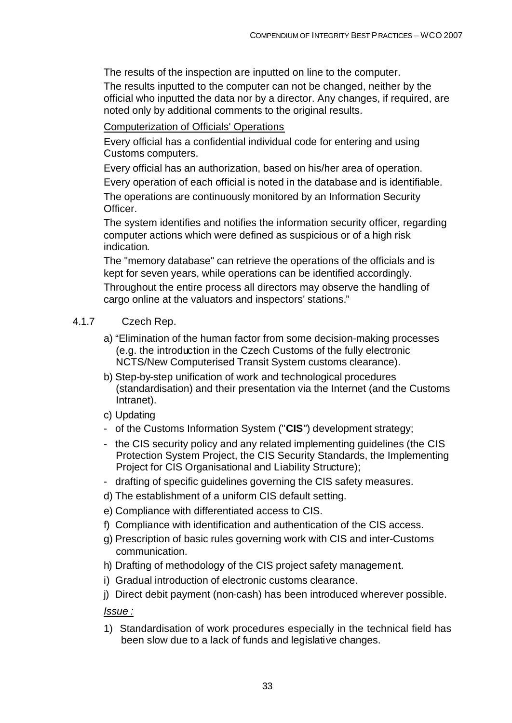The results of the inspection are inputted on line to the computer.

The results inputted to the computer can not be changed, neither by the official who inputted the data nor by a director. Any changes, if required, are noted only by additional comments to the original results.

#### Computerization of Officials' Operations

Every official has a confidential individual code for entering and using Customs computers.

Every official has an authorization, based on his/her area of operation.

Every operation of each official is noted in the database and is identifiable.

The operations are continuously monitored by an Information Security Officer.

The system identifies and notifies the information security officer, regarding computer actions which were defined as suspicious or of a high risk indication.

The "memory database" can retrieve the operations of the officials and is kept for seven years, while operations can be identified accordingly. Throughout the entire process all directors may observe the handling of cargo online at the valuators and inspectors' stations."

#### 4.1.7 Czech Rep.

- a) "Elimination of the human factor from some decision-making processes (e.g. the introduction in the Czech Customs of the fully electronic NCTS/New Computerised Transit System customs clearance).
- b) Step-by-step unification of work and technological procedures (standardisation) and their presentation via the Internet (and the Customs Intranet).
- c) Updating
- of the Customs Information System ("**CIS**") development strategy;
- the CIS security policy and any related implementing guidelines (the CIS Protection System Project, the CIS Security Standards, the Implementing Project for CIS Organisational and Liability Structure);
- drafting of specific guidelines governing the CIS safety measures.
- d) The establishment of a uniform CIS default setting.
- e) Compliance with differentiated access to CIS.
- f) Compliance with identification and authentication of the CIS access.
- g) Prescription of basic rules governing work with CIS and inter-Customs communication.
- h) Drafting of methodology of the CIS project safety management.
- i) Gradual introduction of electronic customs clearance.
- j) Direct debit payment (non-cash) has been introduced wherever possible.

#### *Issue :*

1) Standardisation of work procedures especially in the technical field has been slow due to a lack of funds and legislative changes.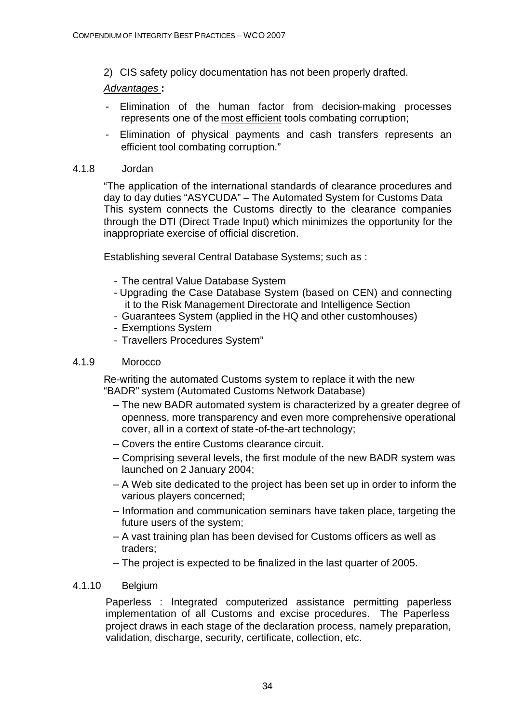2) CIS safety policy documentation has not been properly drafted.

#### *Advantages* **:**

- Elimination of the human factor from decision-making processes represents one of the most efficient tools combating corruption;
- Elimination of physical payments and cash transfers represents an efficient tool combating corruption."

#### 4.1.8 Jordan

"The application of the international standards of clearance procedures and day to day duties "ASYCUDA" – The Automated System for Customs Data This system connects the Customs directly to the clearance companies through the DTI (Direct Trade Input) which minimizes the opportunity for the inappropriate exercise of official discretion.

Establishing several Central Database Systems; such as :

- The central Value Database System
- Upgrading the Case Database System (based on CEN) and connecting it to the Risk Management Directorate and Intelligence Section
- Guarantees System (applied in the HQ and other customhouses)
- Exemptions System
- Travellers Procedures System"

#### 4.1.9 Morocco

Re-writing the automated Customs system to replace it with the new "BADR" system (Automated Customs Network Database)

- -- The new BADR automated system is characterized by a greater degree of openness, more transparency and even more comprehensive operational cover, all in a context of state-of-the-art technology;
- -- Covers the entire Customs clearance circuit.
- -- Comprising several levels, the first module of the new BADR system was launched on 2 January 2004;
- -- A Web site dedicated to the project has been set up in order to inform the various players concerned;
- -- Information and communication seminars have taken place, targeting the future users of the system;
- -- A vast training plan has been devised for Customs officers as well as traders;
- -- The project is expected to be finalized in the last quarter of 2005.

#### 4.1.10 Belgium

Paperless : Integrated computerized assistance permitting paperless implementation of all Customs and excise procedures. The Paperless project draws in each stage of the declaration process, namely preparation, validation, discharge, security, certificate, collection, etc.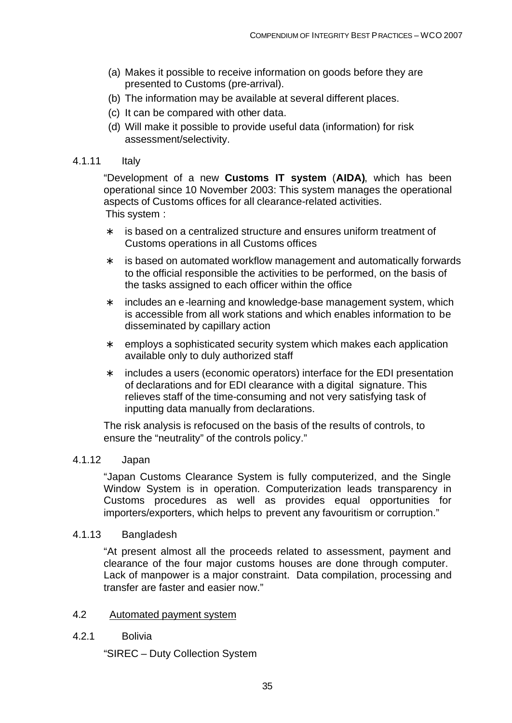- (a) Makes it possible to receive information on goods before they are presented to Customs (pre-arrival).
- (b) The information may be available at several different places.
- (c) It can be compared with other data.
- (d) Will make it possible to provide useful data (information) for risk assessment/selectivity.

#### 4.1.11 Italy

"Development of a new **Customs IT system** (**AIDA)**, which has been operational since 10 November 2003: This system manages the operational aspects of Customs offices for all clearance-related activities. This system :

- ∗ is based on a centralized structure and ensures uniform treatment of Customs operations in all Customs offices
- ∗ is based on automated workflow management and automatically forwards to the official responsible the activities to be performed, on the basis of the tasks assigned to each officer within the office
- ∗ includes an e-learning and knowledge-base management system, which is accessible from all work stations and which enables information to be disseminated by capillary action
- ∗ employs a sophisticated security system which makes each application available only to duly authorized staff
- ∗ includes a users (economic operators) interface for the EDI presentation of declarations and for EDI clearance with a digital signature. This relieves staff of the time-consuming and not very satisfying task of inputting data manually from declarations.

The risk analysis is refocused on the basis of the results of controls, to ensure the "neutrality" of the controls policy."

#### 4.1.12 Japan

"Japan Customs Clearance System is fully computerized, and the Single Window System is in operation. Computerization leads transparency in Customs procedures as well as provides equal opportunities for importers/exporters, which helps to prevent any favouritism or corruption."

#### 4.1.13 Bangladesh

"At present almost all the proceeds related to assessment, payment and clearance of the four major customs houses are done through computer. Lack of manpower is a major constraint. Data compilation, processing and transfer are faster and easier now."

#### 4.2 Automated payment system

4.2.1 Bolivia

"SIREC – Duty Collection System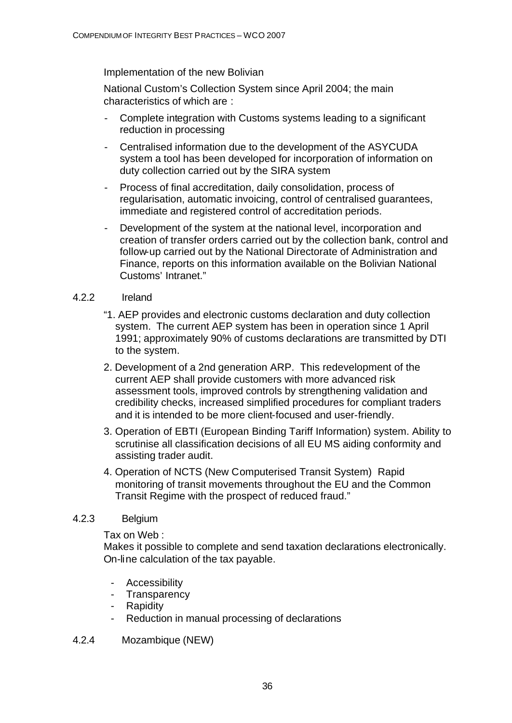Implementation of the new Bolivian

National Custom's Collection System since April 2004; the main characteristics of which are :

- Complete integration with Customs systems leading to a significant reduction in processing
- Centralised information due to the development of the ASYCUDA system a tool has been developed for incorporation of information on duty collection carried out by the SIRA system
- Process of final accreditation, daily consolidation, process of regularisation, automatic invoicing, control of centralised guarantees, immediate and registered control of accreditation periods.
- Development of the system at the national level, incorporation and creation of transfer orders carried out by the collection bank, control and follow-up carried out by the National Directorate of Administration and Finance, reports on this information available on the Bolivian National Customs' Intranet."

#### 4.2.2 Ireland

- "1. AEP provides and electronic customs declaration and duty collection system. The current AEP system has been in operation since 1 April 1991; approximately 90% of customs declarations are transmitted by DTI to the system.
- 2. Development of a 2nd generation ARP. This redevelopment of the current AEP shall provide customers with more advanced risk assessment tools, improved controls by strengthening validation and credibility checks, increased simplified procedures for compliant traders and it is intended to be more client-focused and user-friendly.
- 3. Operation of EBTI (European Binding Tariff Information) system. Ability to scrutinise all classification decisions of all EU MS aiding conformity and assisting trader audit.
- 4. Operation of NCTS (New Computerised Transit System) Rapid monitoring of transit movements throughout the EU and the Common Transit Regime with the prospect of reduced fraud."

#### 4.2.3 Belgium

Tax on Web :

Makes it possible to complete and send taxation declarations electronically. On-line calculation of the tax payable.

- Accessibility
- Transparency
- Rapidity
- Reduction in manual processing of declarations
- 4.2.4 Mozambique (NEW)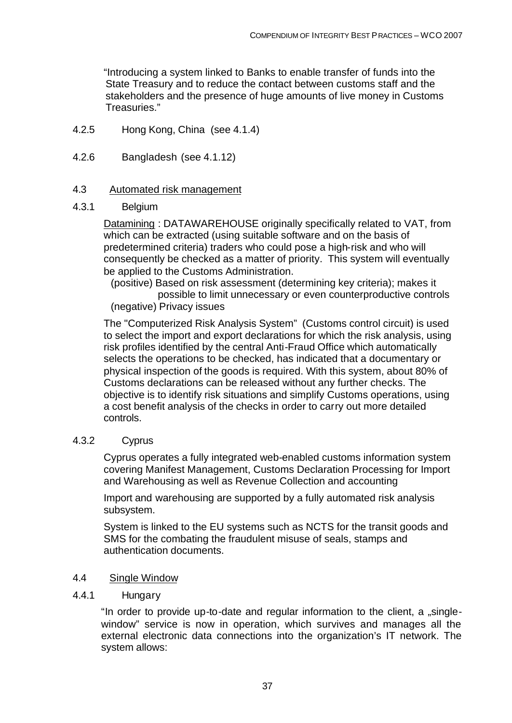"Introducing a system linked to Banks to enable transfer of funds into the State Treasury and to reduce the contact between customs staff and the stakeholders and the presence of huge amounts of live money in Customs Treasuries."

- 4.2.5 Hong Kong, China (see 4.1.4)
- 4.2.6 Bangladesh (see 4.1.12)

## 4.3 Automated risk management

### 4.3.1 Belgium

Datamining : DATAWAREHOUSE originally specifically related to VAT, from which can be extracted (using suitable software and on the basis of predetermined criteria) traders who could pose a high-risk and who will consequently be checked as a matter of priority. This system will eventually be applied to the Customs Administration.

(positive) Based on risk assessment (determining key criteria); makes it possible to limit unnecessary or even counterproductive controls (negative) Privacy issues

The "Computerized Risk Analysis System" (Customs control circuit) is used to select the import and export declarations for which the risk analysis, using risk profiles identified by the central Anti-Fraud Office which automatically selects the operations to be checked, has indicated that a documentary or physical inspection of the goods is required. With this system, about 80% of Customs declarations can be released without any further checks. The objective is to identify risk situations and simplify Customs operations, using a cost benefit analysis of the checks in order to carry out more detailed controls.

## 4.3.2 Cyprus

Cyprus operates a fully integrated web-enabled customs information system covering Manifest Management, Customs Declaration Processing for Import and Warehousing as well as Revenue Collection and accounting

Import and warehousing are supported by a fully automated risk analysis subsystem.

System is linked to the EU systems such as NCTS for the transit goods and SMS for the combating the fraudulent misuse of seals, stamps and authentication documents.

## 4.4 Single Window

### 4.4.1 Hungary

"In order to provide up-to-date and regular information to the client, a "singlewindow" service is now in operation, which survives and manages all the external electronic data connections into the organization's IT network. The system allows: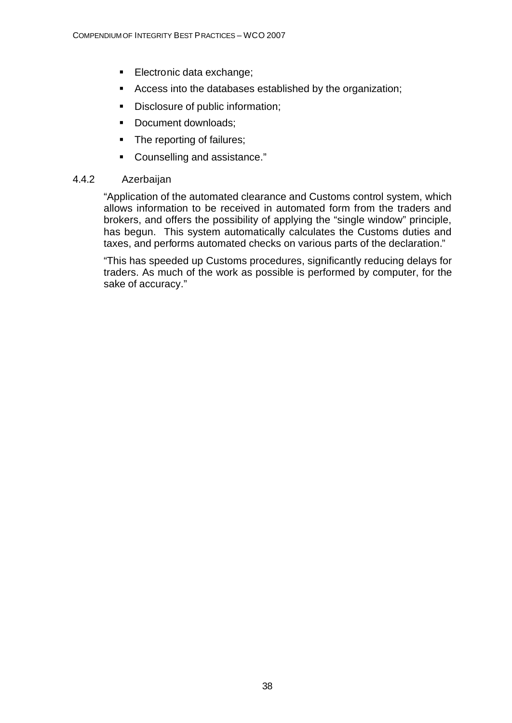- **Electronic data exchange;**
- **EXEC** Access into the databases established by the organization;
- **•** Disclosure of public information;
- Document downloads;
- The reporting of failures;
- Counselling and assistance."

## 4.4.2 Azerbaijan

"Application of the automated clearance and Customs control system, which allows information to be received in automated form from the traders and brokers, and offers the possibility of applying the "single window" principle, has begun. This system automatically calculates the Customs duties and taxes, and performs automated checks on various parts of the declaration."

"This has speeded up Customs procedures, significantly reducing delays for traders. As much of the work as possible is performed by computer, for the sake of accuracy."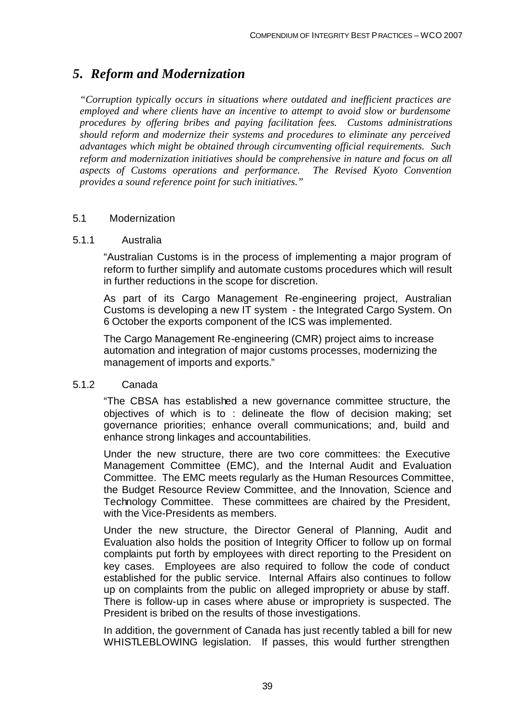# *5. Reform and Modernization*

*"Corruption typically occurs in situations where outdated and inefficient practices are employed and where clients have an incentive to attempt to avoid slow or burdensome procedures by offering bribes and paying facilitation fees. Customs administrations should reform and modernize their systems and procedures to eliminate any perceived advantages which might be obtained through circumventing official requirements. Such reform and modernization initiatives should be comprehensive in nature and focus on all aspects of Customs operations and performance. The Revised Kyoto Convention provides a sound reference point for such initiatives."*

## 5.1 Modernization

## 5.1.1 Australia

"Australian Customs is in the process of implementing a major program of reform to further simplify and automate customs procedures which will result in further reductions in the scope for discretion.

As part of its Cargo Management Re-engineering project, Australian Customs is developing a new IT system - the Integrated Cargo System. On 6 October the exports component of the ICS was implemented.

The Cargo Management Re-engineering (CMR) project aims to increase automation and integration of major customs processes, modernizing the management of imports and exports."

## 5.1.2 Canada

"The CBSA has established a new governance committee structure, the objectives of which is to : delineate the flow of decision making; set governance priorities; enhance overall communications; and, build and enhance strong linkages and accountabilities.

Under the new structure, there are two core committees: the Executive Management Committee (EMC), and the Internal Audit and Evaluation Committee. The EMC meets regularly as the Human Resources Committee, the Budget Resource Review Committee, and the Innovation, Science and Technology Committee. These committees are chaired by the President, with the Vice-Presidents as members.

Under the new structure, the Director General of Planning, Audit and Evaluation also holds the position of Integrity Officer to follow up on formal complaints put forth by employees with direct reporting to the President on key cases. Employees are also required to follow the code of conduct established for the public service. Internal Affairs also continues to follow up on complaints from the public on alleged impropriety or abuse by staff. There is follow-up in cases where abuse or impropriety is suspected. The President is bribed on the results of those investigations.

In addition, the government of Canada has just recently tabled a bill for new WHISTLEBLOWING legislation. If passes, this would further strengthen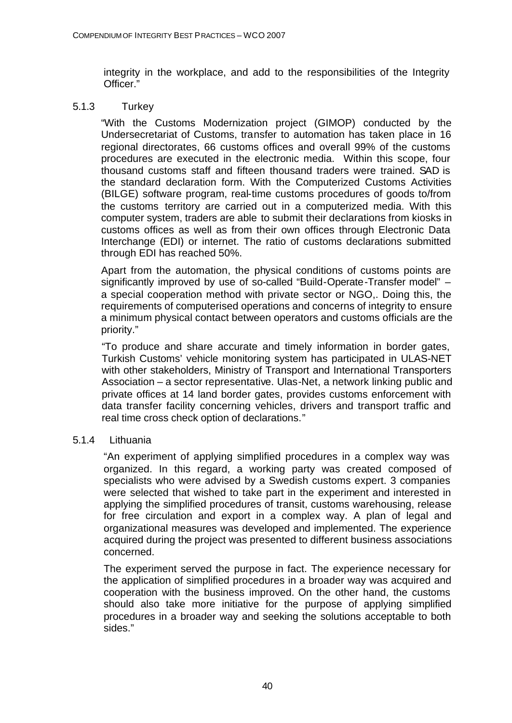integrity in the workplace, and add to the responsibilities of the Integrity Officer."

## 5.1.3 Turkey

"With the Customs Modernization project (GIMOP) conducted by the Undersecretariat of Customs, transfer to automation has taken place in 16 regional directorates, 66 customs offices and overall 99% of the customs procedures are executed in the electronic media. Within this scope, four thousand customs staff and fifteen thousand traders were trained. SAD is the standard declaration form. With the Computerized Customs Activities (BILGE) software program, real-time customs procedures of goods to/from the customs territory are carried out in a computerized media. With this computer system, traders are able to submit their declarations from kiosks in customs offices as well as from their own offices through Electronic Data Interchange (EDI) or internet. The ratio of customs declarations submitted through EDI has reached 50%.

Apart from the automation, the physical conditions of customs points are significantly improved by use of so-called "Build-Operate-Transfer model" – a special cooperation method with private sector or NGO,. Doing this, the requirements of computerised operations and concerns of integrity to ensure a minimum physical contact between operators and customs officials are the priority."

"To produce and share accurate and timely information in border gates, Turkish Customs' vehicle monitoring system has participated in ULAS-NET with other stakeholders, Ministry of Transport and International Transporters Association – a sector representative. Ulas-Net, a network linking public and private offices at 14 land border gates, provides customs enforcement with data transfer facility concerning vehicles, drivers and transport traffic and real time cross check option of declarations."

## 5.1.4 Lithuania

"An experiment of applying simplified procedures in a complex way was organized. In this regard, a working party was created composed of specialists who were advised by a Swedish customs expert. 3 companies were selected that wished to take part in the experiment and interested in applying the simplified procedures of transit, customs warehousing, release for free circulation and export in a complex way. A plan of legal and organizational measures was developed and implemented. The experience acquired during the project was presented to different business associations concerned.

The experiment served the purpose in fact. The experience necessary for the application of simplified procedures in a broader way was acquired and cooperation with the business improved. On the other hand, the customs should also take more initiative for the purpose of applying simplified procedures in a broader way and seeking the solutions acceptable to both sides."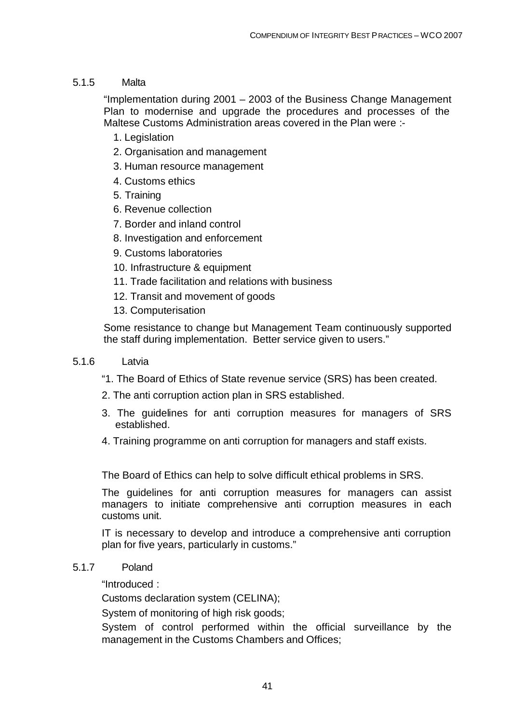## 5.1.5 Malta

"Implementation during 2001 – 2003 of the Business Change Management Plan to modernise and upgrade the procedures and processes of the Maltese Customs Administration areas covered in the Plan were :-

- 1. Legislation
- 2. Organisation and management
- 3. Human resource management
- 4. Customs ethics
- 5. Training
- 6. Revenue collection
- 7. Border and inland control
- 8. Investigation and enforcement
- 9. Customs laboratories
- 10. Infrastructure & equipment
- 11. Trade facilitation and relations with business
- 12. Transit and movement of goods
- 13. Computerisation

Some resistance to change but Management Team continuously supported the staff during implementation. Better service given to users."

### 5.1.6 Latvia

- "1. The Board of Ethics of State revenue service (SRS) has been created.
- 2. The anti corruption action plan in SRS established.
- 3. The guidelines for anti corruption measures for managers of SRS established.
- 4. Training programme on anti corruption for managers and staff exists.

The Board of Ethics can help to solve difficult ethical problems in SRS.

The guidelines for anti corruption measures for managers can assist managers to initiate comprehensive anti corruption measures in each customs unit.

IT is necessary to develop and introduce a comprehensive anti corruption plan for five years, particularly in customs."

## 5.1.7 Poland

"Introduced :

Customs declaration system (CELINA);

System of monitoring of high risk goods;

System of control performed within the official surveillance by the management in the Customs Chambers and Offices;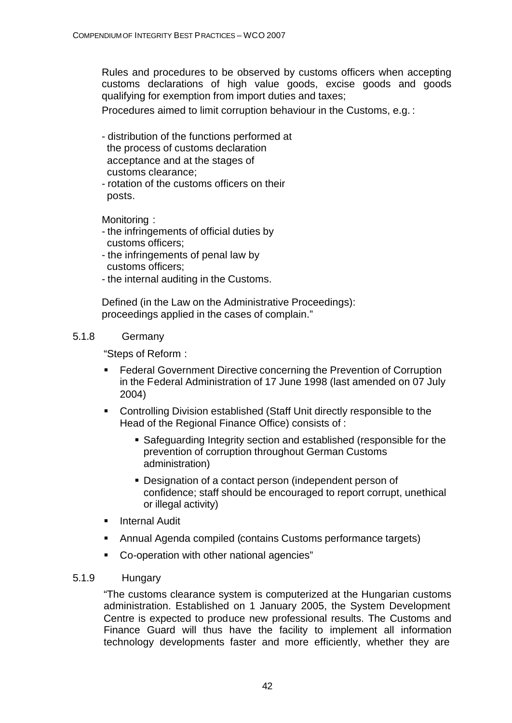Rules and procedures to be observed by customs officers when accepting customs declarations of high value goods, excise goods and goods qualifying for exemption from import duties and taxes;

Procedures aimed to limit corruption behaviour in the Customs, e.g. :

- distribution of the functions performed at the process of customs declaration acceptance and at the stages of customs clearance;
- rotation of the customs officers on their posts.

Monitoring :

- the infringements of official duties by customs officers;
- the infringements of penal law by customs officers;
- the internal auditing in the Customs.

Defined (in the Law on the Administrative Proceedings): proceedings applied in the cases of complain."

## 5.1.8 Germany

"Steps of Reform :

- **EXECTER FEDERAL GENET CONCRETE:** Federal Government Directive concerning the Prevention of Corruption in the Federal Administration of 17 June 1998 (last amended on 07 July 2004)
- **Controlling Division established (Staff Unit directly responsible to the** Head of the Regional Finance Office) consists of :
	- Safeguarding Integrity section and established (responsible for the prevention of corruption throughout German Customs administration)
	- **Designation of a contact person (independent person of** confidence; staff should be encouraged to report corrupt, unethical or illegal activity)
- **E** Internal Audit
- **Annual Agenda compiled (contains Customs performance targets)**
- Co-operation with other national agencies"

## 5.1.9 Hungary

"The customs clearance system is computerized at the Hungarian customs administration. Established on 1 January 2005, the System Development Centre is expected to produce new professional results. The Customs and Finance Guard will thus have the facility to implement all information technology developments faster and more efficiently, whether they are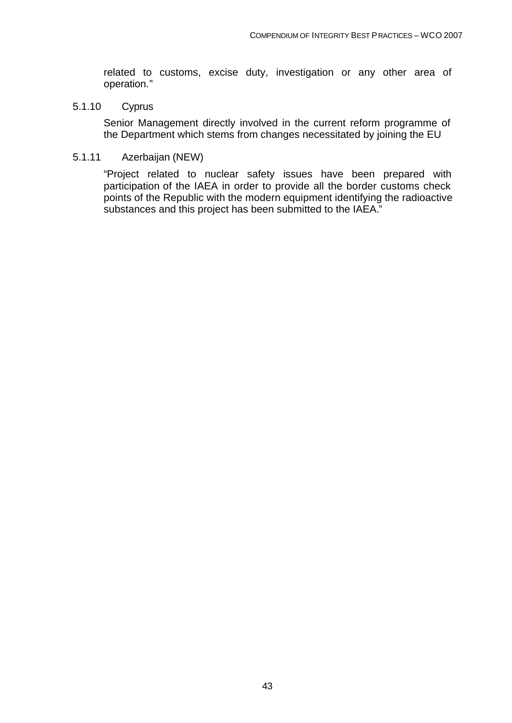related to customs, excise duty, investigation or any other area of operation."

#### 5.1.10 Cyprus

Senior Management directly involved in the current reform programme of the Department which stems from changes necessitated by joining the EU

### 5.1.11 Azerbaijan (NEW)

"Project related to nuclear safety issues have been prepared with participation of the IAEA in order to provide all the border customs check points of the Republic with the modern equipment identifying the radioactive substances and this project has been submitted to the IAEA."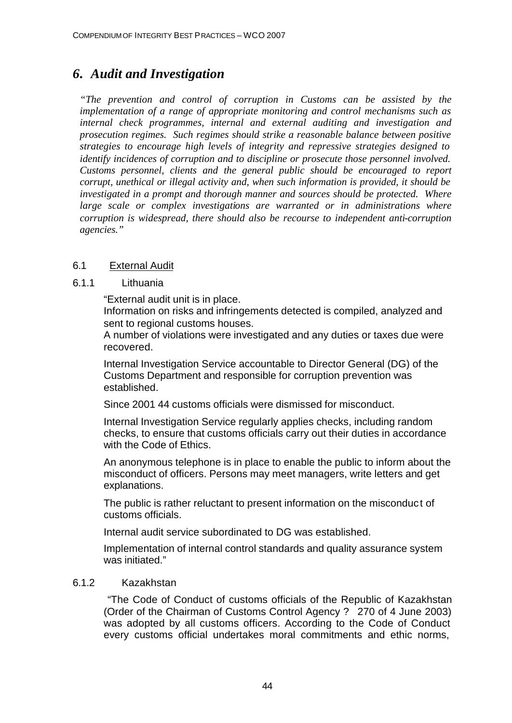# *6. Audit and Investigation*

*"The prevention and control of corruption in Customs can be assisted by the implementation of a range of appropriate monitoring and control mechanisms such as internal check programmes, internal and external auditing and investigation and prosecution regimes. Such regimes should strike a reasonable balance between positive strategies to encourage high levels of integrity and repressive strategies designed to identify incidences of corruption and to discipline or prosecute those personnel involved. Customs personnel, clients and the general public should be encouraged to report corrupt, unethical or illegal activity and, when such information is provided, it should be investigated in a prompt and thorough manner and sources should be protected. Where large scale or complex investigations are warranted or in administrations where corruption is widespread, there should also be recourse to independent anti-corruption agencies."*

## 6.1 External Audit

## 6.1.1 Lithuania

"External audit unit is in place.

Information on risks and infringements detected is compiled, analyzed and sent to regional customs houses.

A number of violations were investigated and any duties or taxes due were recovered.

Internal Investigation Service accountable to Director General (DG) of the Customs Department and responsible for corruption prevention was established.

Since 2001 44 customs officials were dismissed for misconduct.

Internal Investigation Service regularly applies checks, including random checks, to ensure that customs officials carry out their duties in accordance with the Code of Ethics.

An anonymous telephone is in place to enable the public to inform about the misconduct of officers. Persons may meet managers, write letters and get explanations.

The public is rather reluctant to present information on the misconduct of customs officials.

Internal audit service subordinated to DG was established.

Implementation of internal control standards and quality assurance system was initiated."

## 6.1.2 Kazakhstan

 "The Code of Conduct of customs officials of the Republic of Kazakhstan (Order of the Chairman of Customs Control Agency ? 270 of 4 June 2003) was adopted by all customs officers. According to the Code of Conduct every customs official undertakes moral commitments and ethic norms,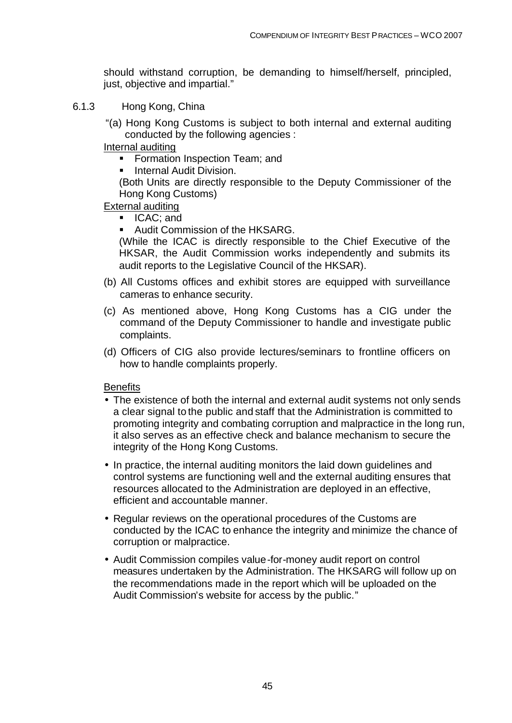should withstand corruption, be demanding to himself/herself, principled, just, objective and impartial."

- 6.1.3 Hong Kong, China
	- "(a) Hong Kong Customs is subject to both internal and external auditing conducted by the following agencies :
	- Internal auditing
		- **Formation Inspection Team; and**
		- **EXECUTE:** Internal Audit Division.

(Both Units are directly responsible to the Deputy Commissioner of the Hong Kong Customs)

- External auditing
	- **ICAC**; and
	- **Audit Commission of the HKSARG.**

(While the ICAC is directly responsible to the Chief Executive of the HKSAR, the Audit Commission works independently and submits its audit reports to the Legislative Council of the HKSAR).

- (b) All Customs offices and exhibit stores are equipped with surveillance cameras to enhance security.
- (c) As mentioned above, Hong Kong Customs has a CIG under the command of the Deputy Commissioner to handle and investigate public complaints.
- (d) Officers of CIG also provide lectures/seminars to frontline officers on how to handle complaints properly.

**Benefits** 

- The existence of both the internal and external audit systems not only sends a clear signal to the public and staff that the Administration is committed to promoting integrity and combating corruption and malpractice in the long run, it also serves as an effective check and balance mechanism to secure the integrity of the Hong Kong Customs.
- In practice, the internal auditing monitors the laid down guidelines and control systems are functioning well and the external auditing ensures that resources allocated to the Administration are deployed in an effective, efficient and accountable manner.
- Regular reviews on the operational procedures of the Customs are conducted by the ICAC to enhance the integrity and minimize the chance of corruption or malpractice.
- Audit Commission compiles value-for-money audit report on control measures undertaken by the Administration. The HKSARG will follow up on the recommendations made in the report which will be uploaded on the Audit Commission's website for access by the public."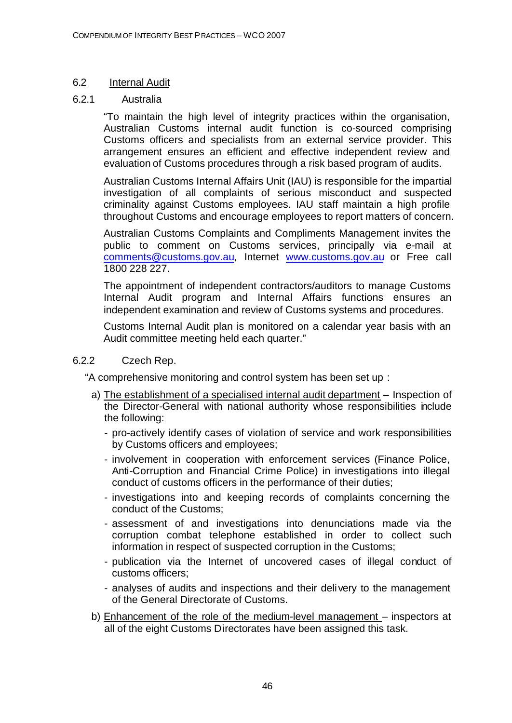## 6.2 Internal Audit

## 6.2.1 Australia

"To maintain the high level of integrity practices within the organisation, Australian Customs internal audit function is co-sourced comprising Customs officers and specialists from an external service provider. This arrangement ensures an efficient and effective independent review and evaluation of Customs procedures through a risk based program of audits.

Australian Customs Internal Affairs Unit (IAU) is responsible for the impartial investigation of all complaints of serious misconduct and suspected criminality against Customs employees. IAU staff maintain a high profile throughout Customs and encourage employees to report matters of concern.

Australian Customs Complaints and Compliments Management invites the public to comment on Customs services, principally via e-mail at comments@customs.gov.au, Internet www.customs.gov.au or Free call 1800 228 227.

The appointment of independent contractors/auditors to manage Customs Internal Audit program and Internal Affairs functions ensures an independent examination and review of Customs systems and procedures.

Customs Internal Audit plan is monitored on a calendar year basis with an Audit committee meeting held each quarter."

## 6.2.2 Czech Rep.

"A comprehensive monitoring and control system has been set up :

- a) The establishment of a specialised internal audit department Inspection of the Director-General with national authority whose responsibilities include the following:
	- pro-actively identify cases of violation of service and work responsibilities by Customs officers and employees;
	- involvement in cooperation with enforcement services (Finance Police, Anti-Corruption and Financial Crime Police) in investigations into illegal conduct of customs officers in the performance of their duties;
	- investigations into and keeping records of complaints concerning the conduct of the Customs;
	- assessment of and investigations into denunciations made via the corruption combat telephone established in order to collect such information in respect of suspected corruption in the Customs;
	- publication via the Internet of uncovered cases of illegal conduct of customs officers;
	- analyses of audits and inspections and their delivery to the management of the General Directorate of Customs.
- b) Enhancement of the role of the medium-level management inspectors at all of the eight Customs Directorates have been assigned this task.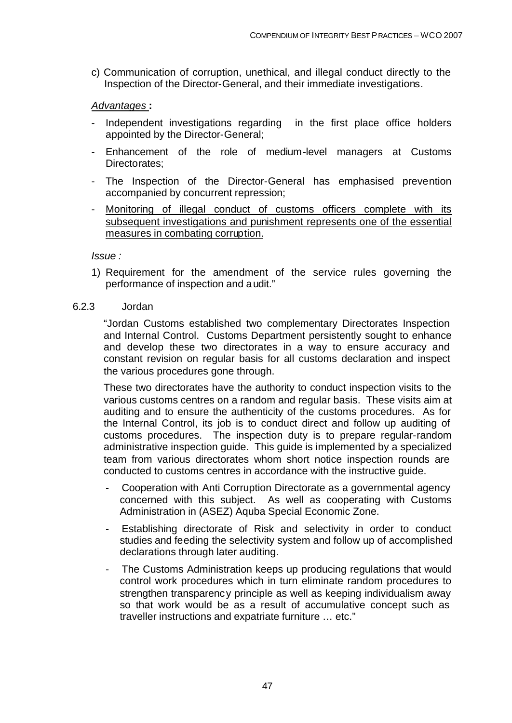c) Communication of corruption, unethical, and illegal conduct directly to the Inspection of the Director-General, and their immediate investigations.

### *Advantages* **:**

- Independent investigations regarding in the first place office holders appointed by the Director-General;
- Enhancement of the role of medium-level managers at Customs Directorates;
- The Inspection of the Director-General has emphasised prevention accompanied by concurrent repression;
- Monitoring of illegal conduct of customs officers complete with its subsequent investigations and punishment represents one of the essential measures in combating corruption.

### *Issue :*

1) Requirement for the amendment of the service rules governing the performance of inspection and audit."

### 6.2.3 Jordan

"Jordan Customs established two complementary Directorates Inspection and Internal Control. Customs Department persistently sought to enhance and develop these two directorates in a way to ensure accuracy and constant revision on regular basis for all customs declaration and inspect the various procedures gone through.

These two directorates have the authority to conduct inspection visits to the various customs centres on a random and regular basis. These visits aim at auditing and to ensure the authenticity of the customs procedures. As for the Internal Control, its job is to conduct direct and follow up auditing of customs procedures. The inspection duty is to prepare regular-random administrative inspection guide. This guide is implemented by a specialized team from various directorates whom short notice inspection rounds are conducted to customs centres in accordance with the instructive guide.

- Cooperation with Anti Corruption Directorate as a governmental agency concerned with this subject. As well as cooperating with Customs Administration in (ASEZ) Aquba Special Economic Zone.
- Establishing directorate of Risk and selectivity in order to conduct studies and feeding the selectivity system and follow up of accomplished declarations through later auditing.
- The Customs Administration keeps up producing regulations that would control work procedures which in turn eliminate random procedures to strengthen transparency principle as well as keeping individualism away so that work would be as a result of accumulative concept such as traveller instructions and expatriate furniture … etc."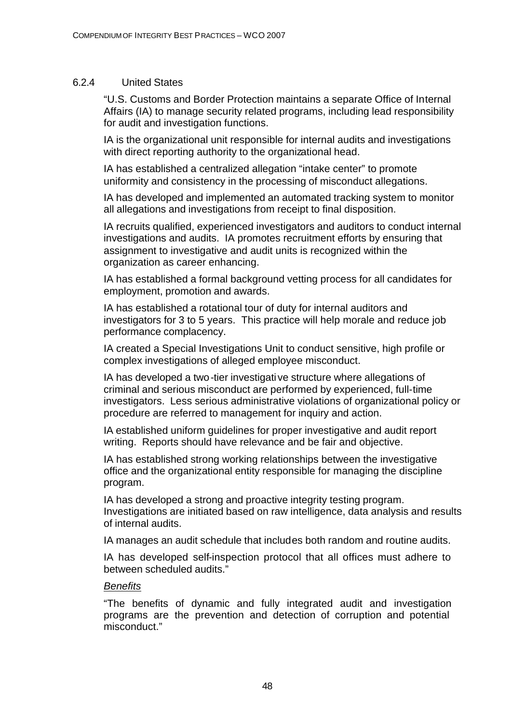### 6.2.4 United States

"U.S. Customs and Border Protection maintains a separate Office of Internal Affairs (IA) to manage security related programs, including lead responsibility for audit and investigation functions.

IA is the organizational unit responsible for internal audits and investigations with direct reporting authority to the organizational head.

IA has established a centralized allegation "intake center" to promote uniformity and consistency in the processing of misconduct allegations.

IA has developed and implemented an automated tracking system to monitor all allegations and investigations from receipt to final disposition.

IA recruits qualified, experienced investigators and auditors to conduct internal investigations and audits. IA promotes recruitment efforts by ensuring that assignment to investigative and audit units is recognized within the organization as career enhancing.

IA has established a formal background vetting process for all candidates for employment, promotion and awards.

IA has established a rotational tour of duty for internal auditors and investigators for 3 to 5 years. This practice will help morale and reduce job performance complacency.

IA created a Special Investigations Unit to conduct sensitive, high profile or complex investigations of alleged employee misconduct.

IA has developed a two-tier investigative structure where allegations of criminal and serious misconduct are performed by experienced, full-time investigators. Less serious administrative violations of organizational policy or procedure are referred to management for inquiry and action.

IA established uniform guidelines for proper investigative and audit report writing. Reports should have relevance and be fair and objective.

IA has established strong working relationships between the investigative office and the organizational entity responsible for managing the discipline program.

IA has developed a strong and proactive integrity testing program. Investigations are initiated based on raw intelligence, data analysis and results of internal audits.

IA manages an audit schedule that includes both random and routine audits.

IA has developed self-inspection protocol that all offices must adhere to between scheduled audits."

### *Benefits*

"The benefits of dynamic and fully integrated audit and investigation programs are the prevention and detection of corruption and potential misconduct."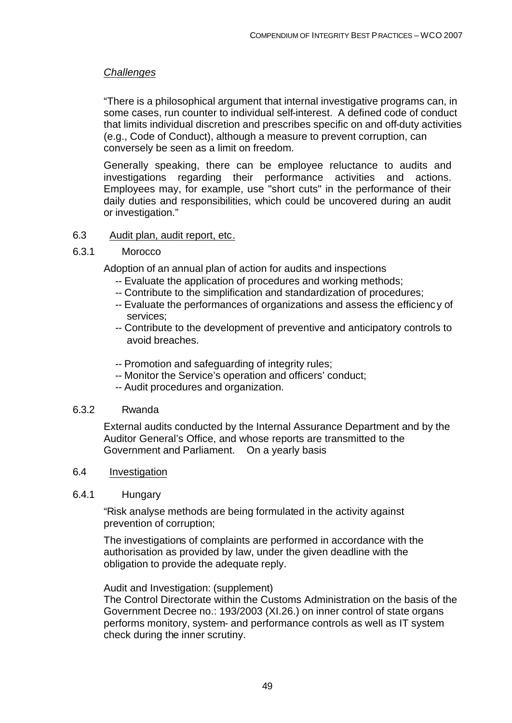## *Challenges*

"There is a philosophical argument that internal investigative programs can, in some cases, run counter to individual self-interest. A defined code of conduct that limits individual discretion and prescribes specific on and off-duty activities (e.g., Code of Conduct), although a measure to prevent corruption, can conversely be seen as a limit on freedom.

Generally speaking, there can be employee reluctance to audits and investigations regarding their performance activities and actions. Employees may, for example, use "short cuts" in the performance of their daily duties and responsibilities, which could be uncovered during an audit or investigation."

## 6.3 Audit plan, audit report, etc.

### 6.3.1 Morocco

Adoption of an annual plan of action for audits and inspections

- -- Evaluate the application of procedures and working methods;
- -- Contribute to the simplification and standardization of procedures;
- -- Evaluate the performances of organizations and assess the efficienc y of services;
- -- Contribute to the development of preventive and anticipatory controls to avoid breaches.
- -- Promotion and safeguarding of integrity rules;
- -- Monitor the Service's operation and officers' conduct;
- -- Audit procedures and organization.

### 6.3.2 Rwanda

External audits conducted by the Internal Assurance Department and by the Auditor General's Office, and whose reports are transmitted to the Government and Parliament. On a yearly basis

### 6.4 Investigation

### 6.4.1 Hungary

"Risk analyse methods are being formulated in the activity against prevention of corruption;

The investigations of complaints are performed in accordance with the authorisation as provided by law, under the given deadline with the obligation to provide the adequate reply.

Audit and Investigation: (supplement)

The Control Directorate within the Customs Administration on the basis of the Government Decree no.: 193/2003 (XI.26.) on inner control of state organs performs monitory, system- and performance controls as well as IT system check during the inner scrutiny.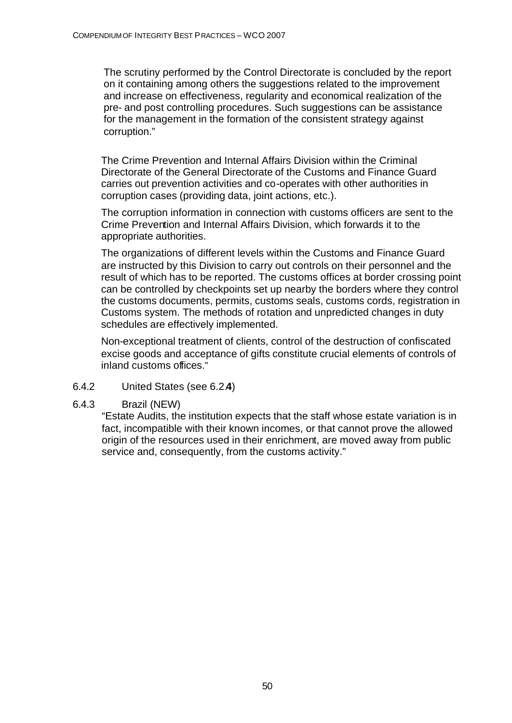The scrutiny performed by the Control Directorate is concluded by the report on it containing among others the suggestions related to the improvement and increase on effectiveness, regularity and economical realization of the pre- and post controlling procedures. Such suggestions can be assistance for the management in the formation of the consistent strategy against corruption."

The Crime Prevention and Internal Affairs Division within the Criminal Directorate of the General Directorate of the Customs and Finance Guard carries out prevention activities and co-operates with other authorities in corruption cases (providing data, joint actions, etc.).

The corruption information in connection with customs officers are sent to the Crime Prevention and Internal Affairs Division, which forwards it to the appropriate authorities.

The organizations of different levels within the Customs and Finance Guard are instructed by this Division to carry out controls on their personnel and the result of which has to be reported. The customs offices at border crossing point can be controlled by checkpoints set up nearby the borders where they control the customs documents, permits, customs seals, customs cords, registration in Customs system. The methods of rotation and unpredicted changes in duty schedules are effectively implemented.

Non-exceptional treatment of clients, control of the destruction of confiscated excise goods and acceptance of gifts constitute crucial elements of controls of inland customs offices."

- 6.4.2 United States (see 6.2.**4**)
- 6.4.3 Brazil (NEW)

"Estate Audits, the institution expects that the staff whose estate variation is in fact, incompatible with their known incomes, or that cannot prove the allowed origin of the resources used in their enrichment, are moved away from public service and, consequently, from the customs activity."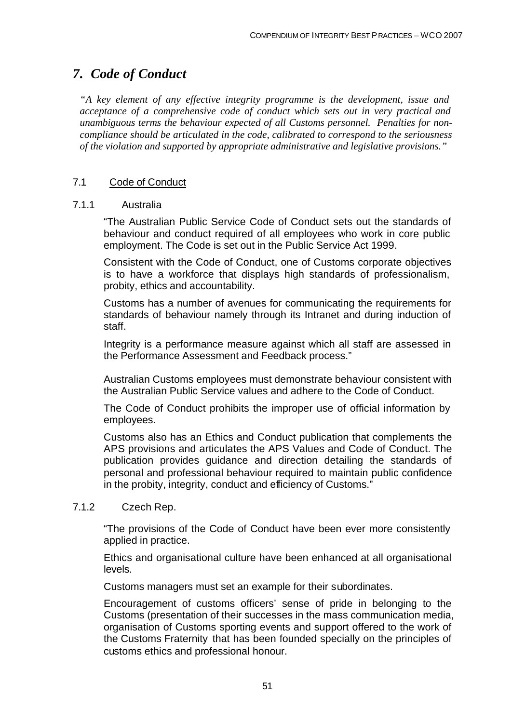# *7. Code of Conduct*

*"A key element of any effective integrity programme is the development, issue and acceptance of a comprehensive code of conduct which sets out in very practical and unambiguous terms the behaviour expected of all Customs personnel. Penalties for noncompliance should be articulated in the code, calibrated to correspond to the seriousness of the violation and supported by appropriate administrative and legislative provisions."*

## 7.1 Code of Conduct

### 7.1.1 Australia

"The Australian Public Service Code of Conduct sets out the standards of behaviour and conduct required of all employees who work in core public employment. The Code is set out in the Public Service Act 1999.

Consistent with the Code of Conduct, one of Customs corporate objectives is to have a workforce that displays high standards of professionalism, probity, ethics and accountability.

Customs has a number of avenues for communicating the requirements for standards of behaviour namely through its Intranet and during induction of staff.

Integrity is a performance measure against which all staff are assessed in the Performance Assessment and Feedback process."

Australian Customs employees must demonstrate behaviour consistent with the Australian Public Service values and adhere to the Code of Conduct.

The Code of Conduct prohibits the improper use of official information by employees.

Customs also has an Ethics and Conduct publication that complements the APS provisions and articulates the APS Values and Code of Conduct. The publication provides guidance and direction detailing the standards of personal and professional behaviour required to maintain public confidence in the probity, integrity, conduct and efficiency of Customs."

### 7.1.2 Czech Rep.

"The provisions of the Code of Conduct have been ever more consistently applied in practice.

Ethics and organisational culture have been enhanced at all organisational levels.

Customs managers must set an example for their subordinates.

Encouragement of customs officers' sense of pride in belonging to the Customs (presentation of their successes in the mass communication media, organisation of Customs sporting events and support offered to the work of the Customs Fraternity that has been founded specially on the principles of customs ethics and professional honour.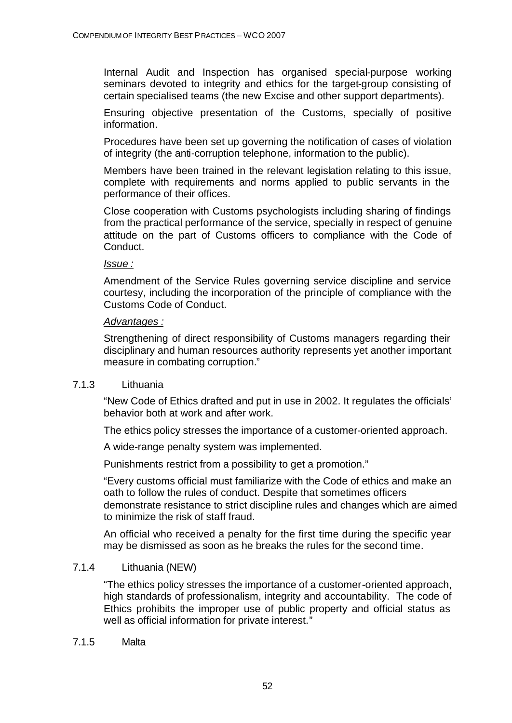Internal Audit and Inspection has organised special-purpose working seminars devoted to integrity and ethics for the target-group consisting of certain specialised teams (the new Excise and other support departments).

Ensuring objective presentation of the Customs, specially of positive information.

Procedures have been set up governing the notification of cases of violation of integrity (the anti-corruption telephone, information to the public).

Members have been trained in the relevant legislation relating to this issue, complete with requirements and norms applied to public servants in the performance of their offices.

Close cooperation with Customs psychologists including sharing of findings from the practical performance of the service, specially in respect of genuine attitude on the part of Customs officers to compliance with the Code of Conduct.

### *Issue :*

Amendment of the Service Rules governing service discipline and service courtesy, including the incorporation of the principle of compliance with the Customs Code of Conduct.

### *Advantages :*

Strengthening of direct responsibility of Customs managers regarding their disciplinary and human resources authority represents yet another important measure in combating corruption."

## 7.1.3 Lithuania

"New Code of Ethics drafted and put in use in 2002. It regulates the officials' behavior both at work and after work.

The ethics policy stresses the importance of a customer-oriented approach.

A wide-range penalty system was implemented.

Punishments restrict from a possibility to get a promotion."

"Every customs official must familiarize with the Code of ethics and make an oath to follow the rules of conduct. Despite that sometimes officers demonstrate resistance to strict discipline rules and changes which are aimed to minimize the risk of staff fraud.

An official who received a penalty for the first time during the specific year may be dismissed as soon as he breaks the rules for the second time.

## 7.1.4 Lithuania (NEW)

"The ethics policy stresses the importance of a customer-oriented approach, high standards of professionalism, integrity and accountability. The code of Ethics prohibits the improper use of public property and official status as well as official information for private interest."

### 7.1.5 Malta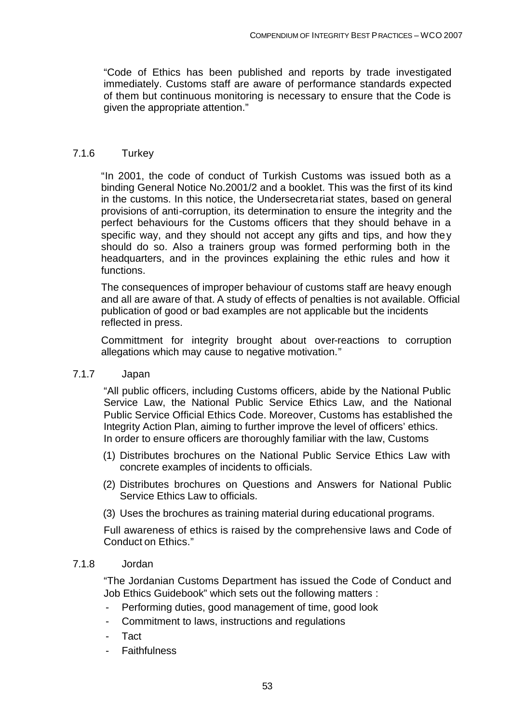"Code of Ethics has been published and reports by trade investigated immediately. Customs staff are aware of performance standards expected of them but continuous monitoring is necessary to ensure that the Code is given the appropriate attention."

### 7.1.6 Turkey

"In 2001, the code of conduct of Turkish Customs was issued both as a binding General Notice No.2001/2 and a booklet. This was the first of its kind in the customs. In this notice, the Undersecretariat states, based on general provisions of anti-corruption, its determination to ensure the integrity and the perfect behaviours for the Customs officers that they should behave in a specific way, and they should not accept any gifts and tips, and how they should do so. Also a trainers group was formed performing both in the headquarters, and in the provinces explaining the ethic rules and how it **functions** 

The consequences of improper behaviour of customs staff are heavy enough and all are aware of that. A study of effects of penalties is not available. Official publication of good or bad examples are not applicable but the incidents reflected in press.

Committment for integrity brought about over-reactions to corruption allegations which may cause to negative motivation."

### 7.1.7 Japan

"All public officers, including Customs officers, abide by the National Public Service Law, the National Public Service Ethics Law, and the National Public Service Official Ethics Code. Moreover, Customs has established the Integrity Action Plan, aiming to further improve the level of officers' ethics. In order to ensure officers are thoroughly familiar with the law, Customs

- (1) Distributes brochures on the National Public Service Ethics Law with concrete examples of incidents to officials.
- (2) Distributes brochures on Questions and Answers for National Public Service Ethics Law to officials.
- (3) Uses the brochures as training material during educational programs.

Full awareness of ethics is raised by the comprehensive laws and Code of Conduct on Ethics."

### 7.1.8 Jordan

"The Jordanian Customs Department has issued the Code of Conduct and Job Ethics Guidebook" which sets out the following matters :

- Performing duties, good management of time, good look
- Commitment to laws, instructions and regulations
- Tact<sub></sub>
- **Faithfulness**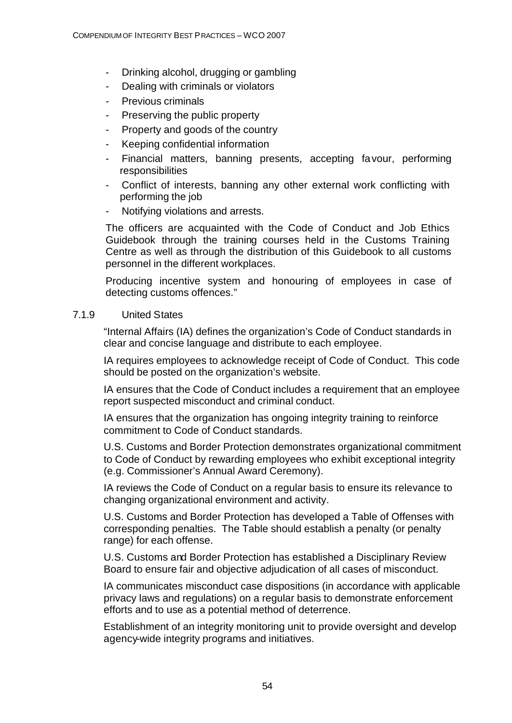- Drinking alcohol, drugging or gambling
- Dealing with criminals or violators
- Previous criminals
- Preserving the public property
- Property and goods of the country
- Keeping confidential information
- Financial matters, banning presents, accepting favour, performing responsibilities
- Conflict of interests, banning any other external work conflicting with performing the job
- Notifying violations and arrests.

The officers are acquainted with the Code of Conduct and Job Ethics Guidebook through the training courses held in the Customs Training Centre as well as through the distribution of this Guidebook to all customs personnel in the different workplaces.

Producing incentive system and honouring of employees in case of detecting customs offences."

## 7.1.9 United States

"Internal Affairs (IA) defines the organization's Code of Conduct standards in clear and concise language and distribute to each employee.

IA requires employees to acknowledge receipt of Code of Conduct. This code should be posted on the organization's website.

IA ensures that the Code of Conduct includes a requirement that an employee report suspected misconduct and criminal conduct.

IA ensures that the organization has ongoing integrity training to reinforce commitment to Code of Conduct standards.

U.S. Customs and Border Protection demonstrates organizational commitment to Code of Conduct by rewarding employees who exhibit exceptional integrity (e.g. Commissioner's Annual Award Ceremony).

IA reviews the Code of Conduct on a regular basis to ensure its relevance to changing organizational environment and activity.

U.S. Customs and Border Protection has developed a Table of Offenses with corresponding penalties. The Table should establish a penalty (or penalty range) for each offense.

U.S. Customs and Border Protection has established a Disciplinary Review Board to ensure fair and objective adjudication of all cases of misconduct.

IA communicates misconduct case dispositions (in accordance with applicable privacy laws and regulations) on a regular basis to demonstrate enforcement efforts and to use as a potential method of deterrence.

Establishment of an integrity monitoring unit to provide oversight and develop agency-wide integrity programs and initiatives.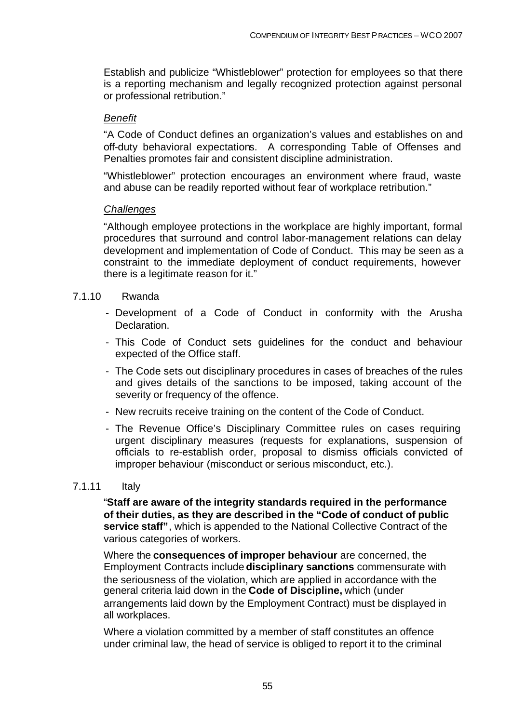Establish and publicize "Whistleblower" protection for employees so that there is a reporting mechanism and legally recognized protection against personal or professional retribution."

## *Benefit*

"A Code of Conduct defines an organization's values and establishes on and off-duty behavioral expectations. A corresponding Table of Offenses and Penalties promotes fair and consistent discipline administration.

"Whistleblower" protection encourages an environment where fraud, waste and abuse can be readily reported without fear of workplace retribution."

### *Challenges*

"Although employee protections in the workplace are highly important, formal procedures that surround and control labor-management relations can delay development and implementation of Code of Conduct. This may be seen as a constraint to the immediate deployment of conduct requirements, however there is a legitimate reason for it."

### 7.1.10 Rwanda

- Development of a Code of Conduct in conformity with the Arusha Declaration.
- This Code of Conduct sets guidelines for the conduct and behaviour expected of the Office staff.
- The Code sets out disciplinary procedures in cases of breaches of the rules and gives details of the sanctions to be imposed, taking account of the severity or frequency of the offence.
- New recruits receive training on the content of the Code of Conduct.
- The Revenue Office's Disciplinary Committee rules on cases requiring urgent disciplinary measures (requests for explanations, suspension of officials to re-establish order, proposal to dismiss officials convicted of improper behaviour (misconduct or serious misconduct, etc.).

### 7.1.11 Italy

"**Staff are aware of the integrity standards required in the performance of their duties, as they are described in the "Code of conduct of public service staff"**, which is appended to the National Collective Contract of the various categories of workers.

Where the **consequences of improper behaviour** are concerned, the Employment Contracts include **disciplinary sanctions** commensurate with the seriousness of the violation, which are applied in accordance with the general criteria laid down in the **Code of Discipline,** which (under arrangements laid down by the Employment Contract) must be displayed in all workplaces.

Where a violation committed by a member of staff constitutes an offence under criminal law, the head of service is obliged to report it to the criminal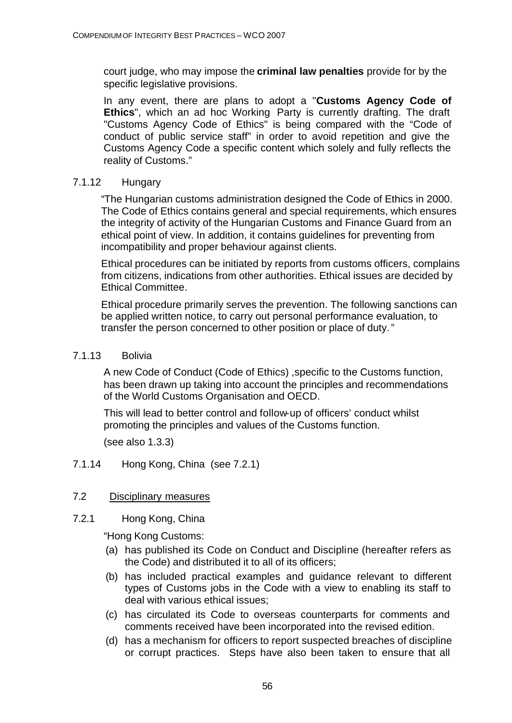court judge, who may impose the **criminal law penalties** provide for by the specific legislative provisions.

In any event, there are plans to adopt a "**Customs Agency Code of Ethics**", which an ad hoc Working Party is currently drafting. The draft "Customs Agency Code of Ethics" is being compared with the "Code of conduct of public service staff" in order to avoid repetition and give the Customs Agency Code a specific content which solely and fully reflects the reality of Customs."

## 7.1.12 Hungary

"The Hungarian customs administration designed the Code of Ethics in 2000. The Code of Ethics contains general and special requirements, which ensures the integrity of activity of the Hungarian Customs and Finance Guard from an ethical point of view. In addition, it contains guidelines for preventing from incompatibility and proper behaviour against clients.

Ethical procedures can be initiated by reports from customs officers, complains from citizens, indications from other authorities. Ethical issues are decided by Ethical Committee.

Ethical procedure primarily serves the prevention. The following sanctions can be applied written notice, to carry out personal performance evaluation, to transfer the person concerned to other position or place of duty."

## 7.1.13 Bolivia

A new Code of Conduct (Code of Ethics) ,specific to the Customs function, has been drawn up taking into account the principles and recommendations of the World Customs Organisation and OECD.

This will lead to better control and follow-up of officers' conduct whilst promoting the principles and values of the Customs function.

(see also 1.3.3)

7.1.14 Hong Kong, China (see 7.2.1)

## 7.2 Disciplinary measures

7.2.1 Hong Kong, China

"Hong Kong Customs:

- (a) has published its Code on Conduct and Discipline (hereafter refers as the Code) and distributed it to all of its officers;
- (b) has included practical examples and guidance relevant to different types of Customs jobs in the Code with a view to enabling its staff to deal with various ethical issues;
- (c) has circulated its Code to overseas counterparts for comments and comments received have been incorporated into the revised edition.
- (d) has a mechanism for officers to report suspected breaches of discipline or corrupt practices. Steps have also been taken to ensure that all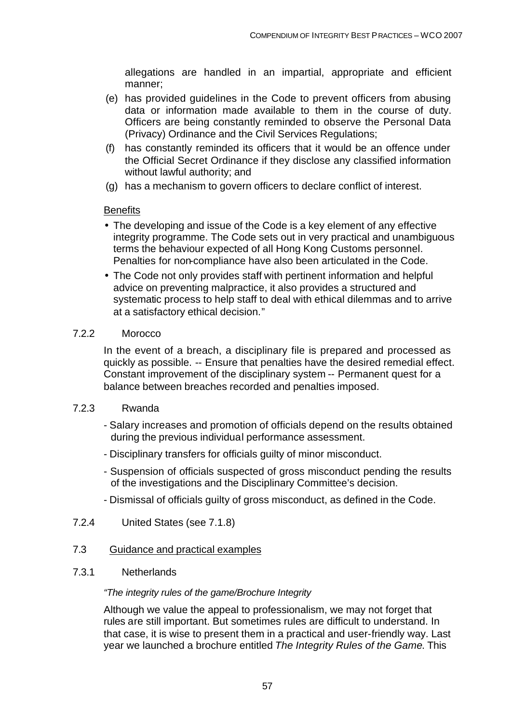allegations are handled in an impartial, appropriate and efficient manner;

- (e) has provided guidelines in the Code to prevent officers from abusing data or information made available to them in the course of duty. Officers are being constantly reminded to observe the Personal Data (Privacy) Ordinance and the Civil Services Regulations;
- (f) has constantly reminded its officers that it would be an offence under the Official Secret Ordinance if they disclose any classified information without lawful authority; and
- (g) has a mechanism to govern officers to declare conflict of interest.

### **Benefits**

- The developing and issue of the Code is a key element of any effective integrity programme. The Code sets out in very practical and unambiguous terms the behaviour expected of all Hong Kong Customs personnel. Penalties for non-compliance have also been articulated in the Code.
- The Code not only provides staff with pertinent information and helpful advice on preventing malpractice, it also provides a structured and systematic process to help staff to deal with ethical dilemmas and to arrive at a satisfactory ethical decision."

### 7.2.2 Morocco

In the event of a breach, a disciplinary file is prepared and processed as quickly as possible. -- Ensure that penalties have the desired remedial effect. Constant improvement of the disciplinary system -- Permanent quest for a balance between breaches recorded and penalties imposed.

### 7.2.3 Rwanda

- Salary increases and promotion of officials depend on the results obtained during the previous individual performance assessment.
- Disciplinary transfers for officials guilty of minor misconduct.
- Suspension of officials suspected of gross misconduct pending the results of the investigations and the Disciplinary Committee's decision.
- Dismissal of officials guilty of gross misconduct, as defined in the Code.
- 7.2.4 United States (see 7.1.8)

## 7.3 Guidance and practical examples

### 7.3.1 Netherlands

### *"The integrity rules of the game/Brochure Integrity*

Although we value the appeal to professionalism, we may not forget that rules are still important. But sometimes rules are difficult to understand. In that case, it is wise to present them in a practical and user-friendly way. Last year we launched a brochure entitled *The Integrity Rules of the Game*. This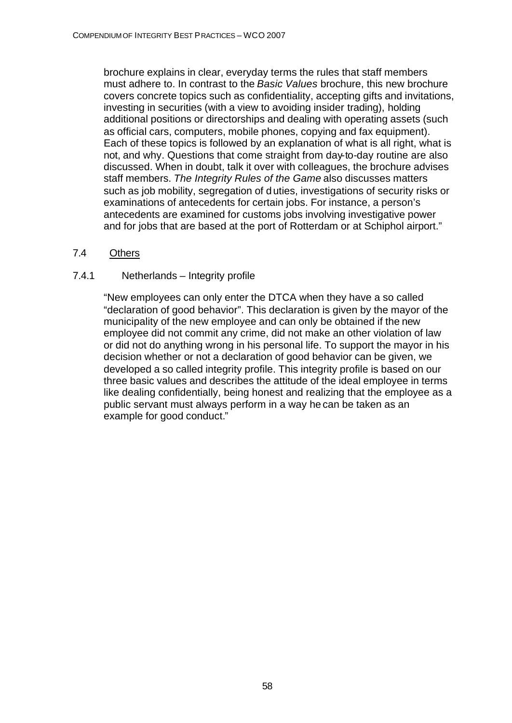brochure explains in clear, everyday terms the rules that staff members must adhere to. In contrast to the *Basic Values* brochure, this new brochure covers concrete topics such as confidentiality, accepting gifts and invitations, investing in securities (with a view to avoiding insider trading), holding additional positions or directorships and dealing with operating assets (such as official cars, computers, mobile phones, copying and fax equipment). Each of these topics is followed by an explanation of what is all right, what is not, and why. Questions that come straight from day-to-day routine are also discussed. When in doubt, talk it over with colleagues, the brochure advises staff members. *The Integrity Rules of the Game* also discusses matters such as job mobility, segregation of duties, investigations of security risks or examinations of antecedents for certain jobs. For instance, a person's antecedents are examined for customs jobs involving investigative power and for jobs that are based at the port of Rotterdam or at Schiphol airport."

7.4 Others

## 7.4.1 Netherlands – Integrity profile

"New employees can only enter the DTCA when they have a so called "declaration of good behavior". This declaration is given by the mayor of the municipality of the new employee and can only be obtained if the new employee did not commit any crime, did not make an other violation of law or did not do anything wrong in his personal life. To support the mayor in his decision whether or not a declaration of good behavior can be given, we developed a so called integrity profile. This integrity profile is based on our three basic values and describes the attitude of the ideal employee in terms like dealing confidentially, being honest and realizing that the employee as a public servant must always perform in a way he can be taken as an example for good conduct."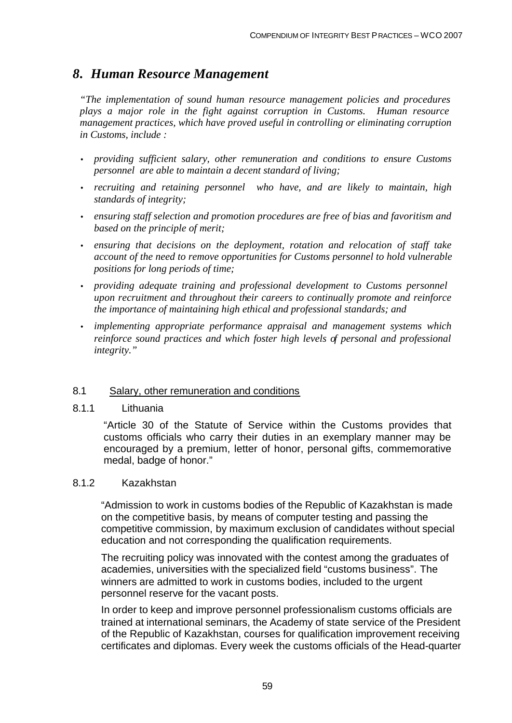# *8. Human Resource Management*

*"The implementation of sound human resource management policies and procedures plays a major role in the fight against corruption in Customs. Human resource management practices, which have proved useful in controlling or eliminating corruption in Customs, include :*

- *providing sufficient salary, other remuneration and conditions to ensure Customs personnel are able to maintain a decent standard of living;*
- *recruiting and retaining personnel who have, and are likely to maintain, high standards of integrity;*
- *ensuring staff selection and promotion procedures are free of bias and favoritism and based on the principle of merit;*
- *ensuring that decisions on the deployment, rotation and relocation of staff take account of the need to remove opportunities for Customs personnel to hold vulnerable positions for long periods of time;*
- *providing adequate training and professional development to Customs personnel upon recruitment and throughout their careers to continually promote and reinforce the importance of maintaining high ethical and professional standards; and*
- *implementing appropriate performance appraisal and management systems which reinforce sound practices and which foster high levels of personal and professional integrity."*

### 8.1 Salary, other remuneration and conditions

### 8.1.1 Lithuania

"Article 30 of the Statute of Service within the Customs provides that customs officials who carry their duties in an exemplary manner may be encouraged by a premium, letter of honor, personal gifts, commemorative medal, badge of honor."

### 8.1.2 Kazakhstan

"Admission to work in customs bodies of the Republic of Kazakhstan is made on the competitive basis, by means of computer testing and passing the competitive commission, by maximum exclusion of candidates without special education and not corresponding the qualification requirements.

The recruiting policy was innovated with the contest among the graduates of academies, universities with the specialized field "customs business". The winners are admitted to work in customs bodies, included to the urgent personnel reserve for the vacant posts.

In order to keep and improve personnel professionalism customs officials are trained at international seminars, the Academy of state service of the President of the Republic of Kazakhstan, courses for qualification improvement receiving certificates and diplomas. Every week the customs officials of the Head-quarter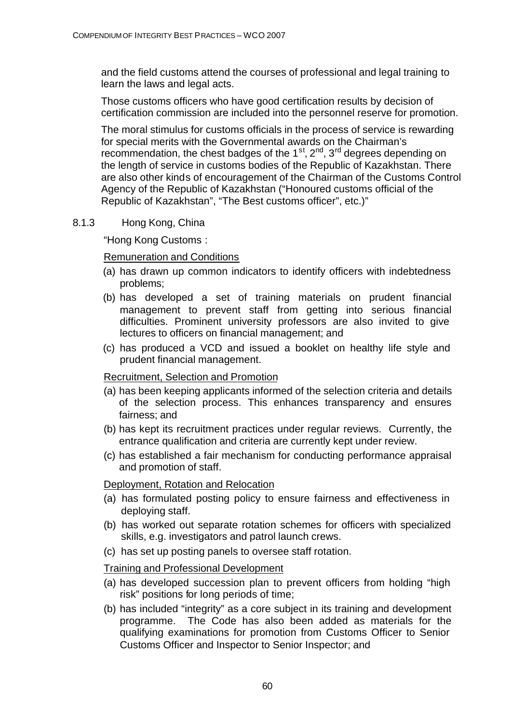and the field customs attend the courses of professional and legal training to learn the laws and legal acts.

Those customs officers who have good certification results by decision of certification commission are included into the personnel reserve for promotion.

The moral stimulus for customs officials in the process of service is rewarding for special merits with the Governmental awards on the Chairman's recommendation, the chest badges of the  $1^{st}$ ,  $2^{nd}$ ,  $3^{rd}$  degrees depending on the length of service in customs bodies of the Republic of Kazakhstan. There are also other kinds of encouragement of the Chairman of the Customs Control Agency of the Republic of Kazakhstan ("Honoured customs official of the Republic of Kazakhstan", "The Best customs officer", etc.)"

## 8.1.3 Hong Kong, China

"Hong Kong Customs :

## Remuneration and Conditions

- (a) has drawn up common indicators to identify officers with indebtedness problems;
- (b) has developed a set of training materials on prudent financial management to prevent staff from getting into serious financial difficulties. Prominent university professors are also invited to give lectures to officers on financial management; and
- (c) has produced a VCD and issued a booklet on healthy life style and prudent financial management.

## Recruitment, Selection and Promotion

- (a) has been keeping applicants informed of the selection criteria and details of the selection process. This enhances transparency and ensures fairness; and
- (b) has kept its recruitment practices under regular reviews. Currently, the entrance qualification and criteria are currently kept under review.
- (c) has established a fair mechanism for conducting performance appraisal and promotion of staff.

## Deployment, Rotation and Relocation

- (a) has formulated posting policy to ensure fairness and effectiveness in deploying staff.
- (b) has worked out separate rotation schemes for officers with specialized skills, e.g. investigators and patrol launch crews.
- (c) has set up posting panels to oversee staff rotation.

## Training and Professional Development

- (a) has developed succession plan to prevent officers from holding "high risk" positions for long periods of time;
- (b) has included "integrity" as a core subject in its training and development programme. The Code has also been added as materials for the qualifying examinations for promotion from Customs Officer to Senior Customs Officer and Inspector to Senior Inspector; and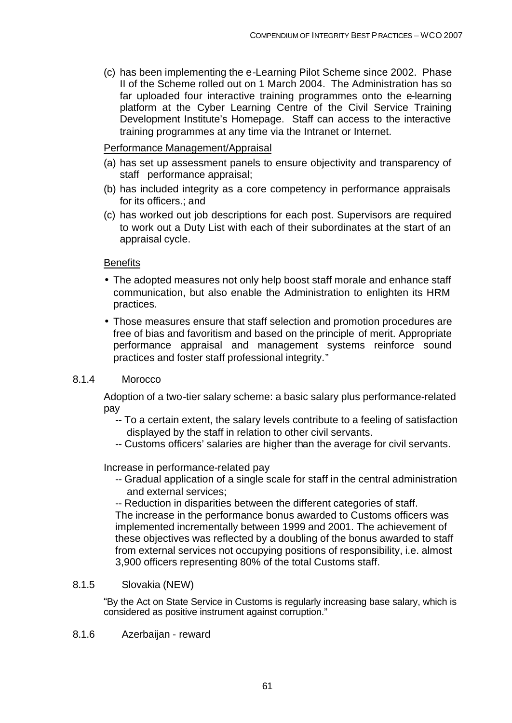(c) has been implementing the e-Learning Pilot Scheme since 2002. Phase II of the Scheme rolled out on 1 March 2004. The Administration has so far uploaded four interactive training programmes onto the e-learning platform at the Cyber Learning Centre of the Civil Service Training Development Institute's Homepage. Staff can access to the interactive training programmes at any time via the Intranet or Internet.

## Performance Management/Appraisal

- (a) has set up assessment panels to ensure objectivity and transparency of staff performance appraisal;
- (b) has included integrity as a core competency in performance appraisals for its officers.; and
- (c) has worked out job descriptions for each post. Supervisors are required to work out a Duty List with each of their subordinates at the start of an appraisal cycle.

## **Benefits**

- The adopted measures not only help boost staff morale and enhance staff communication, but also enable the Administration to enlighten its HRM practices.
- Those measures ensure that staff selection and promotion procedures are free of bias and favoritism and based on the principle of merit. Appropriate performance appraisal and management systems reinforce sound practices and foster staff professional integrity."

## 8.1.4 Morocco

Adoption of a two-tier salary scheme: a basic salary plus performance-related pay

- -- To a certain extent, the salary levels contribute to a feeling of satisfaction displayed by the staff in relation to other civil servants.
- -- Customs officers' salaries are higher than the average for civil servants.

Increase in performance-related pay

- -- Gradual application of a single scale for staff in the central administration and external services;
- -- Reduction in disparities between the different categories of staff.

The increase in the performance bonus awarded to Customs officers was implemented incrementally between 1999 and 2001. The achievement of these objectives was reflected by a doubling of the bonus awarded to staff from external services not occupying positions of responsibility, i.e. almost 3,900 officers representing 80% of the total Customs staff.

## 8.1.5 Slovakia (NEW)

"By the Act on State Service in Customs is regularly increasing base salary, which is considered as positive instrument against corruption."

8.1.6 Azerbaijan - reward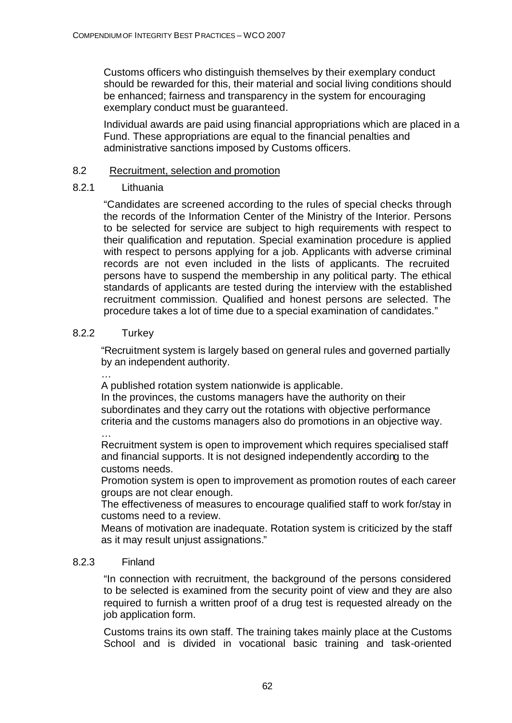Customs officers who distinguish themselves by their exemplary conduct should be rewarded for this, their material and social living conditions should be enhanced; fairness and transparency in the system for encouraging exemplary conduct must be guaranteed.

Individual awards are paid using financial appropriations which are placed in a Fund. These appropriations are equal to the financial penalties and administrative sanctions imposed by Customs officers.

## 8.2 Recruitment, selection and promotion

## 8.2.1 Lithuania

"Candidates are screened according to the rules of special checks through the records of the Information Center of the Ministry of the Interior. Persons to be selected for service are subject to high requirements with respect to their qualification and reputation. Special examination procedure is applied with respect to persons applying for a job. Applicants with adverse criminal records are not even included in the lists of applicants. The recruited persons have to suspend the membership in any political party. The ethical standards of applicants are tested during the interview with the established recruitment commission. Qualified and honest persons are selected. The procedure takes a lot of time due to a special examination of candidates."

## 8.2.2 Turkey

…

"Recruitment system is largely based on general rules and governed partially by an independent authority.

… A published rotation system nationwide is applicable.

In the provinces, the customs managers have the authority on their subordinates and they carry out the rotations with objective performance criteria and the customs managers also do promotions in an objective way.

Recruitment system is open to improvement which requires specialised staff and financial supports. It is not designed independently according to the customs needs.

Promotion system is open to improvement as promotion routes of each career groups are not clear enough.

The effectiveness of measures to encourage qualified staff to work for/stay in customs need to a review.

Means of motivation are inadequate. Rotation system is criticized by the staff as it may result unjust assignations."

## 8.2.3 Finland

"In connection with recruitment, the background of the persons considered to be selected is examined from the security point of view and they are also required to furnish a written proof of a drug test is requested already on the job application form.

Customs trains its own staff. The training takes mainly place at the Customs School and is divided in vocational basic training and task-oriented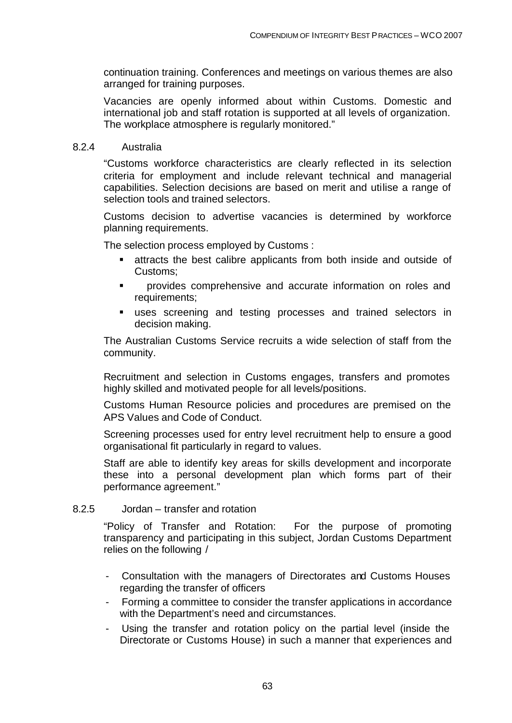continuation training. Conferences and meetings on various themes are also arranged for training purposes.

Vacancies are openly informed about within Customs. Domestic and international job and staff rotation is supported at all levels of organization. The workplace atmosphere is regularly monitored."

### 8.2.4 Australia

"Customs workforce characteristics are clearly reflected in its selection criteria for employment and include relevant technical and managerial capabilities. Selection decisions are based on merit and utilise a range of selection tools and trained selectors.

Customs decision to advertise vacancies is determined by workforce planning requirements.

The selection process employed by Customs :

- ß attracts the best calibre applicants from both inside and outside of Customs;
- **EXECUTE:** provides comprehensive and accurate information on roles and requirements;
- **uses screening and testing processes and trained selectors in** decision making.

The Australian Customs Service recruits a wide selection of staff from the community.

Recruitment and selection in Customs engages, transfers and promotes highly skilled and motivated people for all levels/positions.

Customs Human Resource policies and procedures are premised on the APS Values and Code of Conduct.

Screening processes used for entry level recruitment help to ensure a good organisational fit particularly in regard to values.

Staff are able to identify key areas for skills development and incorporate these into a personal development plan which forms part of their performance agreement."

## 8.2.5 Jordan – transfer and rotation

"Policy of Transfer and Rotation: For the purpose of promoting transparency and participating in this subject, Jordan Customs Department relies on the following /

- Consultation with the managers of Directorates and Customs Houses regarding the transfer of officers
- Forming a committee to consider the transfer applications in accordance with the Department's need and circumstances.
- Using the transfer and rotation policy on the partial level (inside the Directorate or Customs House) in such a manner that experiences and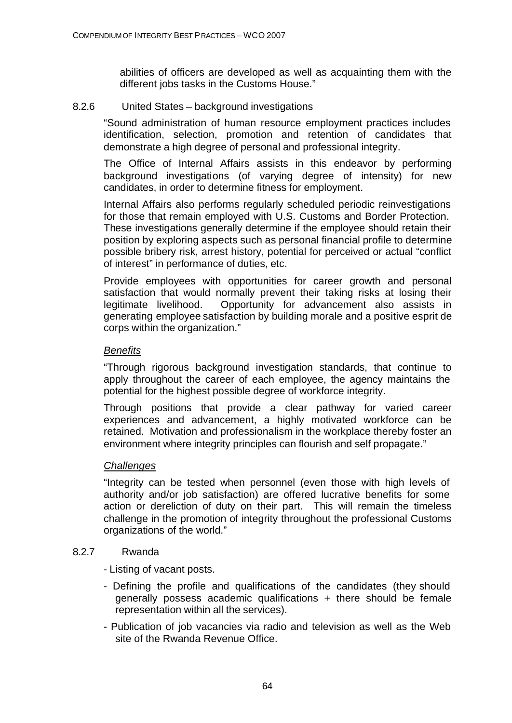abilities of officers are developed as well as acquainting them with the different jobs tasks in the Customs House."

## 8.2.6 United States – background investigations

"Sound administration of human resource employment practices includes identification, selection, promotion and retention of candidates that demonstrate a high degree of personal and professional integrity.

The Office of Internal Affairs assists in this endeavor by performing background investigations (of varying degree of intensity) for new candidates, in order to determine fitness for employment.

Internal Affairs also performs regularly scheduled periodic reinvestigations for those that remain employed with U.S. Customs and Border Protection. These investigations generally determine if the employee should retain their position by exploring aspects such as personal financial profile to determine possible bribery risk, arrest history, potential for perceived or actual "conflict of interest" in performance of duties, etc.

Provide employees with opportunities for career growth and personal satisfaction that would normally prevent their taking risks at losing their legitimate livelihood. Opportunity for advancement also assists in generating employee satisfaction by building morale and a positive esprit de corps within the organization."

## *Benefits*

"Through rigorous background investigation standards, that continue to apply throughout the career of each employee, the agency maintains the potential for the highest possible degree of workforce integrity.

Through positions that provide a clear pathway for varied career experiences and advancement, a highly motivated workforce can be retained. Motivation and professionalism in the workplace thereby foster an environment where integrity principles can flourish and self propagate."

## *Challenges*

"Integrity can be tested when personnel (even those with high levels of authority and/or job satisfaction) are offered lucrative benefits for some action or dereliction of duty on their part. This will remain the timeless challenge in the promotion of integrity throughout the professional Customs organizations of the world."

## 8.2.7 Rwanda

- Listing of vacant posts.

- Defining the profile and qualifications of the candidates (they should generally possess academic qualifications + there should be female representation within all the services).
- Publication of job vacancies via radio and television as well as the Web site of the Rwanda Revenue Office.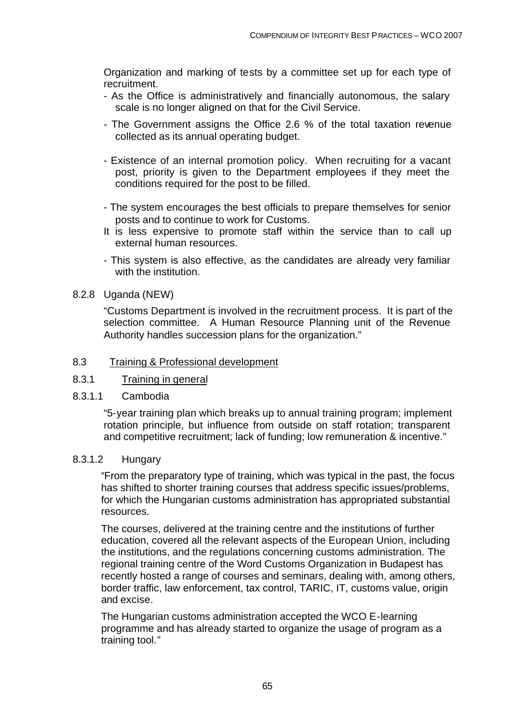Organization and marking of tests by a committee set up for each type of recruitment.

- As the Office is administratively and financially autonomous, the salary scale is no longer aligned on that for the Civil Service.
- The Government assigns the Office 2.6 % of the total taxation revenue collected as its annual operating budget.
- Existence of an internal promotion policy. When recruiting for a vacant post, priority is given to the Department employees if they meet the conditions required for the post to be filled.
- The system encourages the best officials to prepare themselves for senior posts and to continue to work for Customs.
- It is less expensive to promote staff within the service than to call up external human resources.
- This system is also effective, as the candidates are already very familiar with the institution.

### 8.2.8 Uganda (NEW)

"Customs Department is involved in the recruitment process. It is part of the selection committee. A Human Resource Planning unit of the Revenue Authority handles succession plans for the organization."

### 8.3 Training & Professional development

## 8.3.1 Training in general

### 8.3.1.1 Cambodia

"5-year training plan which breaks up to annual training program; implement rotation principle, but influence from outside on staff rotation; transparent and competitive recruitment; lack of funding; low remuneration & incentive."

### 8.3.1.2 Hungary

"From the preparatory type of training, which was typical in the past, the focus has shifted to shorter training courses that address specific issues/problems, for which the Hungarian customs administration has appropriated substantial resources.

The courses, delivered at the training centre and the institutions of further education, covered all the relevant aspects of the European Union, including the institutions, and the regulations concerning customs administration. The regional training centre of the Word Customs Organization in Budapest has recently hosted a range of courses and seminars, dealing with, among others, border traffic, law enforcement, tax control, TARIC, IT, customs value, origin and excise.

The Hungarian customs administration accepted the WCO E-learning programme and has already started to organize the usage of program as a training tool."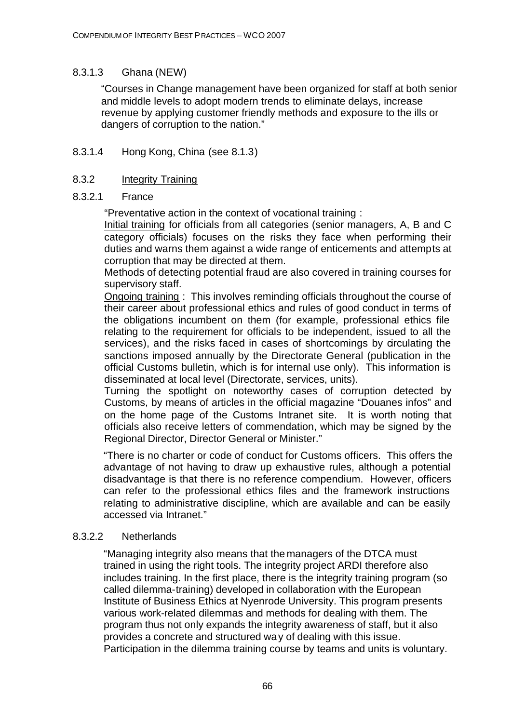## 8.3.1.3 Ghana (NEW)

"Courses in Change management have been organized for staff at both senior and middle levels to adopt modern trends to eliminate delays, increase revenue by applying customer friendly methods and exposure to the ills or dangers of corruption to the nation."

## 8.3.1.4 Hong Kong, China (see 8.1.3)

## 8.3.2 Integrity Training

### 8.3.2.1 France

"Preventative action in the context of vocational training :

Initial training for officials from all categories (senior managers, A, B and C category officials) focuses on the risks they face when performing their duties and warns them against a wide range of enticements and attempts at corruption that may be directed at them.

Methods of detecting potential fraud are also covered in training courses for supervisory staff.

Ongoing training : This involves reminding officials throughout the course of their career about professional ethics and rules of good conduct in terms of the obligations incumbent on them (for example, professional ethics file relating to the requirement for officials to be independent, issued to all the services), and the risks faced in cases of shortcomings by dirculating the sanctions imposed annually by the Directorate General (publication in the official Customs bulletin, which is for internal use only). This information is disseminated at local level (Directorate, services, units).

Turning the spotlight on noteworthy cases of corruption detected by Customs, by means of articles in the official magazine "Douanes infos" and on the home page of the Customs Intranet site. It is worth noting that officials also receive letters of commendation, which may be signed by the Regional Director, Director General or Minister."

"There is no charter or code of conduct for Customs officers. This offers the advantage of not having to draw up exhaustive rules, although a potential disadvantage is that there is no reference compendium. However, officers can refer to the professional ethics files and the framework instructions relating to administrative discipline, which are available and can be easily accessed via Intranet."

## 8.3.2.2 Netherlands

"Managing integrity also means that the managers of the DTCA must trained in using the right tools. The integrity project ARDI therefore also includes training. In the first place, there is the integrity training program (so called dilemma-training) developed in collaboration with the European Institute of Business Ethics at Nyenrode University. This program presents various work-related dilemmas and methods for dealing with them. The program thus not only expands the integrity awareness of staff, but it also provides a concrete and structured way of dealing with this issue. Participation in the dilemma training course by teams and units is voluntary.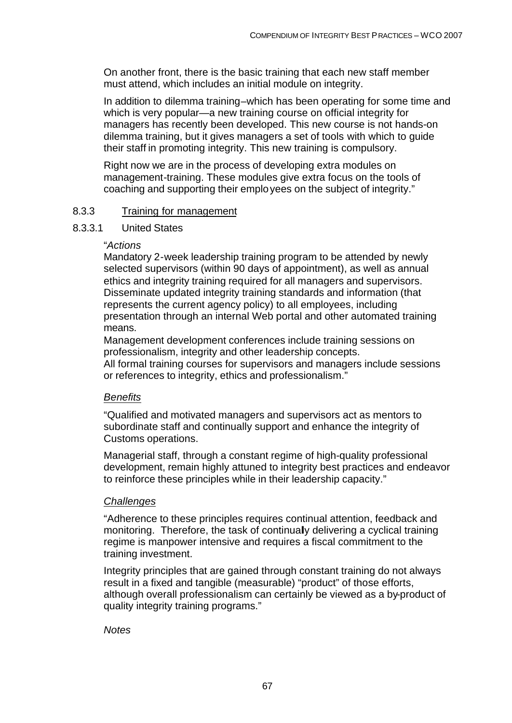On another front, there is the basic training that each new staff member must attend, which includes an initial module on integrity.

In addition to dilemma training–which has been operating for some time and which is very popular—a new training course on official integrity for managers has recently been developed. This new course is not hands-on dilemma training, but it gives managers a set of tools with which to guide their staff in promoting integrity. This new training is compulsory.

Right now we are in the process of developing extra modules on management-training. These modules give extra focus on the tools of coaching and supporting their employees on the subject of integrity."

### 8.3.3 Training for management

#### 8.3.3.1 United States

#### "*Actions*

Mandatory 2-week leadership training program to be attended by newly selected supervisors (within 90 days of appointment), as well as annual ethics and integrity training required for all managers and supervisors. Disseminate updated integrity training standards and information (that represents the current agency policy) to all employees, including presentation through an internal Web portal and other automated training means.

Management development conferences include training sessions on professionalism, integrity and other leadership concepts.

All formal training courses for supervisors and managers include sessions or references to integrity, ethics and professionalism."

### *Benefits*

"Qualified and motivated managers and supervisors act as mentors to subordinate staff and continually support and enhance the integrity of Customs operations.

Managerial staff, through a constant regime of high-quality professional development, remain highly attuned to integrity best practices and endeavor to reinforce these principles while in their leadership capacity."

#### *Challenges*

"Adherence to these principles requires continual attention, feedback and monitoring. Therefore, the task of continually delivering a cyclical training regime is manpower intensive and requires a fiscal commitment to the training investment.

Integrity principles that are gained through constant training do not always result in a fixed and tangible (measurable) "product" of those efforts, although overall professionalism can certainly be viewed as a by-product of quality integrity training programs."

#### *Notes*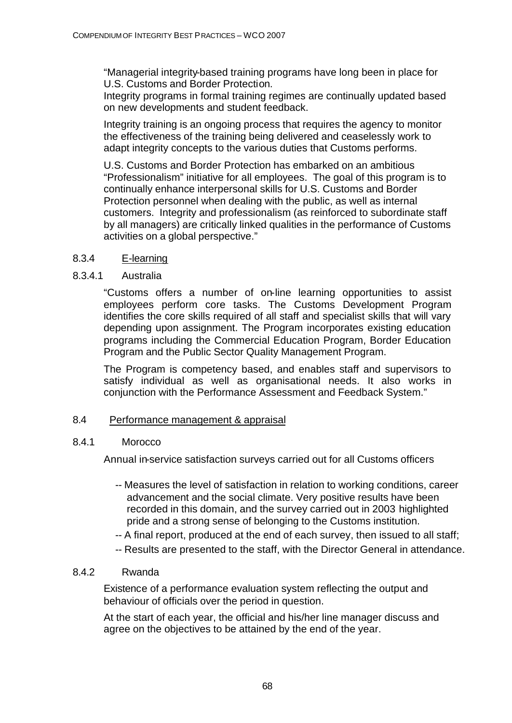"Managerial integrity-based training programs have long been in place for U.S. Customs and Border Protection.

Integrity programs in formal training regimes are continually updated based on new developments and student feedback.

Integrity training is an ongoing process that requires the agency to monitor the effectiveness of the training being delivered and ceaselessly work to adapt integrity concepts to the various duties that Customs performs.

U.S. Customs and Border Protection has embarked on an ambitious "Professionalism" initiative for all employees. The goal of this program is to continually enhance interpersonal skills for U.S. Customs and Border Protection personnel when dealing with the public, as well as internal customers. Integrity and professionalism (as reinforced to subordinate staff by all managers) are critically linked qualities in the performance of Customs activities on a global perspective."

## 8.3.4 E-learning

## 8.3.4.1 Australia

"Customs offers a number of on-line learning opportunities to assist employees perform core tasks. The Customs Development Program identifies the core skills required of all staff and specialist skills that will vary depending upon assignment. The Program incorporates existing education programs including the Commercial Education Program, Border Education Program and the Public Sector Quality Management Program.

The Program is competency based, and enables staff and supervisors to satisfy individual as well as organisational needs. It also works in conjunction with the Performance Assessment and Feedback System."

## 8.4 Performance management & appraisal

## 8.4.1 Morocco

Annual in-service satisfaction surveys carried out for all Customs officers

- -- Measures the level of satisfaction in relation to working conditions, career advancement and the social climate. Very positive results have been recorded in this domain, and the survey carried out in 2003 highlighted pride and a strong sense of belonging to the Customs institution.
- -- A final report, produced at the end of each survey, then issued to all staff;
- -- Results are presented to the staff, with the Director General in attendance.

## 8.4.2 Rwanda

Existence of a performance evaluation system reflecting the output and behaviour of officials over the period in question.

At the start of each year, the official and his/her line manager discuss and agree on the objectives to be attained by the end of the year.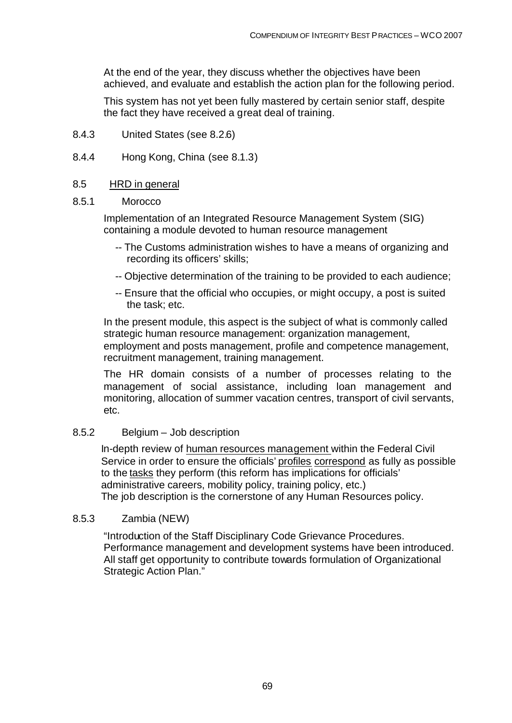At the end of the year, they discuss whether the objectives have been achieved, and evaluate and establish the action plan for the following period.

This system has not yet been fully mastered by certain senior staff, despite the fact they have received a great deal of training.

- 8.4.3 United States (see 8.2.6)
- 8.4.4 Hong Kong, China (see 8.1.3)

### 8.5 HRD in general

### 8.5.1 Morocco

Implementation of an Integrated Resource Management System (SIG) containing a module devoted to human resource management

- -- The Customs administration wishes to have a means of organizing and recording its officers' skills;
- -- Objective determination of the training to be provided to each audience;
- -- Ensure that the official who occupies, or might occupy, a post is suited the task; etc.

In the present module, this aspect is the subject of what is commonly called strategic human resource management: organization management, employment and posts management, profile and competence management, recruitment management, training management.

The HR domain consists of a number of processes relating to the management of social assistance, including loan management and monitoring, allocation of summer vacation centres, transport of civil servants, etc.

## 8.5.2 Belgium – Job description

In-depth review of human resources management within the Federal Civil Service in order to ensure the officials' profiles correspond as fully as possible to the tasks they perform (this reform has implications for officials' administrative careers, mobility policy, training policy, etc.) The job description is the cornerstone of any Human Resources policy.

## 8.5.3 Zambia (NEW)

"Introduction of the Staff Disciplinary Code Grievance Procedures. Performance management and development systems have been introduced. All staff get opportunity to contribute towards formulation of Organizational Strategic Action Plan."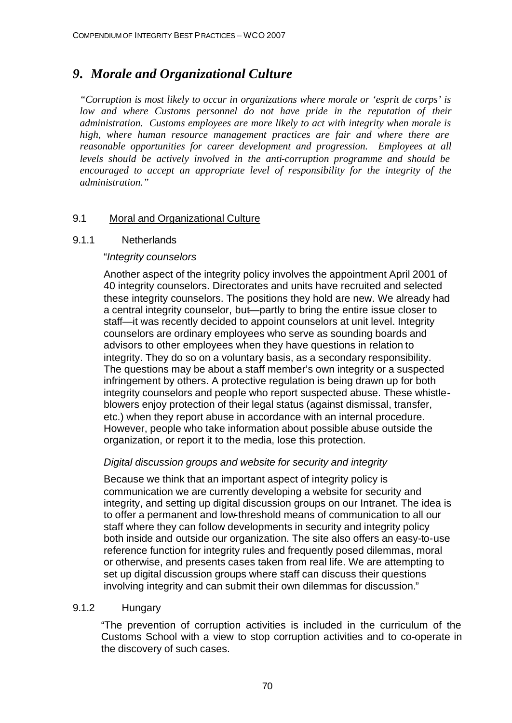# *9. Morale and Organizational Culture*

*"Corruption is most likely to occur in organizations where morale or 'esprit de corps' is low and where Customs personnel do not have pride in the reputation of their administration. Customs employees are more likely to act with integrity when morale is high, where human resource management practices are fair and where there are reasonable opportunities for career development and progression. Employees at all levels should be actively involved in the anti-corruption programme and should be encouraged to accept an appropriate level of responsibility for the integrity of the administration."*

## 9.1 Moral and Organizational Culture

## 9.1.1 Netherlands

## "*Integrity counselors*

Another aspect of the integrity policy involves the appointment April 2001 of 40 integrity counselors. Directorates and units have recruited and selected these integrity counselors. The positions they hold are new. We already had a central integrity counselor, but—partly to bring the entire issue closer to staff—it was recently decided to appoint counselors at unit level. Integrity counselors are ordinary employees who serve as sounding boards and advisors to other employees when they have questions in relation to integrity. They do so on a voluntary basis, as a secondary responsibility. The questions may be about a staff member's own integrity or a suspected infringement by others. A protective regulation is being drawn up for both integrity counselors and people who report suspected abuse. These whistleblowers enjoy protection of their legal status (against dismissal, transfer, etc.) when they report abuse in accordance with an internal procedure. However, people who take information about possible abuse outside the organization, or report it to the media, lose this protection.

## *Digital discussion groups and website for security and integrity*

Because we think that an important aspect of integrity policy is communication we are currently developing a website for security and integrity, and setting up digital discussion groups on our Intranet. The idea is to offer a permanent and low-threshold means of communication to all our staff where they can follow developments in security and integrity policy both inside and outside our organization. The site also offers an easy-to-use reference function for integrity rules and frequently posed dilemmas, moral or otherwise, and presents cases taken from real life. We are attempting to set up digital discussion groups where staff can discuss their questions involving integrity and can submit their own dilemmas for discussion."

## 9.1.2 Hungary

"The prevention of corruption activities is included in the curriculum of the Customs School with a view to stop corruption activities and to co-operate in the discovery of such cases.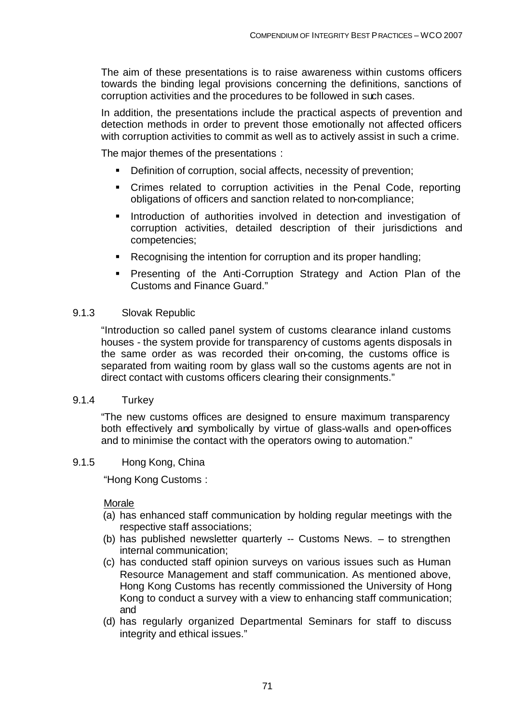The aim of these presentations is to raise awareness within customs officers towards the binding legal provisions concerning the definitions, sanctions of corruption activities and the procedures to be followed in such cases.

In addition, the presentations include the practical aspects of prevention and detection methods in order to prevent those emotionally not affected officers with corruption activities to commit as well as to actively assist in such a crime.

The major themes of the presentations :

- **•** Definition of corruption, social affects, necessity of prevention;
- Crimes related to corruption activities in the Penal Code, reporting obligations of officers and sanction related to non-compliance;
- **Introduction of authorities involved in detection and investigation of** corruption activities, detailed description of their jurisdictions and competencies;
- Recognising the intention for corruption and its proper handling;
- **•** Presenting of the Anti-Corruption Strategy and Action Plan of the Customs and Finance Guard."

### 9.1.3 Slovak Republic

"Introduction so called panel system of customs clearance inland customs houses - the system provide for transparency of customs agents disposals in the same order as was recorded their on-coming, the customs office is separated from waiting room by glass wall so the customs agents are not in direct contact with customs officers clearing their consignments."

### 9.1.4 Turkey

"The new customs offices are designed to ensure maximum transparency both effectively and symbolically by virtue of glass-walls and open-offices and to minimise the contact with the operators owing to automation."

## 9.1.5 Hong Kong, China

"Hong Kong Customs :

### Morale

- (a) has enhanced staff communication by holding regular meetings with the respective staff associations;
- (b) has published newsletter quarterly -- Customs News. to strengthen internal communication;
- (c) has conducted staff opinion surveys on various issues such as Human Resource Management and staff communication. As mentioned above, Hong Kong Customs has recently commissioned the University of Hong Kong to conduct a survey with a view to enhancing staff communication; and
- (d) has regularly organized Departmental Seminars for staff to discuss integrity and ethical issues."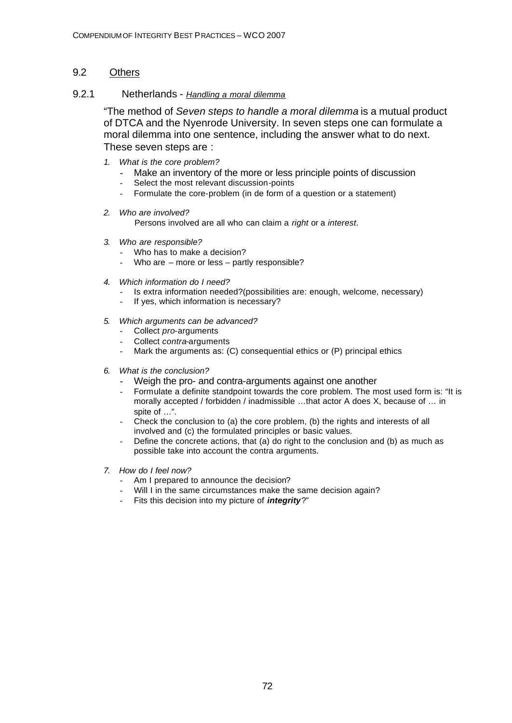## 9.2 Others

### 9.2.1 Netherlands - *Handling a moral dilemma*

"The method of *Seven steps to handle a moral dilemma* is a mutual product of DTCA and the Nyenrode University. In seven steps one can formulate a moral dilemma into one sentence, including the answer what to do next. These seven steps are :

- *1. What is the core problem?*
	- Make an inventory of the more or less principle points of discussion
	- Select the most relevant discussion-points
	- Formulate the core-problem (in de form of a question or a statement)
- *2. Who are involved?*

Persons involved are all who can claim a *right* or a *interest*.

- *3. Who are responsible?*
	- Who has to make a decision?
	- Who are  $-$  more or less  $-$  partly responsible?
- *4. Which information do I need?*
	- Is extra information needed?(possibilities are: enough, welcome, necessary)
	- If yes, which information is necessary?
- *5. Which arguments can be advanced?*
	- Collect *pro-*arguments
	-
	- Collect *contra-*arguments<br>- Mark the arguments as: If Mark the arguments as: (C) consequential ethics or (P) principal ethics
- *6. What is the conclusion?*
	- Weigh the pro- and contra-arguments against one another
	- Formulate a definite standpoint towards the core problem. The most used form is: "It is morally accepted / forbidden / inadmissible …that actor A does X, because of … in spite of …".
	- Check the conclusion to (a) the core problem, (b) the rights and interests of all involved and (c) the formulated principles or basic values.
	- Define the concrete actions, that (a) do right to the conclusion and (b) as much as possible take into account the contra arguments.
- *7. How do I feel now?*
	- Am I prepared to announce the decision?
	- Will I in the same circumstances make the same decision again?
	- Fits this decision into my picture of *integrity*?"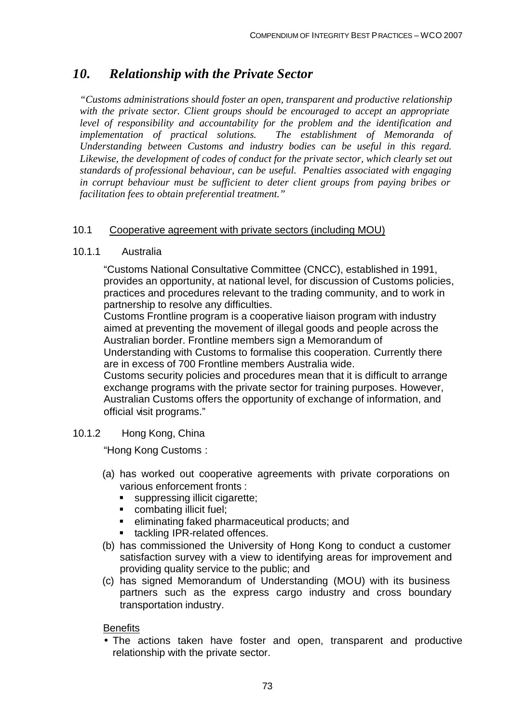# *10. Relationship with the Private Sector*

*"Customs administrations should foster an open, transparent and productive relationship with the private sector. Client groups should be encouraged to accept an appropriate level of responsibility and accountability for the problem and the identification and implementation of practical solutions. The establishment of Memoranda of Understanding between Customs and industry bodies can be useful in this regard. Likewise, the development of codes of conduct for the private sector, which clearly set out standards of professional behaviour, can be useful. Penalties associated with engaging in corrupt behaviour must be sufficient to deter client groups from paying bribes or facilitation fees to obtain preferential treatment."*

### 10.1 Cooperative agreement with private sectors (including MOU)

#### 10.1.1 Australia

"Customs National Consultative Committee (CNCC), established in 1991, provides an opportunity, at national level, for discussion of Customs policies, practices and procedures relevant to the trading community, and to work in partnership to resolve any difficulties.

Customs Frontline program is a cooperative liaison program with industry aimed at preventing the movement of illegal goods and people across the Australian border. Frontline members sign a Memorandum of

Understanding with Customs to formalise this cooperation. Currently there are in excess of 700 Frontline members Australia wide.

Customs security policies and procedures mean that it is difficult to arrange exchange programs with the private sector for training purposes. However, Australian Customs offers the opportunity of exchange of information, and official visit programs."

#### 10.1.2 Hong Kong, China

"Hong Kong Customs :

- (a) has worked out cooperative agreements with private corporations on various enforcement fronts :
	- suppressing illicit cigarette;
	- combating illicit fuel;
	- eliminating faked pharmaceutical products; and
	- tackling IPR-related offences.
- (b) has commissioned the University of Hong Kong to conduct a customer satisfaction survey with a view to identifying areas for improvement and providing quality service to the public; and
- (c) has signed Memorandum of Understanding (MOU) with its business partners such as the express cargo industry and cross boundary transportation industry.

#### **Benefits**

• The actions taken have foster and open, transparent and productive relationship with the private sector.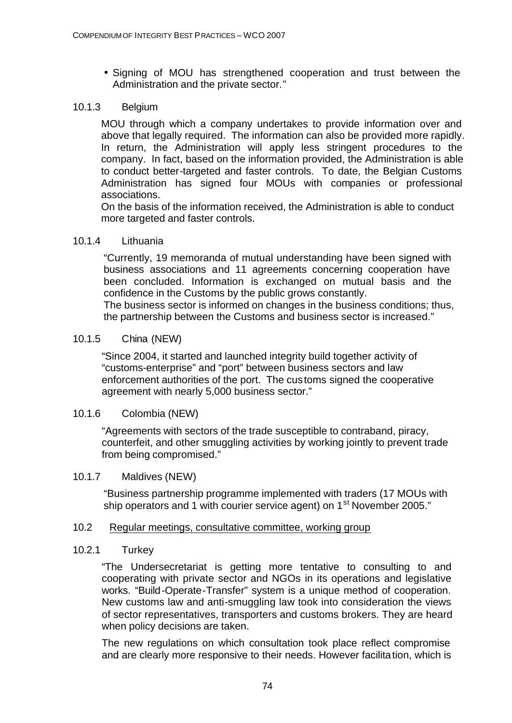• Signing of MOU has strengthened cooperation and trust between the Administration and the private sector."

### 10.1.3 Belgium

MOU through which a company undertakes to provide information over and above that legally required. The information can also be provided more rapidly. In return, the Administration will apply less stringent procedures to the company. In fact, based on the information provided, the Administration is able to conduct better-targeted and faster controls. To date, the Belgian Customs Administration has signed four MOUs with companies or professional associations.

On the basis of the information received, the Administration is able to conduct more targeted and faster controls.

### 10.1.4 Lithuania

"Currently, 19 memoranda of mutual understanding have been signed with business associations and 11 agreements concerning cooperation have been concluded. Information is exchanged on mutual basis and the confidence in the Customs by the public grows constantly.

The business sector is informed on changes in the business conditions; thus, the partnership between the Customs and business sector is increased."

### 10.1.5 China (NEW)

"Since 2004, it started and launched integrity build together activity of "customs-enterprise" and "port" between business sectors and law enforcement authorities of the port. The cus toms signed the cooperative agreement with nearly 5,000 business sector."

### 10.1.6 Colombia (NEW)

"Agreements with sectors of the trade susceptible to contraband, piracy, counterfeit, and other smuggling activities by working jointly to prevent trade from being compromised."

### 10.1.7 Maldives (NEW)

"Business partnership programme implemented with traders (17 MOUs with ship operators and 1 with courier service agent) on 1<sup>st</sup> November 2005."

### 10.2 Regular meetings, consultative committee, working group

### 10.2.1 Turkey

"The Undersecretariat is getting more tentative to consulting to and cooperating with private sector and NGOs in its operations and legislative works. "Build-Operate-Transfer" system is a unique method of cooperation. New customs law and anti-smuggling law took into consideration the views of sector representatives, transporters and customs brokers. They are heard when policy decisions are taken.

The new regulations on which consultation took place reflect compromise and are clearly more responsive to their needs. However facilitation, which is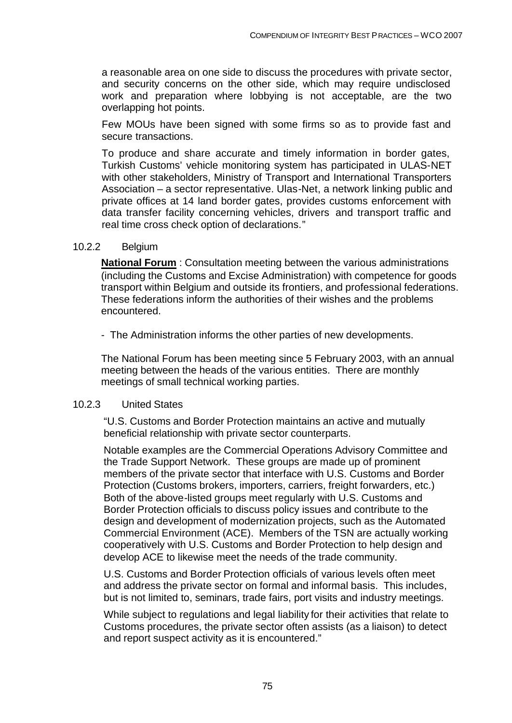a reasonable area on one side to discuss the procedures with private sector, and security concerns on the other side, which may require undisclosed work and preparation where lobbying is not acceptable, are the two overlapping hot points.

Few MOUs have been signed with some firms so as to provide fast and secure transactions.

To produce and share accurate and timely information in border gates, Turkish Customs' vehicle monitoring system has participated in ULAS-NET with other stakeholders, Ministry of Transport and International Transporters Association – a sector representative. Ulas-Net, a network linking public and private offices at 14 land border gates, provides customs enforcement with data transfer facility concerning vehicles, drivers and transport traffic and real time cross check option of declarations."

#### 10.2.2 Belgium

**National Forum** : Consultation meeting between the various administrations (including the Customs and Excise Administration) with competence for goods transport within Belgium and outside its frontiers, and professional federations. These federations inform the authorities of their wishes and the problems encountered.

- The Administration informs the other parties of new developments.

The National Forum has been meeting since 5 February 2003, with an annual meeting between the heads of the various entities. There are monthly meetings of small technical working parties.

#### 10.2.3 United States

"U.S. Customs and Border Protection maintains an active and mutually beneficial relationship with private sector counterparts.

Notable examples are the Commercial Operations Advisory Committee and the Trade Support Network. These groups are made up of prominent members of the private sector that interface with U.S. Customs and Border Protection (Customs brokers, importers, carriers, freight forwarders, etc.) Both of the above-listed groups meet regularly with U.S. Customs and Border Protection officials to discuss policy issues and contribute to the design and development of modernization projects, such as the Automated Commercial Environment (ACE). Members of the TSN are actually working cooperatively with U.S. Customs and Border Protection to help design and develop ACE to likewise meet the needs of the trade community.

U.S. Customs and Border Protection officials of various levels often meet and address the private sector on formal and informal basis. This includes, but is not limited to, seminars, trade fairs, port visits and industry meetings.

While subject to regulations and legal liability for their activities that relate to Customs procedures, the private sector often assists (as a liaison) to detect and report suspect activity as it is encountered."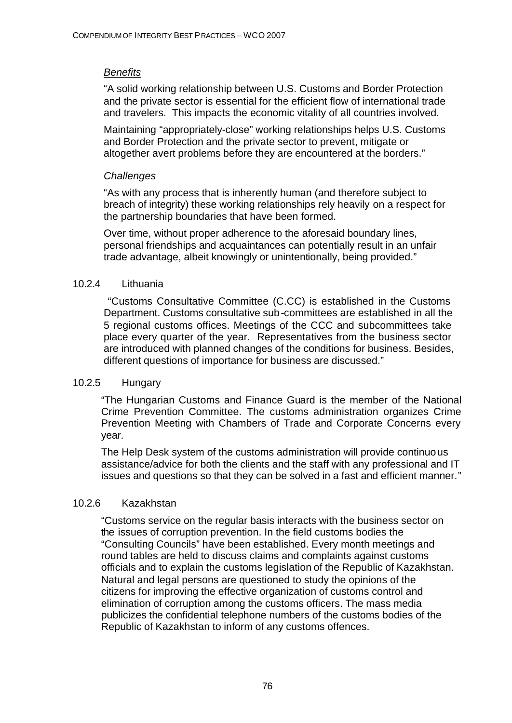# *Benefits*

"A solid working relationship between U.S. Customs and Border Protection and the private sector is essential for the efficient flow of international trade and travelers. This impacts the economic vitality of all countries involved.

Maintaining "appropriately-close" working relationships helps U.S. Customs and Border Protection and the private sector to prevent, mitigate or altogether avert problems before they are encountered at the borders."

# *Challenges*

"As with any process that is inherently human (and therefore subject to breach of integrity) these working relationships rely heavily on a respect for the partnership boundaries that have been formed.

Over time, without proper adherence to the aforesaid boundary lines, personal friendships and acquaintances can potentially result in an unfair trade advantage, albeit knowingly or unintentionally, being provided."

# 10.2.4 Lithuania

 "Customs Consultative Committee (C.CC) is established in the Customs Department. Customs consultative sub-committees are established in all the 5 regional customs offices. Meetings of the CCC and subcommittees take place every quarter of the year. Representatives from the business sector are introduced with planned changes of the conditions for business. Besides, different questions of importance for business are discussed."

# 10.2.5 Hungary

"The Hungarian Customs and Finance Guard is the member of the National Crime Prevention Committee. The customs administration organizes Crime Prevention Meeting with Chambers of Trade and Corporate Concerns every year.

The Help Desk system of the customs administration will provide continuous assistance/advice for both the clients and the staff with any professional and IT issues and questions so that they can be solved in a fast and efficient manner."

# 10.2.6 Kazakhstan

"Customs service on the regular basis interacts with the business sector on the issues of corruption prevention. In the field customs bodies the "Consulting Councils" have been established. Every month meetings and round tables are held to discuss claims and complaints against customs officials and to explain the customs legislation of the Republic of Kazakhstan. Natural and legal persons are questioned to study the opinions of the citizens for improving the effective organization of customs control and elimination of corruption among the customs officers. The mass media publicizes the confidential telephone numbers of the customs bodies of the Republic of Kazakhstan to inform of any customs offences.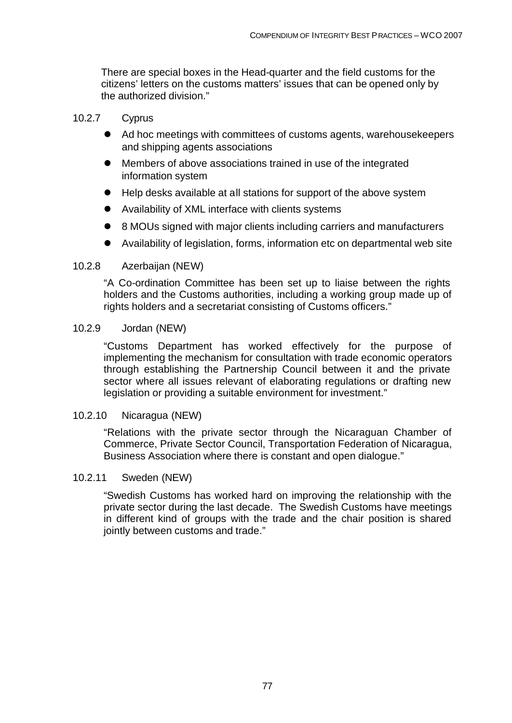There are special boxes in the Head-quarter and the field customs for the citizens' letters on the customs matters' issues that can be opened only by the authorized division."

### 10.2.7 Cyprus

- Ad hoc meetings with committees of customs agents, warehousekeepers and shipping agents associations
- **•** Members of above associations trained in use of the integrated information system
- Help desks available at all stations for support of the above system
- Availability of XML interface with clients systems
- 8 MOUs signed with major clients including carriers and manufacturers
- Availability of legislation, forms, information etc on departmental web site

### 10.2.8 Azerbaijan (NEW)

"A Co-ordination Committee has been set up to liaise between the rights holders and the Customs authorities, including a working group made up of rights holders and a secretariat consisting of Customs officers."

### 10.2.9 Jordan (NEW)

"Customs Department has worked effectively for the purpose of implementing the mechanism for consultation with trade economic operators through establishing the Partnership Council between it and the private sector where all issues relevant of elaborating regulations or drafting new legislation or providing a suitable environment for investment."

### 10.2.10 Nicaragua (NEW)

"Relations with the private sector through the Nicaraguan Chamber of Commerce, Private Sector Council, Transportation Federation of Nicaragua, Business Association where there is constant and open dialogue."

#### 10.2.11 Sweden (NEW)

"Swedish Customs has worked hard on improving the relationship with the private sector during the last decade. The Swedish Customs have meetings in different kind of groups with the trade and the chair position is shared jointly between customs and trade."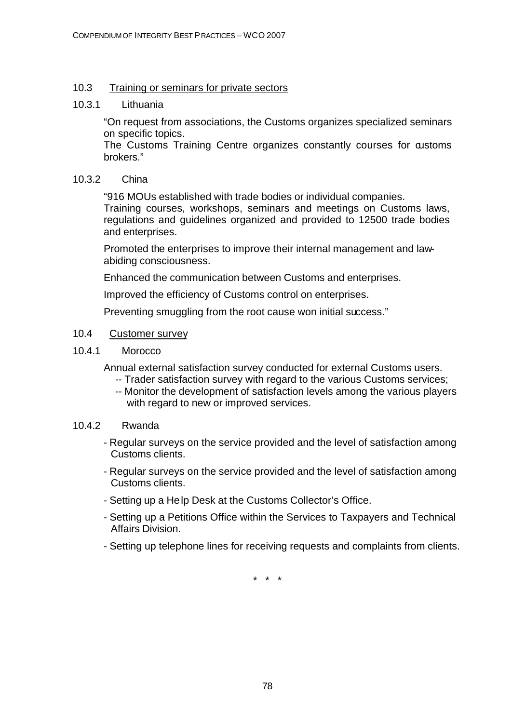### 10.3 Training or seminars for private sectors

#### 10.3.1 Lithuania

"On request from associations, the Customs organizes specialized seminars on specific topics.

The Customs Training Centre organizes constantly courses for customs brokers."

#### 10.3.2 China

"916 MOUs established with trade bodies or individual companies. Training courses, workshops, seminars and meetings on Customs laws, regulations and guidelines organized and provided to 12500 trade bodies and enterprises.

Promoted the enterprises to improve their internal management and lawabiding consciousness.

Enhanced the communication between Customs and enterprises.

Improved the efficiency of Customs control on enterprises.

Preventing smuggling from the root cause won initial success."

### 10.4 Customer survey

10.4.1 Morocco

Annual external satisfaction survey conducted for external Customs users.

- -- Trader satisfaction survey with regard to the various Customs services;
	- -- Monitor the development of satisfaction levels among the various players with regard to new or improved services.

### 10.4.2 Rwanda

- Regular surveys on the service provided and the level of satisfaction among Customs clients.
- Regular surveys on the service provided and the level of satisfaction among Customs clients.
- Setting up a Help Desk at the Customs Collector's Office.
- Setting up a Petitions Office within the Services to Taxpayers and Technical Affairs Division.
- Setting up telephone lines for receiving requests and complaints from clients.

\* \* \*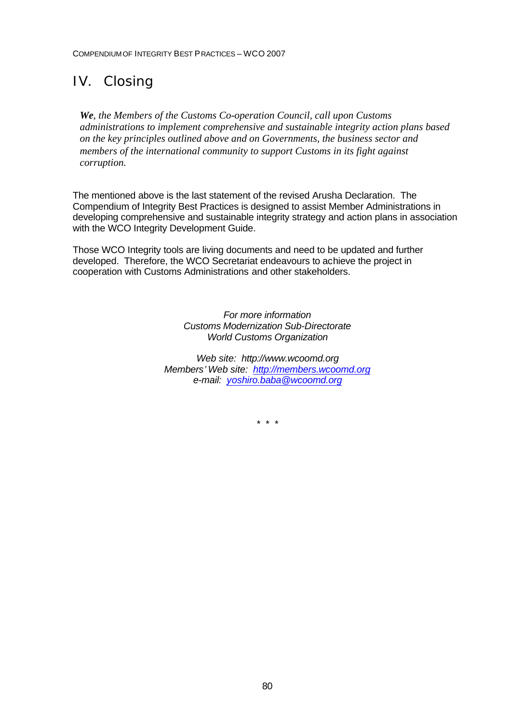# IV. Closing

*We, the Members of the Customs Co-operation Council, call upon Customs administrations to implement comprehensive and sustainable integrity action plans based on the key principles outlined above and on Governments, the business sector and members of the international community to support Customs in its fight against corruption.*

The mentioned above is the last statement of the revised Arusha Declaration. The Compendium of Integrity Best Practices is designed to assist Member Administrations in developing comprehensive and sustainable integrity strategy and action plans in association with the WCO Integrity Development Guide.

Those WCO Integrity tools are living documents and need to be updated and further developed. Therefore, the WCO Secretariat endeavours to achieve the project in cooperation with Customs Administrations and other stakeholders.

> *For more information Customs Modernization Sub-Directorate World Customs Organization*

*Web site: http://www.wcoomd.org Members' Web site: http://members.wcoomd.org e-mail: yoshiro.baba@wcoomd.org*

*\* \* \**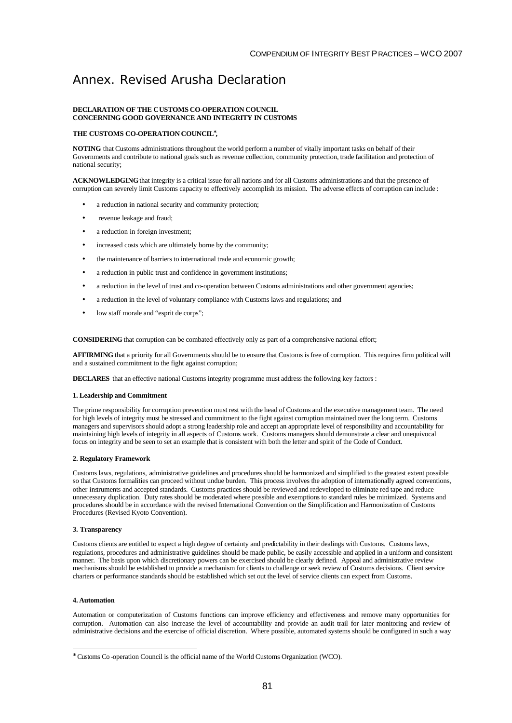# Annex. Revised Arusha Declaration

#### **DECLARATION OF THE CUSTOMS CO-OPERATION COUNCIL CONCERNING GOOD GOVERNANCE AND INTEGRITY IN CUSTOMS**

#### **THE CUSTOMS CO-OPERATION COUNCIL\* ,**

**NOTING** that Customs administrations throughout the world perform a number of vitally important tasks on behalf of their Governments and contribute to national goals such as revenue collection, community protection, trade facilitation and protection of national security;

**ACKNOWLEDGING** that integrity is a critical issue for all nations and for all Customs administrations and that the presence of corruption can severely limit Customs capacity to effectively accomplish its mission. The adverse effects of corruption can include :

- a reduction in national security and community protection;
- revenue leakage and fraud;
- a reduction in foreign investment;
- increased costs which are ultimately borne by the community;
- the maintenance of barriers to international trade and economic growth;
- a reduction in public trust and confidence in government institutions;
- a reduction in the level of trust and co-operation between Customs administrations and other government agencies;
- a reduction in the level of voluntary compliance with Customs laws and regulations; and
- low staff morale and "esprit de corps";

**CONSIDERING** that corruption can be combated effectively only as part of a comprehensive national effort;

**AFFIRMING** that a priority for all Governments should be to ensure that Customs is free of corruption. This requires firm political will and a sustained commitment to the fight against corruption;

**DECLARES** that an effective national Customs integrity programme must address the following key factors :

#### **1. Leadership and Commitment**

The prime responsibility for corruption prevention must rest with the head of Customs and the executive management team. The need for high levels of integrity must be stressed and commitment to the fight against corruption maintained over the long term. Customs managers and supervisors should adopt a strong leadership role and accept an appropriate level of responsibility and accountability for maintaining high levels of integrity in all aspects of Customs work. Customs managers should demonstrate a clear and unequivocal focus on integrity and be seen to set an example that is consistent with both the letter and spirit of the Code of Conduct.

#### **2. Regulatory Framework**

Customs laws, regulations, administrative guidelines and procedures should be harmonized and simplified to the greatest extent possible so that Customs formalities can proceed without undue burden. This process involves the adoption of internationally agreed conventions, other instruments and accepted standards. Customs practices should be reviewed and redeveloped to eliminate red tape and reduce unnecessary duplication. Duty rates should be moderated where possible and exemptions to standard rules be minimized. Systems and procedures should be in accordance with the revised International Convention on the Simplification and Harmonization of Customs Procedures (Revised Kyoto Convention).

#### **3. Transparency**

Customs clients are entitled to expect a high degree of certainty and predictability in their dealings with Customs. Customs laws, regulations, procedures and administrative guidelines should be made public, be easily accessible and applied in a uniform and consistent manner. The basis upon which discretionary powers can be exercised should be clearly defined. Appeal and administrative review mechanisms should be established to provide a mechanism for clients to challenge or seek review of Customs decisions. Client service charters or performance standards should be established which set out the level of service clients can expect from Customs.

#### **4. Automation**

l

Automation or computerization of Customs functions can improve efficiency and effectiveness and remove many opportunities for corruption. Automation can also increase the level of accountability and provide an audit trail for later monitoring and review of administrative decisions and the exercise of official discretion. Where possible, automated systems should be configured in such a way

<sup>∗</sup> Customs Co -operation Council is the official name of the World Customs Organization (WCO).